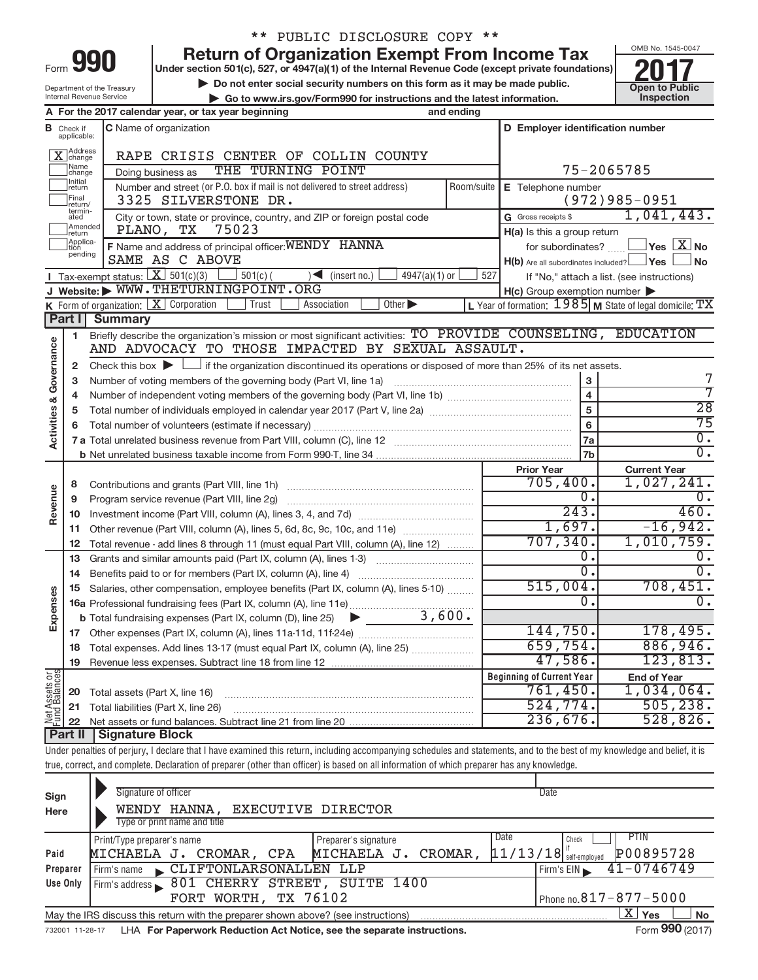| -orm |  |  |
|------|--|--|

# \*\* PUBLIC DISCLOSURE COPY \*\*

**Return of Organization Exempt From Income Tax**<br>Under section 501(c), 527, or 4947(a)(1) of the Internal Revenue Code (except private foundations)<br>Do not enter social security numbers on this form as it may be made public.

**Under section 501(c), 527, or 4947(a)(1) of the Internal Revenue Code (except private foundations) Example 10.527 and 10.627, or 4947(a)(1) of the Internal Revenue Code (except private foundations)<br>
■ Do not enter social security numbers on this form as it may be made public.<br>
■ Go to www.irs.gov/Form990 for instructi** 

**| Go to www.irs.gov/Form990 for instructions and the latest information. Inspection**



Department of the Treasury Internal Revenue Service

|               |                              | A For the 2017 calendar year, or tax year beginning                                                                                                                        | and ending                      |                                                                    |                                                           |  |  |  |
|---------------|------------------------------|----------------------------------------------------------------------------------------------------------------------------------------------------------------------------|---------------------------------|--------------------------------------------------------------------|-----------------------------------------------------------|--|--|--|
|               |                              | D Employer identification number<br><b>C</b> Name of organization<br><b>B</b> Check if applicable:                                                                         |                                 |                                                                    |                                                           |  |  |  |
|               | X Address                    | RAPE CRISIS CENTER OF COLLIN COUNTY                                                                                                                                        |                                 |                                                                    |                                                           |  |  |  |
|               | Name<br>change               | THE TURNING POINT<br>Doing business as                                                                                                                                     |                                 |                                                                    |                                                           |  |  |  |
|               | Initial<br>return            | Number and street (or P.O. box if mail is not delivered to street address)                                                                                                 | Room/suite   E Telephone number |                                                                    |                                                           |  |  |  |
|               | Final<br>return/             | 3325 SILVERSTONE DR.                                                                                                                                                       |                                 | $(972)985 - 0951$                                                  |                                                           |  |  |  |
|               | termin-<br>ated              | City or town, state or province, country, and ZIP or foreign postal code                                                                                                   | G Gross receipts \$             | 1,041,443.                                                         |                                                           |  |  |  |
|               | Amended<br>return            | PLANO, TX<br>75023                                                                                                                                                         |                                 | H(a) Is this a group return                                        |                                                           |  |  |  |
|               | Applica-<br>Ition<br>pending | F Name and address of principal officer: WENDY HANNA                                                                                                                       |                                 | for subordinates? $\begin{array}{c} \boxed{\mathbf{X}} \mathbf{N}$ |                                                           |  |  |  |
|               |                              | SAME AS C ABOVE                                                                                                                                                            |                                 | H(b) Are all subordinates included? Ves                            | ⊿No                                                       |  |  |  |
|               |                              | <b>I</b> Tax-exempt status: $\boxed{\mathbf{X}}$ 501(c)(3) $\boxed{\phantom{0}}$ 501(c)(<br>$\sim$ (insert no.)<br>$4947(a)(1)$ or                                         | 527                             |                                                                    | If "No," attach a list. (see instructions)                |  |  |  |
|               |                              | J Website: WWW.THETURNINGPOINT.ORG                                                                                                                                         |                                 | $H(c)$ Group exemption number $\blacktriangleright$                |                                                           |  |  |  |
|               |                              | K Form of organization: $X$ Corporation<br>Trust<br>Association<br>Other $\blacktriangleright$                                                                             |                                 |                                                                    | L Year of formation: $1985$ M State of legal domicile: TX |  |  |  |
|               | Part I                       | <b>Summary</b>                                                                                                                                                             |                                 |                                                                    |                                                           |  |  |  |
|               | 1                            | Briefly describe the organization's mission or most significant activities: TO PROVIDE COUNSELING, EDUCATION                                                               |                                 |                                                                    |                                                           |  |  |  |
| Governance    |                              | AND ADVOCACY TO THOSE IMPACTED BY SEXUAL ASSAULT.                                                                                                                          |                                 |                                                                    |                                                           |  |  |  |
|               | 2                            | Check this box $\blacktriangleright \Box$ if the organization discontinued its operations or disposed of more than 25% of its net assets.                                  |                                 |                                                                    | 7                                                         |  |  |  |
|               | 3                            |                                                                                                                                                                            |                                 |                                                                    | 7                                                         |  |  |  |
| త             | 4                            |                                                                                                                                                                            |                                 | $\overline{\mathbf{4}}$                                            | $\overline{28}$                                           |  |  |  |
|               | 5                            |                                                                                                                                                                            |                                 | $\overline{5}$                                                     | $\overline{75}$                                           |  |  |  |
| Activities    | 6                            |                                                                                                                                                                            | $6\phantom{a}$                  | $\overline{0}$ .                                                   |                                                           |  |  |  |
|               |                              |                                                                                                                                                                            |                                 | 7a                                                                 | $\overline{0}$ .                                          |  |  |  |
|               |                              |                                                                                                                                                                            |                                 | 7b                                                                 |                                                           |  |  |  |
|               |                              |                                                                                                                                                                            |                                 | <b>Prior Year</b><br>705,400.                                      | <b>Current Year</b><br>1,027,241.                         |  |  |  |
|               | 8                            |                                                                                                                                                                            |                                 | $0$ .                                                              | 0.                                                        |  |  |  |
| Revenue       | 9                            | Program service revenue (Part VIII, line 2g)                                                                                                                               |                                 | 243.                                                               | 460.                                                      |  |  |  |
|               | 10                           |                                                                                                                                                                            |                                 | 1,697.                                                             | $-16,942.$                                                |  |  |  |
|               | 11                           | Other revenue (Part VIII, column (A), lines 5, 6d, 8c, 9c, 10c, and 11e)                                                                                                   |                                 | 707, 340.                                                          | 1,010,759.                                                |  |  |  |
|               | 12<br>13                     | Total revenue - add lines 8 through 11 (must equal Part VIII, column (A), line 12)<br>Grants and similar amounts paid (Part IX, column (A), lines 1-3) <i></i>             |                                 | $\overline{0}$ .                                                   | $\overline{0}$ .                                          |  |  |  |
|               | 14                           |                                                                                                                                                                            |                                 | $\overline{0}$ .                                                   | $\overline{0}$ .                                          |  |  |  |
|               | 15                           | Salaries, other compensation, employee benefits (Part IX, column (A), lines 5-10)                                                                                          | 515,004.                        |                                                                    |                                                           |  |  |  |
| Expenses      |                              | 16a Professional fundraising fees (Part IX, column (A), line 11e)                                                                                                          | 0.                              | 708,451.<br>$\overline{0}$ .                                       |                                                           |  |  |  |
|               |                              | 3,600.<br><b>b</b> Total fundraising expenses (Part IX, column (D), line 25)<br>$\blacktriangleright$ and $\blacktriangleright$                                            |                                 |                                                                    |                                                           |  |  |  |
|               |                              |                                                                                                                                                                            |                                 | 144,750.                                                           | 178,495.                                                  |  |  |  |
|               |                              | 18 Total expenses. Add lines 13-17 (must equal Part IX, column (A), line 25)                                                                                               |                                 | 659,754.                                                           | 886,946.                                                  |  |  |  |
|               | 19                           |                                                                                                                                                                            |                                 | 47,586.                                                            | 123,813.                                                  |  |  |  |
|               |                              |                                                                                                                                                                            |                                 | <b>Beginning of Current Year</b>                                   | <b>End of Year</b>                                        |  |  |  |
|               | 20                           | Total assets (Part X, line 16)                                                                                                                                             |                                 | 761,450.                                                           | 1,034,064.                                                |  |  |  |
|               | 21                           | Total liabilities (Part X, line 26)                                                                                                                                        |                                 | 524,774.                                                           | 505, 238.                                                 |  |  |  |
| Net Assets or | 22                           |                                                                                                                                                                            |                                 | 236,676.                                                           | 528,826.                                                  |  |  |  |
|               | Part II                      | <b>Signature Block</b>                                                                                                                                                     |                                 |                                                                    |                                                           |  |  |  |
|               |                              | Under penalties of perjury, I declare that I have examined this return, including accompanying schedules and statements, and to the best of my knowledge and belief, it is |                                 |                                                                    |                                                           |  |  |  |
|               |                              | true, correct, and complete. Declaration of preparer (other than officer) is based on all information of which preparer has any knowledge.                                 |                                 |                                                                    |                                                           |  |  |  |
|               |                              |                                                                                                                                                                            |                                 |                                                                    |                                                           |  |  |  |

| Sign<br>Here    | Signature of officer<br><b>EXECUTIVE DIRECTOR</b><br>HANNA ,<br>WENDY<br>Type or print name and title              | Date                                                                  |  |  |  |  |  |  |  |
|-----------------|--------------------------------------------------------------------------------------------------------------------|-----------------------------------------------------------------------|--|--|--|--|--|--|--|
| Paid            | Print/Type preparer's name<br>Preparer's signature<br>CROMAR,<br>MICHAELA J.<br>MICHAELA J.<br>CROMAR, CPA         | <b>PTIN</b><br>Date<br>Check<br>P00895728<br>$11/13/18$ self-employed |  |  |  |  |  |  |  |
| Preparer        | Firm's name CLIFTONLARSONALLEN LLP                                                                                 | $41 - 0746749$<br>Firm's EIN                                          |  |  |  |  |  |  |  |
| Use Only        | 801 CHERRY STREET, SUITE 1400<br>Firm's address                                                                    |                                                                       |  |  |  |  |  |  |  |
|                 | FORT WORTH, TX 76102                                                                                               | Phone no. $817 - 877 - 5000$                                          |  |  |  |  |  |  |  |
|                 | $\mathbf{X}$ Yes<br><b>No</b><br>May the IRS discuss this return with the preparer shown above? (see instructions) |                                                                       |  |  |  |  |  |  |  |
| 732001 11-28-17 | LHA For Paperwork Reduction Act Notice, see the separate instructions.                                             | Form 990 (2017)                                                       |  |  |  |  |  |  |  |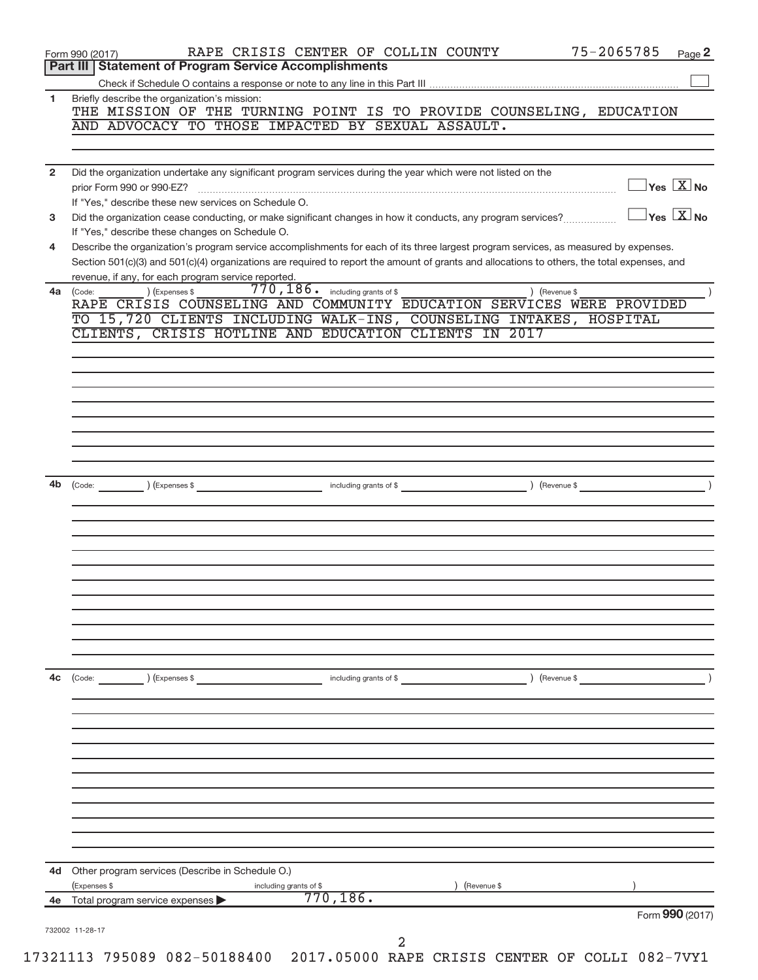|                | Form 990 (2017)                                                                                                                                                                                                                                                                      |
|----------------|--------------------------------------------------------------------------------------------------------------------------------------------------------------------------------------------------------------------------------------------------------------------------------------|
| 4e             | 770, 186.<br>Total program service expenses                                                                                                                                                                                                                                          |
| 4d             | Other program services (Describe in Schedule O.)<br>(Expenses \$<br>including grants of \$<br>(Revenue \$                                                                                                                                                                            |
|                |                                                                                                                                                                                                                                                                                      |
|                |                                                                                                                                                                                                                                                                                      |
|                |                                                                                                                                                                                                                                                                                      |
|                |                                                                                                                                                                                                                                                                                      |
|                |                                                                                                                                                                                                                                                                                      |
|                |                                                                                                                                                                                                                                                                                      |
| 4c             | ) (Expenses \$<br>(Revenue \$<br>(Code:<br>including grants of \$                                                                                                                                                                                                                    |
|                |                                                                                                                                                                                                                                                                                      |
|                |                                                                                                                                                                                                                                                                                      |
|                |                                                                                                                                                                                                                                                                                      |
|                |                                                                                                                                                                                                                                                                                      |
|                |                                                                                                                                                                                                                                                                                      |
|                |                                                                                                                                                                                                                                                                                      |
| 4b             | (Expenses \$<br>(Revenue \$<br>(Code:<br>including grants of \$                                                                                                                                                                                                                      |
|                |                                                                                                                                                                                                                                                                                      |
|                |                                                                                                                                                                                                                                                                                      |
|                |                                                                                                                                                                                                                                                                                      |
|                |                                                                                                                                                                                                                                                                                      |
|                |                                                                                                                                                                                                                                                                                      |
|                | CLIENTS, CRISIS HOTLINE AND EDUCATION CLIENTS IN 2017                                                                                                                                                                                                                                |
|                | RAPE CRISIS COUNSELING AND COMMUNITY EDUCATION SERVICES WERE PROVIDED<br>TO 15,720 CLIENTS INCLUDING WALK-INS, COUNSELING INTAKES, HOSPITAL                                                                                                                                          |
|                | revenue, if any, for each program service reported.<br>$770, 186$ $\cdot$ including grants of \$<br>) (Expenses \$<br>) (Revenue \$<br>$4a$ (Code:                                                                                                                                   |
| 4              | Describe the organization's program service accomplishments for each of its three largest program services, as measured by expenses.<br>Section 501(c)(3) and 501(c)(4) organizations are required to report the amount of grants and allocations to others, the total expenses, and |
| 3              | $\overline{\ }$ Yes $\overline{\phantom{a}X}$ No<br>Did the organization cease conducting, or make significant changes in how it conducts, any program services?<br>If "Yes," describe these changes on Schedule O.                                                                  |
|                | If "Yes," describe these new services on Schedule O.                                                                                                                                                                                                                                 |
| $\overline{2}$ | Did the organization undertake any significant program services during the year which were not listed on the<br>$\overline{\ }$ Yes $\overline{\rm X}$ No<br>prior Form 990 or 990-EZ?                                                                                               |
|                |                                                                                                                                                                                                                                                                                      |
|                | THE MISSION OF THE TURNING POINT IS TO PROVIDE COUNSELING, EDUCATION<br>AND ADVOCACY TO THOSE IMPACTED BY SEXUAL ASSAULT.                                                                                                                                                            |
| 1              | Briefly describe the organization's mission:                                                                                                                                                                                                                                         |
|                |                                                                                                                                                                                                                                                                                      |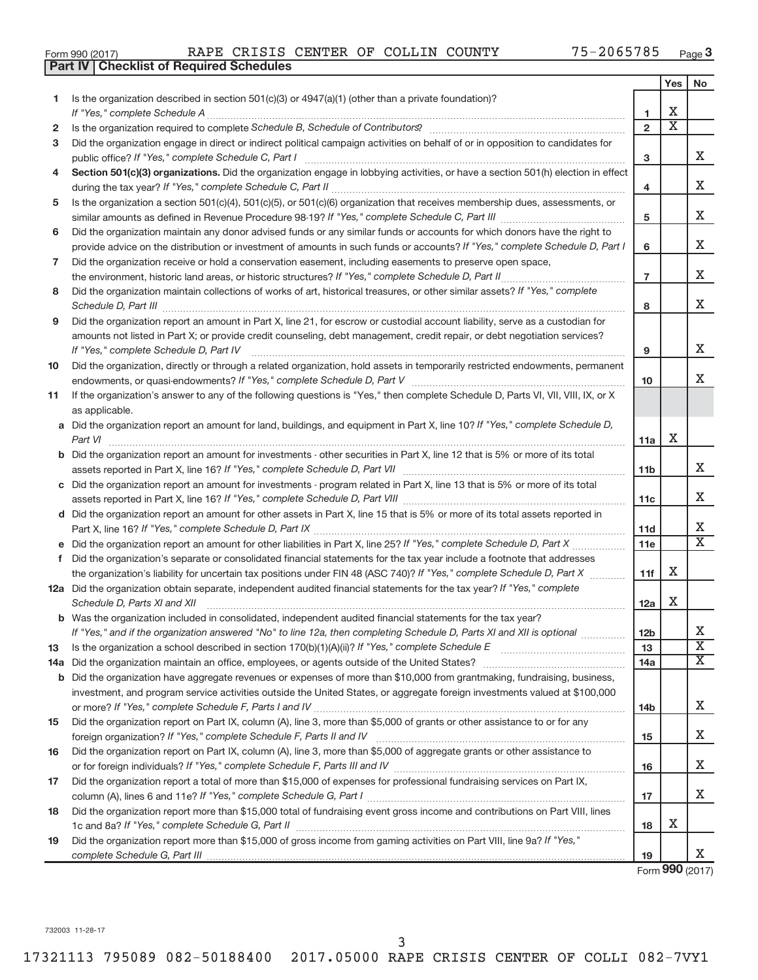|  | Form 990 (2017) |  |
|--|-----------------|--|
|  |                 |  |

|    | <b>Part IV   Checklist of Required Schedules</b>                                                                                                                                                                                                                                                                                                                                                                                                                                                                                                |                 |                       |                       |
|----|-------------------------------------------------------------------------------------------------------------------------------------------------------------------------------------------------------------------------------------------------------------------------------------------------------------------------------------------------------------------------------------------------------------------------------------------------------------------------------------------------------------------------------------------------|-----------------|-----------------------|-----------------------|
|    |                                                                                                                                                                                                                                                                                                                                                                                                                                                                                                                                                 |                 | Yes                   | No                    |
| 1. | Is the organization described in section $501(c)(3)$ or $4947(a)(1)$ (other than a private foundation)?                                                                                                                                                                                                                                                                                                                                                                                                                                         |                 |                       |                       |
|    |                                                                                                                                                                                                                                                                                                                                                                                                                                                                                                                                                 | 1               | х                     |                       |
| 2  | Is the organization required to complete Schedule B, Schedule of Contributors? [11] the organization required to complete Schedule B, Schedule of Contributors?                                                                                                                                                                                                                                                                                                                                                                                 | $\overline{2}$  | $\overline{\text{x}}$ |                       |
| 3  | Did the organization engage in direct or indirect political campaign activities on behalf of or in opposition to candidates for                                                                                                                                                                                                                                                                                                                                                                                                                 |                 |                       |                       |
|    |                                                                                                                                                                                                                                                                                                                                                                                                                                                                                                                                                 | 3               |                       | x                     |
| 4  | Section 501(c)(3) organizations. Did the organization engage in lobbying activities, or have a section 501(h) election in effect                                                                                                                                                                                                                                                                                                                                                                                                                |                 |                       | Χ                     |
|    |                                                                                                                                                                                                                                                                                                                                                                                                                                                                                                                                                 | 4               |                       |                       |
| 5  | Is the organization a section 501(c)(4), 501(c)(5), or 501(c)(6) organization that receives membership dues, assessments, or                                                                                                                                                                                                                                                                                                                                                                                                                    | 5               |                       | х                     |
| 6  | Did the organization maintain any donor advised funds or any similar funds or accounts for which donors have the right to                                                                                                                                                                                                                                                                                                                                                                                                                       |                 |                       |                       |
|    | provide advice on the distribution or investment of amounts in such funds or accounts? If "Yes," complete Schedule D, Part I                                                                                                                                                                                                                                                                                                                                                                                                                    | 6               |                       | Χ                     |
| 7  | Did the organization receive or hold a conservation easement, including easements to preserve open space,                                                                                                                                                                                                                                                                                                                                                                                                                                       |                 |                       |                       |
|    | the environment, historic land areas, or historic structures? If "Yes," complete Schedule D, Part II                                                                                                                                                                                                                                                                                                                                                                                                                                            | $\overline{7}$  |                       | х                     |
| 8  | Did the organization maintain collections of works of art, historical treasures, or other similar assets? If "Yes," complete                                                                                                                                                                                                                                                                                                                                                                                                                    |                 |                       |                       |
|    |                                                                                                                                                                                                                                                                                                                                                                                                                                                                                                                                                 | 8               |                       | х                     |
| 9  | Did the organization report an amount in Part X, line 21, for escrow or custodial account liability, serve as a custodian for                                                                                                                                                                                                                                                                                                                                                                                                                   |                 |                       |                       |
|    | amounts not listed in Part X; or provide credit counseling, debt management, credit repair, or debt negotiation services?                                                                                                                                                                                                                                                                                                                                                                                                                       |                 |                       |                       |
|    |                                                                                                                                                                                                                                                                                                                                                                                                                                                                                                                                                 | 9               |                       | х                     |
| 10 | Did the organization, directly or through a related organization, hold assets in temporarily restricted endowments, permanent                                                                                                                                                                                                                                                                                                                                                                                                                   |                 |                       | х                     |
|    |                                                                                                                                                                                                                                                                                                                                                                                                                                                                                                                                                 | 10              |                       |                       |
| 11 | If the organization's answer to any of the following questions is "Yes," then complete Schedule D, Parts VI, VII, VIII, IX, or X                                                                                                                                                                                                                                                                                                                                                                                                                |                 |                       |                       |
|    | as applicable.                                                                                                                                                                                                                                                                                                                                                                                                                                                                                                                                  |                 |                       |                       |
|    | a Did the organization report an amount for land, buildings, and equipment in Part X, line 10? If "Yes," complete Schedule D,                                                                                                                                                                                                                                                                                                                                                                                                                   |                 |                       |                       |
|    |                                                                                                                                                                                                                                                                                                                                                                                                                                                                                                                                                 | 11a             | х                     |                       |
|    | <b>b</b> Did the organization report an amount for investments - other securities in Part X, line 12 that is 5% or more of its total                                                                                                                                                                                                                                                                                                                                                                                                            |                 |                       |                       |
|    |                                                                                                                                                                                                                                                                                                                                                                                                                                                                                                                                                 | 11 <sub>b</sub> |                       | x                     |
|    | c Did the organization report an amount for investments - program related in Part X, line 13 that is 5% or more of its total                                                                                                                                                                                                                                                                                                                                                                                                                    |                 |                       |                       |
|    |                                                                                                                                                                                                                                                                                                                                                                                                                                                                                                                                                 | 11c             |                       | x                     |
|    | d Did the organization report an amount for other assets in Part X, line 15 that is 5% or more of its total assets reported in                                                                                                                                                                                                                                                                                                                                                                                                                  |                 |                       |                       |
|    |                                                                                                                                                                                                                                                                                                                                                                                                                                                                                                                                                 | 11d             |                       | Х                     |
|    |                                                                                                                                                                                                                                                                                                                                                                                                                                                                                                                                                 | 11e             |                       | $\overline{\text{X}}$ |
| f  | Did the organization's separate or consolidated financial statements for the tax year include a footnote that addresses                                                                                                                                                                                                                                                                                                                                                                                                                         |                 |                       |                       |
|    | the organization's liability for uncertain tax positions under FIN 48 (ASC 740)? If "Yes," complete Schedule D, Part X                                                                                                                                                                                                                                                                                                                                                                                                                          | 11f             | х                     |                       |
|    | 12a Did the organization obtain separate, independent audited financial statements for the tax year? If "Yes," complete                                                                                                                                                                                                                                                                                                                                                                                                                         |                 |                       |                       |
|    | Schedule D, Parts XI and XII<br>$\begin{minipage}{0.5\textwidth} \centering \begin{tabular}{ c c c c c } \hline \multicolumn{1}{ c }{0.5\textwidth} \centering \centering \end{tabular} \end{minipage} \begin{minipage}{0.5\textwidth} \centering \begin{tabular}{ c c c c c } \hline \multicolumn{1}{ c }{0.5\textwidth} \centering \centering \end{tabular} \end{minipage} \begin{minipage}{0.5\textwidth} \centering \centering \end{tabular} \end{minipage} \begin{minipage}{0.5\textwidth} \centering \begin{tabular}{ c c c c } \hline \$ | 12a             | х                     |                       |
|    | <b>b</b> Was the organization included in consolidated, independent audited financial statements for the tax year?                                                                                                                                                                                                                                                                                                                                                                                                                              |                 |                       |                       |
|    | If "Yes," and if the organization answered "No" to line 12a, then completing Schedule D, Parts XI and XII is optional <i>manumum</i>                                                                                                                                                                                                                                                                                                                                                                                                            | 12 <sub>b</sub> |                       | х                     |
| 13 |                                                                                                                                                                                                                                                                                                                                                                                                                                                                                                                                                 | 13              |                       | $\overline{\text{X}}$ |
|    |                                                                                                                                                                                                                                                                                                                                                                                                                                                                                                                                                 | 14a             |                       | $\overline{\text{X}}$ |
|    | <b>b</b> Did the organization have aggregate revenues or expenses of more than \$10,000 from grantmaking, fundraising, business,                                                                                                                                                                                                                                                                                                                                                                                                                |                 |                       |                       |
|    | investment, and program service activities outside the United States, or aggregate foreign investments valued at \$100,000                                                                                                                                                                                                                                                                                                                                                                                                                      |                 |                       |                       |
|    |                                                                                                                                                                                                                                                                                                                                                                                                                                                                                                                                                 | 14b             |                       | X.                    |
| 15 | Did the organization report on Part IX, column (A), line 3, more than \$5,000 of grants or other assistance to or for any                                                                                                                                                                                                                                                                                                                                                                                                                       |                 |                       |                       |
|    |                                                                                                                                                                                                                                                                                                                                                                                                                                                                                                                                                 | 15              |                       | X.                    |
| 16 | Did the organization report on Part IX, column (A), line 3, more than \$5,000 of aggregate grants or other assistance to                                                                                                                                                                                                                                                                                                                                                                                                                        |                 |                       |                       |
|    |                                                                                                                                                                                                                                                                                                                                                                                                                                                                                                                                                 | 16              |                       | X.                    |
| 17 | Did the organization report a total of more than \$15,000 of expenses for professional fundraising services on Part IX,                                                                                                                                                                                                                                                                                                                                                                                                                         |                 |                       |                       |
|    |                                                                                                                                                                                                                                                                                                                                                                                                                                                                                                                                                 | 17              |                       | X                     |
| 18 | Did the organization report more than \$15,000 total of fundraising event gross income and contributions on Part VIII, lines                                                                                                                                                                                                                                                                                                                                                                                                                    |                 |                       |                       |
|    |                                                                                                                                                                                                                                                                                                                                                                                                                                                                                                                                                 | 18              | х                     |                       |
| 19 | Did the organization report more than \$15,000 of gross income from gaming activities on Part VIII, line 9a? If "Yes,"                                                                                                                                                                                                                                                                                                                                                                                                                          |                 |                       |                       |
|    |                                                                                                                                                                                                                                                                                                                                                                                                                                                                                                                                                 | 19              |                       | X.                    |

Form **990** (2017)

732003 11-28-17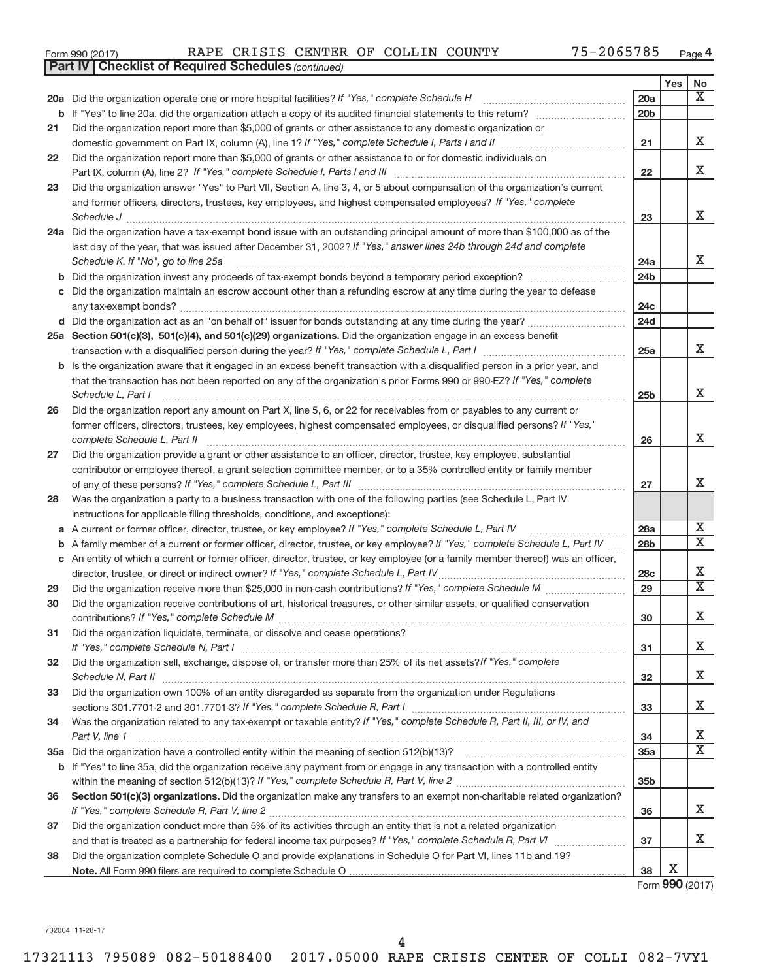| Form 990 (2017) |  |  | RAPE CRISIS CENTER OF COLLIN COUNTY |  |  |  | 75-2065785 | Page |  |
|-----------------|--|--|-------------------------------------|--|--|--|------------|------|--|
|-----------------|--|--|-------------------------------------|--|--|--|------------|------|--|

|    | <b>Part IV   Checklist of Required Schedules (continued)</b>                                                                                                                                                                          |                 |     |                         |
|----|---------------------------------------------------------------------------------------------------------------------------------------------------------------------------------------------------------------------------------------|-----------------|-----|-------------------------|
|    |                                                                                                                                                                                                                                       |                 | Yes | No                      |
|    | 20a Did the organization operate one or more hospital facilities? If "Yes," complete Schedule H                                                                                                                                       | 20a             |     | X                       |
|    |                                                                                                                                                                                                                                       | 20b             |     |                         |
| 21 | Did the organization report more than \$5,000 of grants or other assistance to any domestic organization or                                                                                                                           |                 |     |                         |
|    |                                                                                                                                                                                                                                       | 21              |     | х                       |
| 22 | Did the organization report more than \$5,000 of grants or other assistance to or for domestic individuals on                                                                                                                         |                 |     |                         |
|    |                                                                                                                                                                                                                                       | 22              |     | X                       |
| 23 | Did the organization answer "Yes" to Part VII, Section A, line 3, 4, or 5 about compensation of the organization's current                                                                                                            |                 |     |                         |
|    | and former officers, directors, trustees, key employees, and highest compensated employees? If "Yes," complete                                                                                                                        |                 |     |                         |
|    | Schedule J <b>Execute Schedule J Execute Schedule J</b>                                                                                                                                                                               | 23              |     | X                       |
|    | 24a Did the organization have a tax-exempt bond issue with an outstanding principal amount of more than \$100,000 as of the                                                                                                           |                 |     |                         |
|    | last day of the year, that was issued after December 31, 2002? If "Yes," answer lines 24b through 24d and complete                                                                                                                    |                 |     |                         |
|    | Schedule K. If "No", go to line 25a                                                                                                                                                                                                   | 24a             |     | x                       |
| b  |                                                                                                                                                                                                                                       | 24b             |     |                         |
|    | Did the organization maintain an escrow account other than a refunding escrow at any time during the year to defease                                                                                                                  |                 |     |                         |
|    |                                                                                                                                                                                                                                       | 24с             |     |                         |
|    |                                                                                                                                                                                                                                       | 24d             |     |                         |
|    | 25a Section 501(c)(3), 501(c)(4), and 501(c)(29) organizations. Did the organization engage in an excess benefit                                                                                                                      |                 |     |                         |
|    |                                                                                                                                                                                                                                       | 25a             |     | x                       |
| b  | Is the organization aware that it engaged in an excess benefit transaction with a disqualified person in a prior year, and                                                                                                            |                 |     |                         |
|    | that the transaction has not been reported on any of the organization's prior Forms 990 or 990-EZ? If "Yes," complete                                                                                                                 |                 |     |                         |
|    | Schedule L, Part I                                                                                                                                                                                                                    | 25 <sub>b</sub> |     | Χ                       |
| 26 | Did the organization report any amount on Part X, line 5, 6, or 22 for receivables from or payables to any current or                                                                                                                 |                 |     |                         |
|    | former officers, directors, trustees, key employees, highest compensated employees, or disqualified persons? If "Yes,"                                                                                                                |                 |     |                         |
|    | complete Schedule L, Part II                                                                                                                                                                                                          | 26              |     | Χ                       |
| 27 | Did the organization provide a grant or other assistance to an officer, director, trustee, key employee, substantial                                                                                                                  |                 |     |                         |
|    | contributor or employee thereof, a grant selection committee member, or to a 35% controlled entity or family member                                                                                                                   |                 |     | х                       |
|    |                                                                                                                                                                                                                                       | 27              |     |                         |
| 28 | Was the organization a party to a business transaction with one of the following parties (see Schedule L, Part IV                                                                                                                     |                 |     |                         |
|    | instructions for applicable filing thresholds, conditions, and exceptions):                                                                                                                                                           | 28a             |     | Х                       |
| а  | A current or former officer, director, trustee, or key employee? If "Yes," complete Schedule L, Part IV<br>A family member of a current or former officer, director, trustee, or key employee? If "Yes," complete Schedule L, Part IV | 28b             |     | $\overline{\mathbf{X}}$ |
| b  | c An entity of which a current or former officer, director, trustee, or key employee (or a family member thereof) was an officer,                                                                                                     |                 |     |                         |
|    | director, trustee, or direct or indirect owner? If "Yes," complete Schedule L, Part IV                                                                                                                                                | 28c             |     | х                       |
| 29 |                                                                                                                                                                                                                                       | 29              |     | $\overline{\mathbf{X}}$ |
| 30 | Did the organization receive contributions of art, historical treasures, or other similar assets, or qualified conservation                                                                                                           |                 |     |                         |
|    |                                                                                                                                                                                                                                       | 30              |     | Χ                       |
| 31 | Did the organization liquidate, terminate, or dissolve and cease operations?                                                                                                                                                          |                 |     |                         |
|    |                                                                                                                                                                                                                                       | 31              |     | х                       |
| 32 | Did the organization sell, exchange, dispose of, or transfer more than 25% of its net assets? If "Yes," complete                                                                                                                      |                 |     |                         |
|    |                                                                                                                                                                                                                                       | 32              |     | х                       |
| 33 | Did the organization own 100% of an entity disregarded as separate from the organization under Regulations                                                                                                                            |                 |     |                         |
|    |                                                                                                                                                                                                                                       | 33              |     | х                       |
| 34 | Was the organization related to any tax-exempt or taxable entity? If "Yes," complete Schedule R, Part II, III, or IV, and                                                                                                             |                 |     |                         |
|    | Part V, line 1                                                                                                                                                                                                                        | 34              |     | х                       |
|    |                                                                                                                                                                                                                                       | 35а             |     | X                       |
|    | b If "Yes" to line 35a, did the organization receive any payment from or engage in any transaction with a controlled entity                                                                                                           |                 |     |                         |
|    |                                                                                                                                                                                                                                       | 35b             |     |                         |
| 36 | Section 501(c)(3) organizations. Did the organization make any transfers to an exempt non-charitable related organization?                                                                                                            |                 |     |                         |
|    |                                                                                                                                                                                                                                       | 36              |     | X                       |
| 37 | Did the organization conduct more than 5% of its activities through an entity that is not a related organization                                                                                                                      |                 |     |                         |
|    |                                                                                                                                                                                                                                       | 37              |     | х                       |
| 38 | Did the organization complete Schedule O and provide explanations in Schedule O for Part VI, lines 11b and 19?                                                                                                                        |                 | Х   |                         |
|    |                                                                                                                                                                                                                                       | 38              |     |                         |

Form **990** (2017)

732004 11-28-17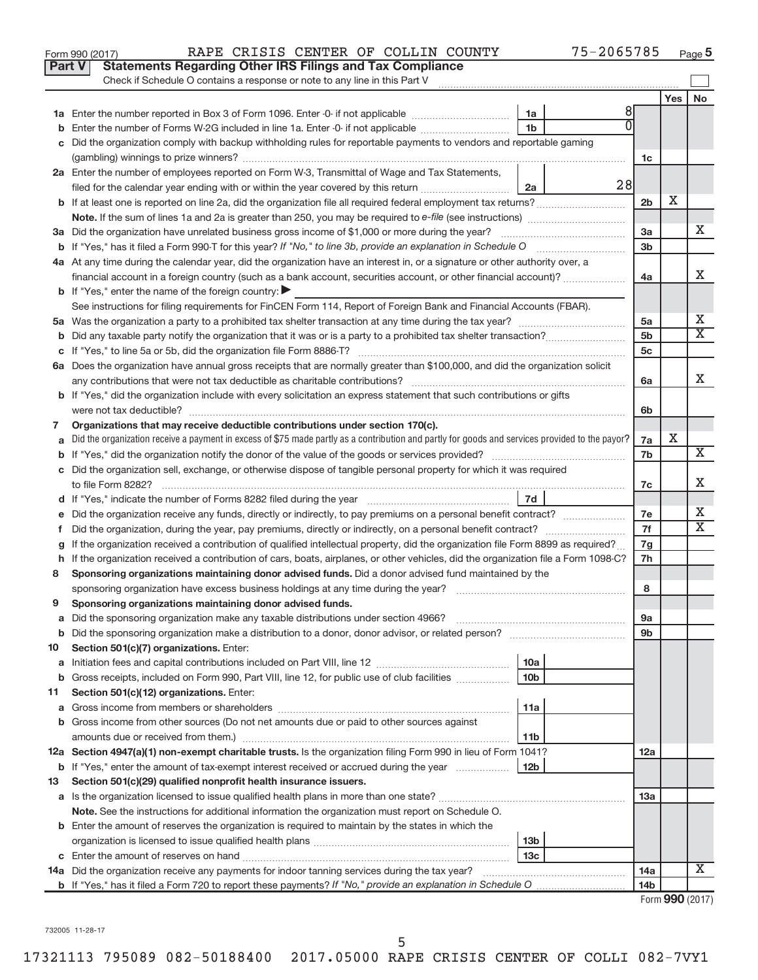|    | Part V<br><b>Statements Regarding Other IRS Filings and Tax Compliance</b><br>Check if Schedule O contains a response or note to any line in this Part V |                 |                 |    |
|----|----------------------------------------------------------------------------------------------------------------------------------------------------------|-----------------|-----------------|----|
|    |                                                                                                                                                          |                 | Yes             | No |
|    | 8<br>1a                                                                                                                                                  |                 |                 |    |
|    | 1 <sub>b</sub><br>Enter the number of Forms W-2G included in line 1a. Enter -0- if not applicable                                                        |                 |                 |    |
|    | Did the organization comply with backup withholding rules for reportable payments to vendors and reportable gaming                                       |                 |                 |    |
|    |                                                                                                                                                          | 1c              |                 |    |
|    | 2a Enter the number of employees reported on Form W-3, Transmittal of Wage and Tax Statements,<br>28                                                     |                 |                 |    |
|    | filed for the calendar year ending with or within the year covered by this return <i>manumumumum</i><br>2a                                               |                 | х               |    |
|    |                                                                                                                                                          | 2 <sub>b</sub>  |                 |    |
|    |                                                                                                                                                          | 3a              |                 | x  |
|    |                                                                                                                                                          | 3 <sub>b</sub>  |                 |    |
|    | 4a At any time during the calendar year, did the organization have an interest in, or a signature or other authority over, a                             |                 |                 |    |
|    | financial account in a foreign country (such as a bank account, securities account, or other financial account)?                                         | 4a              |                 | X  |
|    | <b>b</b> If "Yes," enter the name of the foreign country:                                                                                                |                 |                 |    |
|    | See instructions for filing requirements for FinCEN Form 114, Report of Foreign Bank and Financial Accounts (FBAR).                                      |                 |                 |    |
|    |                                                                                                                                                          | 5a              |                 | Х  |
|    |                                                                                                                                                          | 5 <sub>b</sub>  |                 | X  |
|    |                                                                                                                                                          | 5 <sub>c</sub>  |                 |    |
|    | 6a Does the organization have annual gross receipts that are normally greater than \$100,000, and did the organization solicit                           |                 |                 |    |
|    |                                                                                                                                                          | 6a              |                 | X  |
|    | <b>b</b> If "Yes," did the organization include with every solicitation an express statement that such contributions or gifts                            |                 |                 |    |
|    |                                                                                                                                                          | 6b              |                 |    |
| 7  | Organizations that may receive deductible contributions under section 170(c).                                                                            |                 |                 |    |
|    | Did the organization receive a payment in excess of \$75 made partly as a contribution and partly for goods and services provided to the payor?          | 7a              | Х               |    |
|    |                                                                                                                                                          | 7b              |                 | Χ  |
|    | c Did the organization sell, exchange, or otherwise dispose of tangible personal property for which it was required                                      |                 |                 |    |
|    |                                                                                                                                                          | 7c              |                 | х  |
|    | 7d                                                                                                                                                       |                 |                 |    |
|    |                                                                                                                                                          | 7e              |                 | Х  |
| f. |                                                                                                                                                          | 7f              |                 | х  |
| g  | If the organization received a contribution of qualified intellectual property, did the organization file Form 8899 as required?                         | 7g              |                 |    |
| h. | If the organization received a contribution of cars, boats, airplanes, or other vehicles, did the organization file a Form 1098-C?                       | 7h              |                 |    |
| 8  | Sponsoring organizations maintaining donor advised funds. Did a donor advised fund maintained by the                                                     |                 |                 |    |
|    |                                                                                                                                                          | 8               |                 |    |
| 9  | Sponsoring organizations maintaining donor advised funds.                                                                                                |                 |                 |    |
|    |                                                                                                                                                          | эа              |                 |    |
|    |                                                                                                                                                          | 9b              |                 |    |
| 10 | Section 501(c)(7) organizations. Enter:                                                                                                                  |                 |                 |    |
| а  | 10a                                                                                                                                                      |                 |                 |    |
| b  | Gross receipts, included on Form 990, Part VIII, line 12, for public use of club facilities<br>10 <sub>b</sub>                                           |                 |                 |    |
| 11 | Section 501(c)(12) organizations. Enter:                                                                                                                 |                 |                 |    |
| а  | 11a                                                                                                                                                      |                 |                 |    |
|    | <b>b</b> Gross income from other sources (Do not net amounts due or paid to other sources against                                                        |                 |                 |    |
|    | amounts due or received from them.)<br>11b                                                                                                               |                 |                 |    |
|    | 12a Section 4947(a)(1) non-exempt charitable trusts. Is the organization filing Form 990 in lieu of Form 1041?                                           | 12a             |                 |    |
|    | 12 <sub>b</sub><br><b>b</b> If "Yes," enter the amount of tax-exempt interest received or accrued during the year                                        |                 |                 |    |
| 13 | Section 501(c)(29) qualified nonprofit health insurance issuers.                                                                                         |                 |                 |    |
| a  | Is the organization licensed to issue qualified health plans in more than one state?                                                                     | 13a             |                 |    |
|    | Note. See the instructions for additional information the organization must report on Schedule O.                                                        |                 |                 |    |
|    | <b>b</b> Enter the amount of reserves the organization is required to maintain by the states in which the<br>13 <sub>b</sub>                             |                 |                 |    |
|    | 13 <sub>c</sub>                                                                                                                                          |                 |                 |    |
|    | 14a Did the organization receive any payments for indoor tanning services during the tax year?                                                           | 14a             |                 | x  |
|    |                                                                                                                                                          | 14 <sub>b</sub> |                 |    |
|    |                                                                                                                                                          |                 | Form 990 (2017) |    |

Form 990 (2017) RAPE CRISIS CENTER OF COLLIN COUNTY 75-2065785 <sub>Page</sub>

**5**

732005 11-28-17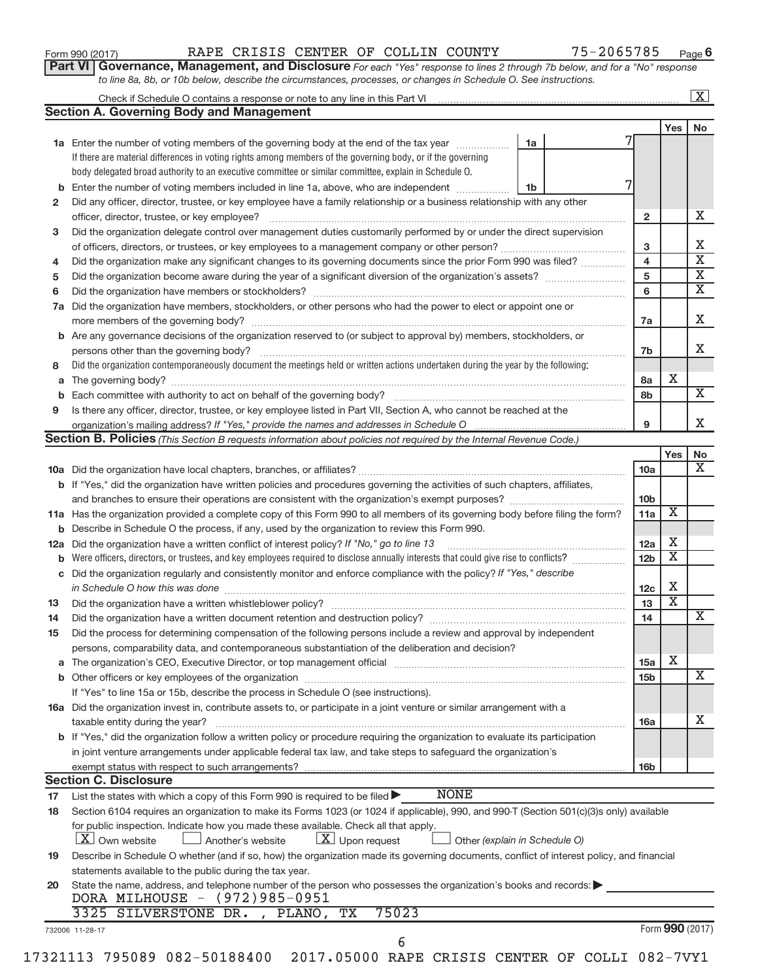| Form 990 (2017) |  |
|-----------------|--|
|-----------------|--|

## Form 990 (2017) RAPE CRISIS CENTER OF COLLIN COUNTY 75-2065785 <sub>Page</sub>

**Part VI** Governance, Management, and Disclosure For each "Yes" response to lines 2 through 7b below, and for a "No" response *to line 8a, 8b, or 10b below, describe the circumstances, processes, or changes in Schedule O. See instructions.*

|     | <b>Section A. Governing Body and Management</b>                                                                                                                                                                                |                               |                         |                         |    |
|-----|--------------------------------------------------------------------------------------------------------------------------------------------------------------------------------------------------------------------------------|-------------------------------|-------------------------|-------------------------|----|
|     |                                                                                                                                                                                                                                |                               |                         | Yes                     | No |
|     | <b>1a</b> Enter the number of voting members of the governing body at the end of the tax year                                                                                                                                  | 1a                            |                         |                         |    |
|     | If there are material differences in voting rights among members of the governing body, or if the governing                                                                                                                    |                               |                         |                         |    |
|     | body delegated broad authority to an executive committee or similar committee, explain in Schedule O.                                                                                                                          |                               |                         |                         |    |
|     | Enter the number of voting members included in line 1a, above, who are independent                                                                                                                                             | 1b                            |                         |                         |    |
| b   |                                                                                                                                                                                                                                |                               |                         |                         |    |
| 2   | Did any officer, director, trustee, or key employee have a family relationship or a business relationship with any other                                                                                                       |                               |                         |                         |    |
|     | officer, director, trustee, or key employee?                                                                                                                                                                                   |                               | $\mathbf{2}$            |                         |    |
| 3   | Did the organization delegate control over management duties customarily performed by or under the direct supervision                                                                                                          |                               |                         |                         |    |
|     |                                                                                                                                                                                                                                |                               | 3                       |                         |    |
| 4   | Did the organization make any significant changes to its governing documents since the prior Form 990 was filed?                                                                                                               |                               | $\overline{\mathbf{4}}$ |                         |    |
| 5   |                                                                                                                                                                                                                                |                               | 5                       |                         |    |
| 6   |                                                                                                                                                                                                                                |                               | 6                       |                         |    |
| 7a  | Did the organization have members, stockholders, or other persons who had the power to elect or appoint one or                                                                                                                 |                               |                         |                         |    |
|     |                                                                                                                                                                                                                                |                               | 7a                      |                         |    |
| b   | Are any governance decisions of the organization reserved to (or subject to approval by) members, stockholders, or                                                                                                             |                               |                         |                         |    |
|     |                                                                                                                                                                                                                                |                               | 7b                      |                         |    |
| 8   | Did the organization contemporaneously document the meetings held or written actions undertaken during the year by the following:                                                                                              |                               |                         |                         |    |
| a   |                                                                                                                                                                                                                                |                               | 8а                      | X                       |    |
|     |                                                                                                                                                                                                                                |                               |                         |                         |    |
| b   |                                                                                                                                                                                                                                |                               | 8b                      |                         |    |
| 9   | Is there any officer, director, trustee, or key employee listed in Part VII, Section A, who cannot be reached at the                                                                                                           |                               |                         |                         |    |
|     |                                                                                                                                                                                                                                |                               | 9                       |                         |    |
|     | <b>Section B. Policies</b> (This Section B requests information about policies not required by the Internal Revenue Code.)                                                                                                     |                               |                         |                         |    |
|     |                                                                                                                                                                                                                                |                               |                         | Yes                     |    |
|     |                                                                                                                                                                                                                                |                               | 10a                     |                         |    |
|     | <b>b</b> If "Yes," did the organization have written policies and procedures governing the activities of such chapters, affiliates,                                                                                            |                               |                         |                         |    |
|     |                                                                                                                                                                                                                                |                               | 10 <sub>b</sub>         |                         |    |
|     | 11a Has the organization provided a complete copy of this Form 990 to all members of its governing body before filing the form?                                                                                                |                               | 11a                     | X                       |    |
|     | <b>b</b> Describe in Schedule O the process, if any, used by the organization to review this Form 990.                                                                                                                         |                               |                         |                         |    |
| 12a | Did the organization have a written conflict of interest policy? If "No," go to line 13                                                                                                                                        |                               | 12a                     | x                       |    |
| b   | Were officers, directors, or trustees, and key employees required to disclose annually interests that could give rise to conflicts?                                                                                            |                               | 12 <sub>b</sub>         | x                       |    |
| С   | Did the organization regularly and consistently monitor and enforce compliance with the policy? If "Yes," describe                                                                                                             |                               |                         |                         |    |
|     |                                                                                                                                                                                                                                |                               | 12c                     | X                       |    |
|     | in Schedule O how this was done manufactured and continuum and contact the state of the state of the state of                                                                                                                  |                               | 13                      | $\overline{\mathbf{x}}$ |    |
| 13  |                                                                                                                                                                                                                                |                               |                         |                         |    |
| 14  |                                                                                                                                                                                                                                |                               | 14                      |                         |    |
| 15  | Did the process for determining compensation of the following persons include a review and approval by independent                                                                                                             |                               |                         |                         |    |
|     | persons, comparability data, and contemporaneous substantiation of the deliberation and decision?                                                                                                                              |                               |                         |                         |    |
| а   | The organization's CEO, Executive Director, or top management official [111] [11] manument content of the organization's CEO, Executive Director, or top management official [11] manument content of the original manument of |                               | 15a                     | х                       |    |
|     |                                                                                                                                                                                                                                |                               | 15 <sub>b</sub>         |                         |    |
|     | If "Yes" to line 15a or 15b, describe the process in Schedule O (see instructions).                                                                                                                                            |                               |                         |                         |    |
|     | 16a Did the organization invest in, contribute assets to, or participate in a joint venture or similar arrangement with a                                                                                                      |                               |                         |                         |    |
|     | taxable entity during the year?                                                                                                                                                                                                |                               | 16a                     |                         |    |
|     | b If "Yes," did the organization follow a written policy or procedure requiring the organization to evaluate its participation                                                                                                 |                               |                         |                         |    |
|     | in joint venture arrangements under applicable federal tax law, and take steps to safeguard the organization's                                                                                                                 |                               |                         |                         |    |
|     | exempt status with respect to such arrangements?                                                                                                                                                                               |                               | 16 <sub>b</sub>         |                         |    |
|     | <b>Section C. Disclosure</b>                                                                                                                                                                                                   |                               |                         |                         |    |
|     | <b>NONE</b>                                                                                                                                                                                                                    |                               |                         |                         |    |
| 17  | List the states with which a copy of this Form 990 is required to be filed $\blacktriangleright$                                                                                                                               |                               |                         |                         |    |
| 18  | Section 6104 requires an organization to make its Forms 1023 (or 1024 if applicable), 990, and 990-T (Section 501(c)(3)s only) available                                                                                       |                               |                         |                         |    |
|     | for public inspection. Indicate how you made these available. Check all that apply.                                                                                                                                            |                               |                         |                         |    |
|     | <b>X</b> Own website<br>$\lfloor x \rfloor$ Upon request<br>Another's website                                                                                                                                                  | Other (explain in Schedule O) |                         |                         |    |
| 19  | Describe in Schedule O whether (and if so, how) the organization made its governing documents, conflict of interest policy, and financial                                                                                      |                               |                         |                         |    |
|     | statements available to the public during the tax year.                                                                                                                                                                        |                               |                         |                         |    |
|     | State the name, address, and telephone number of the person who possesses the organization's books and records:                                                                                                                |                               |                         |                         |    |
|     |                                                                                                                                                                                                                                |                               |                         |                         |    |
|     | DORA MILHOUSE - (972)985-0951                                                                                                                                                                                                  |                               |                         |                         |    |
| 20  | 75023<br>3325 SILVERSTONE DR. , PLANO, TX                                                                                                                                                                                      |                               |                         |                         |    |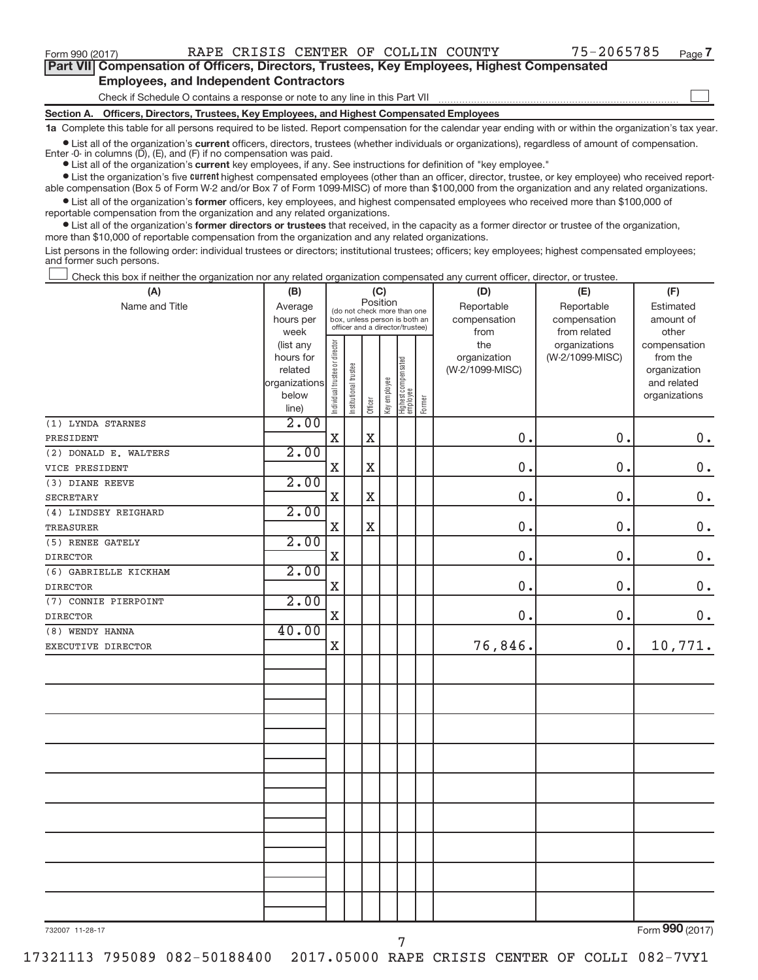$\begin{array}{c} \hline \end{array}$ 

| Part VII Compensation of Officers, Directors, Trustees, Key Employees, Highest Compensated |  |  |  |
|--------------------------------------------------------------------------------------------|--|--|--|
| <b>Employees, and Independent Contractors</b>                                              |  |  |  |

Check if Schedule O contains a response or note to any line in this Part VII

**Section A. Officers, Directors, Trustees, Key Employees, and Highest Compensated Employees**

**1a**  Complete this table for all persons required to be listed. Report compensation for the calendar year ending with or within the organization's tax year.

 $\bullet$  List all of the organization's current officers, directors, trustees (whether individuals or organizations), regardless of amount of compensation. Enter -0- in columns  $(D)$ ,  $(E)$ , and  $(F)$  if no compensation was paid.

**•** List all of the organization's **current** key employees, if any. See instructions for definition of "key employee."

**Examber 1** List the organization's five current highest compensated employees (other than an officer, director, trustee, or key employee) who received report-

 $\bullet$  List all of the organization's former officers, key employees, and highest compensated employees who received more than \$100,000 of able compensation (Box 5 of Form W-2 and/or Box 7 of Form 1099-MISC) of more than \$100,000 from the organization and any related organizations. reportable compensation from the organization and any related organizations.

**•** List all of the organization's former directors or trustees that received, in the capacity as a former director or trustee of the organization, more than \$10,000 of reportable compensation from the organization and any related organizations.

List persons in the following order: individual trustees or directors; institutional trustees; officers; key employees; highest compensated employees; and former such persons.

Check this box if neither the organization nor any related organization compensated any current officer, director, or trustee.  $\overline{\phantom{a}}$ 

| (A)                   | (B)            |                                |                                 | (C)         |              |                                 |        | (D)             | (E)             | (F)                |
|-----------------------|----------------|--------------------------------|---------------------------------|-------------|--------------|---------------------------------|--------|-----------------|-----------------|--------------------|
| Name and Title        | Average        |                                | (do not check more than one     | Position    |              |                                 |        | Reportable      | Reportable      | Estimated          |
|                       | hours per      |                                | box, unless person is both an   |             |              |                                 |        | compensation    | compensation    | amount of          |
|                       | week           |                                | officer and a director/trustee) |             |              |                                 |        | from            | from related    | other              |
|                       | (list any      |                                |                                 |             |              |                                 |        | the             | organizations   | compensation       |
|                       | hours for      |                                |                                 |             |              |                                 |        | organization    | (W-2/1099-MISC) | from the           |
|                       | related        |                                |                                 |             |              |                                 |        | (W-2/1099-MISC) |                 | organization       |
|                       | organizations  |                                |                                 |             |              |                                 |        |                 |                 | and related        |
|                       | below<br>line) | Individual trustee or director | Institutional trustee           | Officer     | Key employee | Highest compensated<br>employee | Former |                 |                 | organizations      |
| (1) LYNDA STARNES     | 2.00           |                                |                                 |             |              |                                 |        |                 |                 |                    |
| PRESIDENT             |                | $\mathbf X$                    |                                 | $\mathbf X$ |              |                                 |        | 0.              | 0.              | $\mathbf 0$ .      |
| (2) DONALD E. WALTERS | 2.00           |                                |                                 |             |              |                                 |        |                 |                 |                    |
| VICE PRESIDENT        |                | $\mathbf X$                    |                                 | $\mathbf X$ |              |                                 |        | 0.              | 0.              | $\boldsymbol{0}$ . |
| (3) DIANE REEVE       | 2.00           |                                |                                 |             |              |                                 |        |                 |                 |                    |
| <b>SECRETARY</b>      |                | $\mathbf X$                    |                                 | $\rm X$     |              |                                 |        | 0.              | 0.              | $0$ .              |
| (4) LINDSEY REIGHARD  | 2.00           |                                |                                 |             |              |                                 |        |                 |                 |                    |
| <b>TREASURER</b>      |                | $\mathbf X$                    |                                 | $\mathbf X$ |              |                                 |        | 0.              | 0.              | $\mathbf 0$ .      |
| (5) RENEE GATELY      | 2.00           |                                |                                 |             |              |                                 |        |                 |                 |                    |
| <b>DIRECTOR</b>       |                | $\mathbf X$                    |                                 |             |              |                                 |        | 0.              | 0.              | $0$ .              |
| (6) GABRIELLE KICKHAM | 2.00           |                                |                                 |             |              |                                 |        |                 |                 |                    |
| <b>DIRECTOR</b>       |                | $\mathbf X$                    |                                 |             |              |                                 |        | 0.              | 0.              | $\mathbf 0$ .      |
| (7) CONNIE PIERPOINT  | 2.00           |                                |                                 |             |              |                                 |        |                 |                 |                    |
| <b>DIRECTOR</b>       |                | $\mathbf X$                    |                                 |             |              |                                 |        | 0.              | $\mathbf 0$     | $0$ .              |
| (8) WENDY HANNA       | 40.00          |                                |                                 |             |              |                                 |        |                 |                 |                    |
| EXECUTIVE DIRECTOR    |                | X                              |                                 |             |              |                                 |        | 76,846.         | 0.              | 10,771.            |
|                       |                |                                |                                 |             |              |                                 |        |                 |                 |                    |
|                       |                |                                |                                 |             |              |                                 |        |                 |                 |                    |
|                       |                |                                |                                 |             |              |                                 |        |                 |                 |                    |
|                       |                |                                |                                 |             |              |                                 |        |                 |                 |                    |
|                       |                |                                |                                 |             |              |                                 |        |                 |                 |                    |
|                       |                |                                |                                 |             |              |                                 |        |                 |                 |                    |
|                       |                |                                |                                 |             |              |                                 |        |                 |                 |                    |
|                       |                |                                |                                 |             |              |                                 |        |                 |                 |                    |
|                       |                |                                |                                 |             |              |                                 |        |                 |                 |                    |
|                       |                |                                |                                 |             |              |                                 |        |                 |                 |                    |
|                       |                |                                |                                 |             |              |                                 |        |                 |                 |                    |
|                       |                |                                |                                 |             |              |                                 |        |                 |                 |                    |
|                       |                |                                |                                 |             |              |                                 |        |                 |                 |                    |
|                       |                |                                |                                 |             |              |                                 |        |                 |                 |                    |
|                       |                |                                |                                 |             |              |                                 |        |                 |                 |                    |
|                       |                |                                |                                 |             |              |                                 |        |                 |                 |                    |
|                       |                |                                |                                 |             |              |                                 |        |                 |                 | $\overline{000}$   |

732007 11-28-17

Form (2017) **990**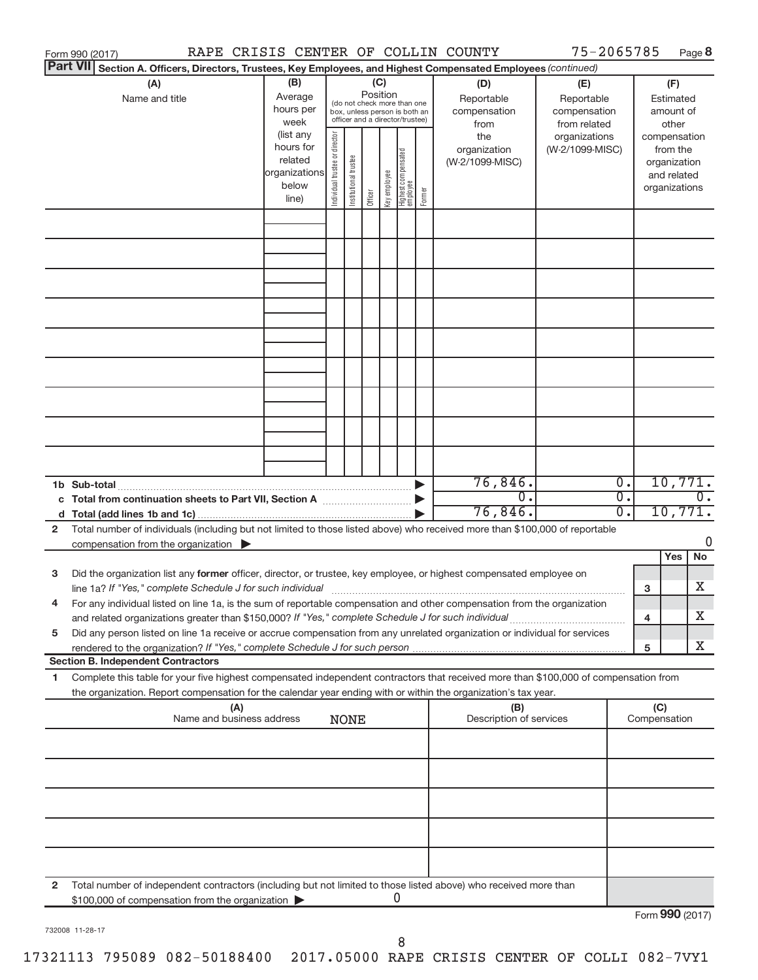|                 | RAPE CRISIS CENTER OF COLLIN COUNTY<br>Form 990 (2017)                                                                                                                                                                                                                |                                                                      |                                                                                                                            |                       |         |              |                                   |        |                                        |                                                                                                                                                   |  |                                        |                                                                          | Page 8                      |
|-----------------|-----------------------------------------------------------------------------------------------------------------------------------------------------------------------------------------------------------------------------------------------------------------------|----------------------------------------------------------------------|----------------------------------------------------------------------------------------------------------------------------|-----------------------|---------|--------------|-----------------------------------|--------|----------------------------------------|---------------------------------------------------------------------------------------------------------------------------------------------------|--|----------------------------------------|--------------------------------------------------------------------------|-----------------------------|
| <b>Part VII</b> | Section A. Officers, Directors, Trustees, Key Employees, and Highest Compensated Employees (continued)                                                                                                                                                                |                                                                      |                                                                                                                            |                       |         |              |                                   |        |                                        |                                                                                                                                                   |  |                                        |                                                                          |                             |
|                 | (A)<br>Name and title                                                                                                                                                                                                                                                 | (B)<br>Average<br>hours per<br>week                                  | (C)<br>Position<br>(do not check more than one<br>box, unless person is both an<br>officer and a director/trustee)<br>from |                       |         |              |                                   |        | (D)<br>Reportable<br>compensation      | 75-2065785<br>(E)<br>Reportable<br>compensation<br>from related<br>organizations<br>(W-2/1099-MISC)<br>$\overline{0}$ .<br>σ.<br>$\overline{0}$ . |  | (F)<br>Estimated<br>amount of<br>other |                                                                          |                             |
|                 |                                                                                                                                                                                                                                                                       | (list any<br>hours for<br>related<br>organizations<br>below<br>line) | Individual trustee or director                                                                                             | Institutional trustee | Officer | Key employee | Highest compensated<br>  employee | Former | the<br>organization<br>(W-2/1099-MISC) |                                                                                                                                                   |  |                                        | compensation<br>from the<br>organization<br>and related<br>organizations |                             |
|                 |                                                                                                                                                                                                                                                                       |                                                                      |                                                                                                                            |                       |         |              |                                   |        |                                        |                                                                                                                                                   |  |                                        |                                                                          |                             |
|                 |                                                                                                                                                                                                                                                                       |                                                                      |                                                                                                                            |                       |         |              |                                   |        |                                        |                                                                                                                                                   |  |                                        |                                                                          |                             |
|                 |                                                                                                                                                                                                                                                                       |                                                                      |                                                                                                                            |                       |         |              |                                   |        |                                        |                                                                                                                                                   |  |                                        |                                                                          |                             |
|                 |                                                                                                                                                                                                                                                                       |                                                                      |                                                                                                                            |                       |         |              |                                   |        |                                        |                                                                                                                                                   |  |                                        |                                                                          |                             |
|                 |                                                                                                                                                                                                                                                                       |                                                                      |                                                                                                                            |                       |         |              |                                   |        |                                        |                                                                                                                                                   |  |                                        |                                                                          |                             |
|                 |                                                                                                                                                                                                                                                                       |                                                                      |                                                                                                                            |                       |         |              |                                   |        |                                        |                                                                                                                                                   |  |                                        |                                                                          |                             |
|                 |                                                                                                                                                                                                                                                                       |                                                                      |                                                                                                                            |                       |         |              |                                   |        |                                        |                                                                                                                                                   |  |                                        |                                                                          |                             |
|                 |                                                                                                                                                                                                                                                                       |                                                                      |                                                                                                                            |                       |         |              |                                   |        |                                        |                                                                                                                                                   |  |                                        |                                                                          |                             |
|                 | c Total from continuation sheets to Part VII, Section A [11, 11, 11, 11]                                                                                                                                                                                              |                                                                      |                                                                                                                            |                       |         |              |                                   |        | 76,846.<br>$\overline{0}$ .            |                                                                                                                                                   |  |                                        |                                                                          | 10,771.<br>$\overline{0}$ . |
|                 |                                                                                                                                                                                                                                                                       |                                                                      |                                                                                                                            |                       |         |              |                                   |        | 76,846.                                |                                                                                                                                                   |  |                                        |                                                                          | 10,771.                     |
| $\mathbf{2}$    | Total number of individuals (including but not limited to those listed above) who received more than \$100,000 of reportable                                                                                                                                          |                                                                      |                                                                                                                            |                       |         |              |                                   |        |                                        |                                                                                                                                                   |  |                                        |                                                                          |                             |
|                 | compensation from the organization $\blacktriangleright$                                                                                                                                                                                                              |                                                                      |                                                                                                                            |                       |         |              |                                   |        |                                        |                                                                                                                                                   |  |                                        | Yes                                                                      | 0<br>No                     |
| 3               | Did the organization list any former officer, director, or trustee, key employee, or highest compensated employee on<br>line 1a? If "Yes," complete Schedule J for such individual [11] manufacture manufacture 1a? If "Yes," complete Schedule J for such individual |                                                                      |                                                                                                                            |                       |         |              |                                   |        |                                        |                                                                                                                                                   |  | 3                                      |                                                                          | x                           |
|                 | For any individual listed on line 1a, is the sum of reportable compensation and other compensation from the organization<br>and related organizations greater than \$150,000? If "Yes," complete Schedule J for such individual                                       |                                                                      |                                                                                                                            |                       |         |              |                                   |        |                                        |                                                                                                                                                   |  | 4                                      |                                                                          | x                           |
| 5               | Did any person listed on line 1a receive or accrue compensation from any unrelated organization or individual for services<br>rendered to the organization? If "Yes," complete Schedule J for such person.                                                            |                                                                      |                                                                                                                            |                       |         |              |                                   |        |                                        |                                                                                                                                                   |  | 5                                      |                                                                          | x                           |
|                 | <b>Section B. Independent Contractors</b>                                                                                                                                                                                                                             |                                                                      |                                                                                                                            |                       |         |              |                                   |        |                                        |                                                                                                                                                   |  |                                        |                                                                          |                             |
| 1               | Complete this table for your five highest compensated independent contractors that received more than \$100,000 of compensation from<br>the organization. Report compensation for the calendar year ending with or within the organization's tax year.                |                                                                      |                                                                                                                            |                       |         |              |                                   |        |                                        |                                                                                                                                                   |  |                                        |                                                                          |                             |
|                 | (A)<br>Name and business address                                                                                                                                                                                                                                      |                                                                      |                                                                                                                            | <b>NONE</b>           |         |              |                                   |        | (B)<br>Description of services         |                                                                                                                                                   |  | (C)<br>Compensation                    |                                                                          |                             |
|                 |                                                                                                                                                                                                                                                                       |                                                                      |                                                                                                                            |                       |         |              |                                   |        |                                        |                                                                                                                                                   |  |                                        |                                                                          |                             |
|                 |                                                                                                                                                                                                                                                                       |                                                                      |                                                                                                                            |                       |         |              |                                   |        |                                        |                                                                                                                                                   |  |                                        |                                                                          |                             |
|                 |                                                                                                                                                                                                                                                                       |                                                                      |                                                                                                                            |                       |         |              |                                   |        |                                        |                                                                                                                                                   |  |                                        |                                                                          |                             |
|                 |                                                                                                                                                                                                                                                                       |                                                                      |                                                                                                                            |                       |         |              |                                   |        |                                        |                                                                                                                                                   |  |                                        |                                                                          |                             |
| $\mathbf{2}$    | Total number of independent contractors (including but not limited to those listed above) who received more than<br>\$100,000 of compensation from the organization                                                                                                   |                                                                      |                                                                                                                            |                       |         |              | 0                                 |        |                                        |                                                                                                                                                   |  |                                        |                                                                          |                             |
|                 |                                                                                                                                                                                                                                                                       |                                                                      |                                                                                                                            |                       |         |              |                                   |        |                                        |                                                                                                                                                   |  | Form 990 (2017)                        |                                                                          |                             |

732008 11-28-17

Form 990 (2017)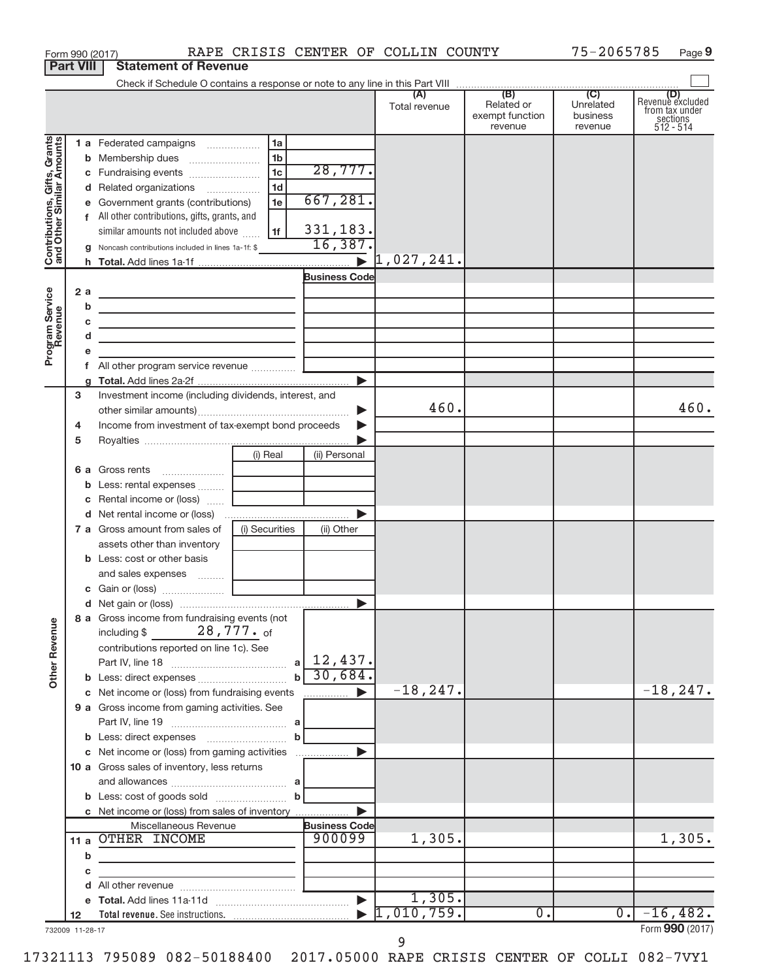|                                                                                         | <b>Part VIII</b> |        | <b>Statement of Revenue</b>                                                                                                                                                                                                                                                                                                                                                                                                                                                                                                                                   |                                                          |                                                                     |                                  |                                          |                                  |                                                                    |
|-----------------------------------------------------------------------------------------|------------------|--------|---------------------------------------------------------------------------------------------------------------------------------------------------------------------------------------------------------------------------------------------------------------------------------------------------------------------------------------------------------------------------------------------------------------------------------------------------------------------------------------------------------------------------------------------------------------|----------------------------------------------------------|---------------------------------------------------------------------|----------------------------------|------------------------------------------|----------------------------------|--------------------------------------------------------------------|
|                                                                                         |                  |        |                                                                                                                                                                                                                                                                                                                                                                                                                                                                                                                                                               |                                                          |                                                                     |                                  |                                          |                                  |                                                                    |
|                                                                                         |                  |        |                                                                                                                                                                                                                                                                                                                                                                                                                                                                                                                                                               |                                                          |                                                                     | Total revenue                    | Related or<br>exempt function<br>revenue | Unrelated<br>business<br>revenue | (D)<br>Revenue excluded<br>trom tax under<br>sections<br>512 - 514 |
| Contributions, Gifts, Grants<br>and Other Similar Amounts<br>Program Service<br>Revenue | 2a               | b      | 1 a Federated campaigns<br>d Related organizations<br>e Government grants (contributions)<br>f All other contributions, gifts, grants, and<br>similar amounts not included above<br>Noncash contributions included in lines 1a-1f: \$<br>the control of the control of the control of the control of the control of<br>the control of the control of the control of the control of the control of<br>the control of the control of the control of the control of the control of<br>the control of the control of the control of the control of the control of | 1a<br>1b<br>1 <sub>c</sub><br>1 <sub>d</sub><br>1e<br>1f | 28,777.<br>667, 281.<br>331,183.<br>16,387.<br><b>Business Code</b> | 1,027,241.                       |                                          |                                  |                                                                    |
|                                                                                         |                  |        |                                                                                                                                                                                                                                                                                                                                                                                                                                                                                                                                                               |                                                          |                                                                     |                                  |                                          |                                  |                                                                    |
|                                                                                         | з<br>4<br>5      |        | Investment income (including dividends, interest, and<br>Income from investment of tax-exempt bond proceeds                                                                                                                                                                                                                                                                                                                                                                                                                                                   |                                                          |                                                                     | 460.                             |                                          |                                  | 460.                                                               |
|                                                                                         |                  | b      | 6 a Gross rents<br>Less: rental expenses<br>c Rental income or (loss)                                                                                                                                                                                                                                                                                                                                                                                                                                                                                         | (i) Real                                                 | (ii) Personal                                                       |                                  |                                          |                                  |                                                                    |
|                                                                                         |                  |        |                                                                                                                                                                                                                                                                                                                                                                                                                                                                                                                                                               |                                                          |                                                                     |                                  |                                          |                                  |                                                                    |
|                                                                                         |                  |        | <b>7 a</b> Gross amount from sales of<br>assets other than inventory<br><b>b</b> Less: cost or other basis<br>and sales expenses                                                                                                                                                                                                                                                                                                                                                                                                                              | (i) Securities                                           | (ii) Other                                                          |                                  |                                          |                                  |                                                                    |
|                                                                                         |                  |        |                                                                                                                                                                                                                                                                                                                                                                                                                                                                                                                                                               |                                                          |                                                                     |                                  |                                          |                                  |                                                                    |
| <b>Other Revenue</b>                                                                    |                  |        | 8 a Gross income from fundraising events (not<br>$28$ , $777$ $\cdot$ of<br>including \$<br>contributions reported on line 1c). See                                                                                                                                                                                                                                                                                                                                                                                                                           |                                                          | 12,437.                                                             |                                  |                                          |                                  |                                                                    |
|                                                                                         |                  |        |                                                                                                                                                                                                                                                                                                                                                                                                                                                                                                                                                               | $\mathbf{b}$                                             | 30,684.                                                             | $-18, 247.$                      |                                          |                                  | $-18, 247.$                                                        |
|                                                                                         |                  |        | c Net income or (loss) from fundraising events<br>9 a Gross income from gaming activities. See                                                                                                                                                                                                                                                                                                                                                                                                                                                                |                                                          | $\ldots$ . $\blacktriangleright$                                    |                                  |                                          |                                  |                                                                    |
|                                                                                         |                  |        | c Net income or (loss) from gaming activities<br>10 a Gross sales of inventory, less returns                                                                                                                                                                                                                                                                                                                                                                                                                                                                  | $\mathbf b$                                              |                                                                     |                                  |                                          |                                  |                                                                    |
|                                                                                         |                  |        |                                                                                                                                                                                                                                                                                                                                                                                                                                                                                                                                                               |                                                          |                                                                     |                                  |                                          |                                  |                                                                    |
|                                                                                         |                  | b      | Miscellaneous Revenue<br>11 a OTHER INCOME<br>the control of the control of the control of                                                                                                                                                                                                                                                                                                                                                                                                                                                                    |                                                          | <b>Business Code</b><br>900099                                      | 1,305.                           |                                          |                                  | 1,305.                                                             |
|                                                                                         |                  | с<br>d |                                                                                                                                                                                                                                                                                                                                                                                                                                                                                                                                                               | the control of the control of the control of             |                                                                     | 1,305.                           |                                          |                                  |                                                                    |
|                                                                                         | 12               |        |                                                                                                                                                                                                                                                                                                                                                                                                                                                                                                                                                               |                                                          |                                                                     | $\blacktriangleright$ 1,010,759. | 0.                                       | 0.                               | $-16,482.$<br>Enrm $QQ \cap (2017)$                                |

Form 990 (2017) RAPE CRISIS CENTER OF COLLIN COUNTY 75-2065785 Page

732009 11-28-17

Form (2017) **990**

75-2065785 Page 9

17321113 795089 082-50188400 2017.05000 RAPE CRISIS CENTER OF COLLI 082-7VY1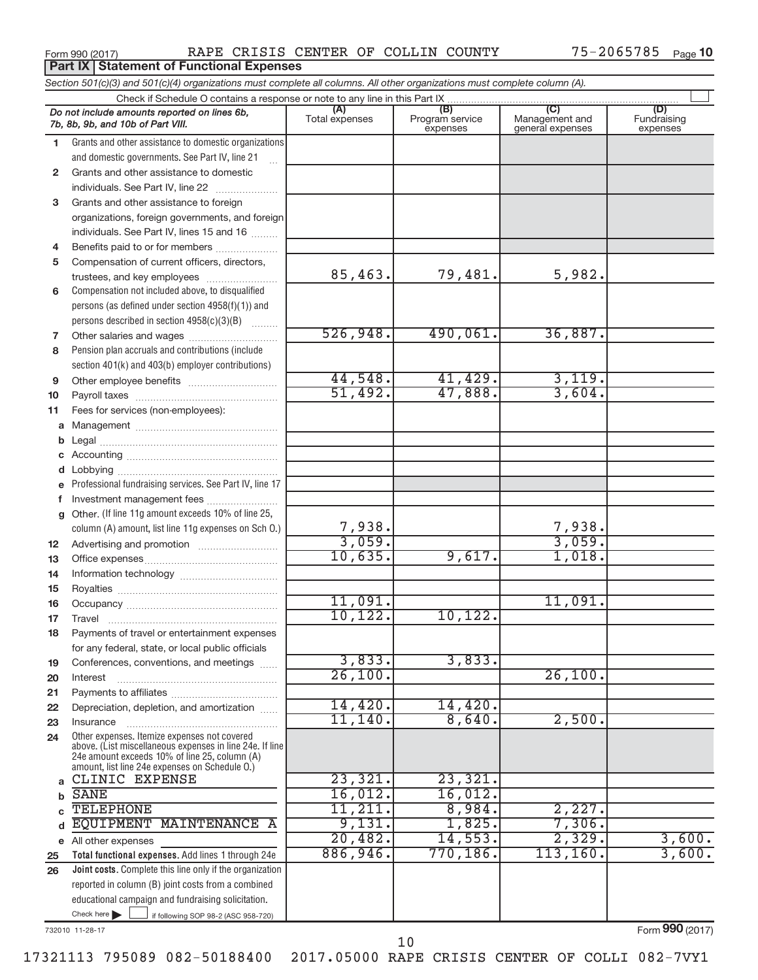**Part IX Statement of Functional Expenses**

|              | Section 501(c)(3) and 501(c)(4) organizations must complete all columns. All other organizations must complete column (A).                                                                                  |                       |                                    |                                    |                                |  |  |  |  |  |
|--------------|-------------------------------------------------------------------------------------------------------------------------------------------------------------------------------------------------------------|-----------------------|------------------------------------|------------------------------------|--------------------------------|--|--|--|--|--|
| (C)          |                                                                                                                                                                                                             |                       |                                    |                                    |                                |  |  |  |  |  |
|              | Do not include amounts reported on lines 6b,<br>7b, 8b, 9b, and 10b of Part VIII.                                                                                                                           | (A)<br>Total expenses | (B)<br>Program service<br>expenses | Management and<br>general expenses | (D)<br>Fundraising<br>expenses |  |  |  |  |  |
| 1.           | Grants and other assistance to domestic organizations                                                                                                                                                       |                       |                                    |                                    |                                |  |  |  |  |  |
|              | and domestic governments. See Part IV, line 21<br>$\ddotsc$                                                                                                                                                 |                       |                                    |                                    |                                |  |  |  |  |  |
| $\mathbf{2}$ | Grants and other assistance to domestic                                                                                                                                                                     |                       |                                    |                                    |                                |  |  |  |  |  |
|              | individuals. See Part IV, line 22<br>$\overline{\phantom{a}}$                                                                                                                                               |                       |                                    |                                    |                                |  |  |  |  |  |
| 3            | Grants and other assistance to foreign                                                                                                                                                                      |                       |                                    |                                    |                                |  |  |  |  |  |
|              | organizations, foreign governments, and foreign                                                                                                                                                             |                       |                                    |                                    |                                |  |  |  |  |  |
|              | individuals. See Part IV, lines 15 and 16                                                                                                                                                                   |                       |                                    |                                    |                                |  |  |  |  |  |
| 4            | Benefits paid to or for members                                                                                                                                                                             |                       |                                    |                                    |                                |  |  |  |  |  |
| 5            | Compensation of current officers, directors,                                                                                                                                                                |                       |                                    |                                    |                                |  |  |  |  |  |
|              | trustees, and key employees                                                                                                                                                                                 | 85,463.               | 79,481.                            | 5,982.                             |                                |  |  |  |  |  |
| 6            | Compensation not included above, to disqualified                                                                                                                                                            |                       |                                    |                                    |                                |  |  |  |  |  |
|              | persons (as defined under section 4958(f)(1)) and                                                                                                                                                           |                       |                                    |                                    |                                |  |  |  |  |  |
|              | persons described in section $4958(c)(3)(B)$                                                                                                                                                                | 526,948.              | 490,061.                           | 36,887.                            |                                |  |  |  |  |  |
| 7            |                                                                                                                                                                                                             |                       |                                    |                                    |                                |  |  |  |  |  |
| 8            | Pension plan accruals and contributions (include                                                                                                                                                            |                       |                                    |                                    |                                |  |  |  |  |  |
| 9            | section 401(k) and 403(b) employer contributions)                                                                                                                                                           | 44,548.               | 41,429.                            | 3,119.                             |                                |  |  |  |  |  |
|              |                                                                                                                                                                                                             | 51,492.               | 47,888.                            | 3,604.                             |                                |  |  |  |  |  |
| 10<br>11     | Fees for services (non-employees):                                                                                                                                                                          |                       |                                    |                                    |                                |  |  |  |  |  |
|              |                                                                                                                                                                                                             |                       |                                    |                                    |                                |  |  |  |  |  |
| b            |                                                                                                                                                                                                             |                       |                                    |                                    |                                |  |  |  |  |  |
| c            |                                                                                                                                                                                                             |                       |                                    |                                    |                                |  |  |  |  |  |
| d            |                                                                                                                                                                                                             |                       |                                    |                                    |                                |  |  |  |  |  |
| e            | Professional fundraising services. See Part IV, line 17                                                                                                                                                     |                       |                                    |                                    |                                |  |  |  |  |  |
| f            | Investment management fees                                                                                                                                                                                  |                       |                                    |                                    |                                |  |  |  |  |  |
| g            | Other. (If line 11g amount exceeds 10% of line 25,                                                                                                                                                          |                       |                                    |                                    |                                |  |  |  |  |  |
|              | column (A) amount, list line 11g expenses on Sch O.)                                                                                                                                                        |                       |                                    | 7,938.                             |                                |  |  |  |  |  |
| 12           |                                                                                                                                                                                                             | $\frac{7,938}{3,059}$ |                                    | 3,059.                             |                                |  |  |  |  |  |
| 13           |                                                                                                                                                                                                             | 10,635.               | 9,617.                             | 1,018.                             |                                |  |  |  |  |  |
| 14           |                                                                                                                                                                                                             |                       |                                    |                                    |                                |  |  |  |  |  |
| 15           |                                                                                                                                                                                                             |                       |                                    |                                    |                                |  |  |  |  |  |
| 16           |                                                                                                                                                                                                             | 11,091.               |                                    | 11,091.                            |                                |  |  |  |  |  |
| 17           |                                                                                                                                                                                                             | 10, 122.              | 10,122.                            |                                    |                                |  |  |  |  |  |
| 18           | Payments of travel or entertainment expenses                                                                                                                                                                |                       |                                    |                                    |                                |  |  |  |  |  |
|              | for any federal, state, or local public officials                                                                                                                                                           |                       |                                    |                                    |                                |  |  |  |  |  |
| 19           | Conferences, conventions, and meetings                                                                                                                                                                      | 3,833.                | 3,833.                             |                                    |                                |  |  |  |  |  |
| 20           | Interest                                                                                                                                                                                                    | 26,100.               |                                    | 26,100.                            |                                |  |  |  |  |  |
| 21           |                                                                                                                                                                                                             |                       |                                    |                                    |                                |  |  |  |  |  |
| 22           | Depreciation, depletion, and amortization                                                                                                                                                                   | 14,420.<br>11, 140.   | 14,420.<br>8,640.                  | 2,500.                             |                                |  |  |  |  |  |
| 23           | Insurance                                                                                                                                                                                                   |                       |                                    |                                    |                                |  |  |  |  |  |
| 24           | Other expenses. Itemize expenses not covered<br>above. (List miscellaneous expenses in line 24e. If line<br>24e amount exceeds 10% of line 25, column (A)<br>amount, list line 24e expenses on Schedule O.) |                       |                                    |                                    |                                |  |  |  |  |  |
|              | CLINIC EXPENSE                                                                                                                                                                                              | 23,321.               | 23,321.                            |                                    |                                |  |  |  |  |  |
| b            | <b>SANE</b>                                                                                                                                                                                                 | 16,012.               | 16,012.                            |                                    |                                |  |  |  |  |  |
|              | <b>TELEPHONE</b>                                                                                                                                                                                            | 11,211.               | 8,984.                             | 2,227.                             |                                |  |  |  |  |  |
| d            | EQUIPMENT<br>MAINTENANCE A                                                                                                                                                                                  | 9,131.                | 1,825.                             | 7,306.                             |                                |  |  |  |  |  |
|              | e All other expenses                                                                                                                                                                                        | 20,482.               | 14,553.                            | 2,329.                             | 3,600.                         |  |  |  |  |  |
| 25           | Total functional expenses. Add lines 1 through 24e                                                                                                                                                          | 886,946.              | 770,186.                           | 113, 160.                          | 3,600.                         |  |  |  |  |  |
| 26           | Joint costs. Complete this line only if the organization                                                                                                                                                    |                       |                                    |                                    |                                |  |  |  |  |  |
|              | reported in column (B) joint costs from a combined                                                                                                                                                          |                       |                                    |                                    |                                |  |  |  |  |  |
|              | educational campaign and fundraising solicitation.                                                                                                                                                          |                       |                                    |                                    |                                |  |  |  |  |  |
|              | Check here $\blacktriangleright$<br>if following SOP 98-2 (ASC 958-720)                                                                                                                                     |                       |                                    |                                    |                                |  |  |  |  |  |

732010 11-28-17

Form (2017) **990**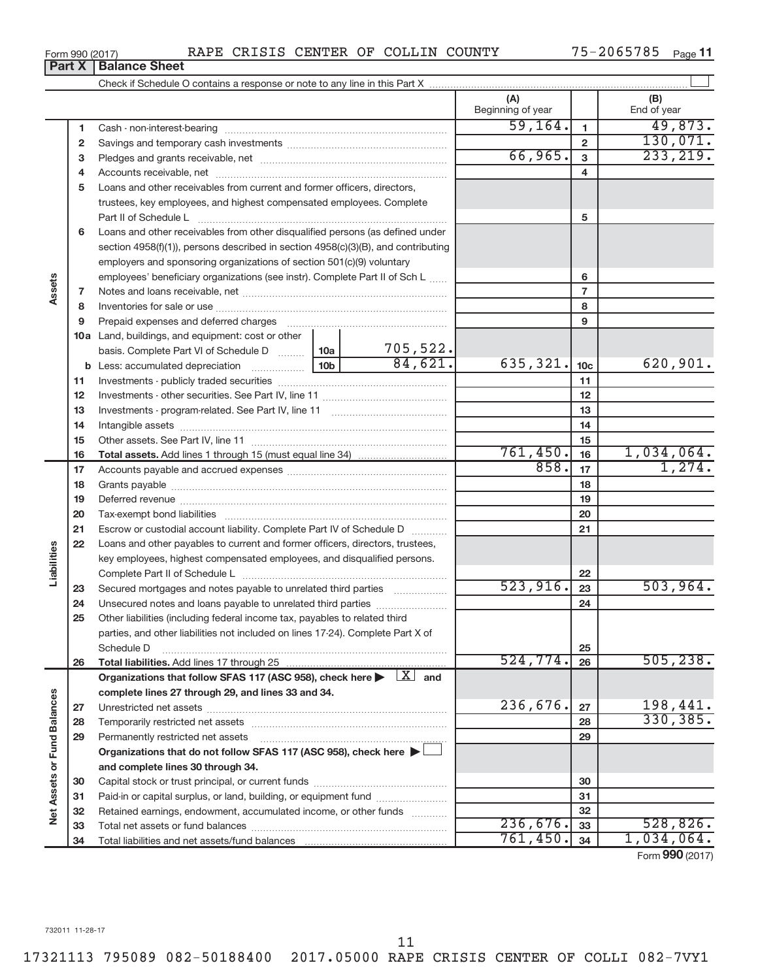**33 34**

| Form 990 (2017) |  |  |  |  | RAPE CRISIS CENTER OF COLLIN COUNTY |  | $75 - 2065785$ Page 11 |  |
|-----------------|--|--|--|--|-------------------------------------|--|------------------------|--|
|-----------------|--|--|--|--|-------------------------------------|--|------------------------|--|

|                                    | Part X | <b>Balance Sheet</b>                                                                                                                                                                                                           |         |          |                          |                 |                    |
|------------------------------------|--------|--------------------------------------------------------------------------------------------------------------------------------------------------------------------------------------------------------------------------------|---------|----------|--------------------------|-----------------|--------------------|
|                                    |        |                                                                                                                                                                                                                                |         |          |                          |                 |                    |
|                                    |        |                                                                                                                                                                                                                                |         |          | (A)<br>Beginning of year |                 | (B)<br>End of year |
|                                    | 1      |                                                                                                                                                                                                                                |         |          | 59, 164.                 | 1               | 49,873.            |
|                                    | 2      |                                                                                                                                                                                                                                |         |          |                          | $\overline{2}$  | 130,071.           |
|                                    | з      |                                                                                                                                                                                                                                |         |          | 66,965.                  | 3               | 233, 219.          |
|                                    | 4      |                                                                                                                                                                                                                                |         |          | 4                        |                 |                    |
|                                    | 5      | Loans and other receivables from current and former officers, directors,                                                                                                                                                       |         |          |                          |                 |                    |
|                                    |        | trustees, key employees, and highest compensated employees. Complete                                                                                                                                                           |         |          |                          |                 |                    |
|                                    |        | Part II of Schedule L                                                                                                                                                                                                          |         | 5        |                          |                 |                    |
|                                    | 6      | Loans and other receivables from other disqualified persons (as defined under                                                                                                                                                  |         |          |                          |                 |                    |
|                                    |        | section $4958(f)(1)$ , persons described in section $4958(c)(3)(B)$ , and contributing                                                                                                                                         |         |          |                          |                 |                    |
|                                    |        | employers and sponsoring organizations of section 501(c)(9) voluntary                                                                                                                                                          |         |          |                          |                 |                    |
|                                    |        | employees' beneficiary organizations (see instr). Complete Part II of Sch L                                                                                                                                                    |         |          |                          | 6               |                    |
| Assets                             | 7      |                                                                                                                                                                                                                                |         |          | $\overline{7}$           |                 |                    |
|                                    | 8      |                                                                                                                                                                                                                                |         |          |                          | 8               |                    |
|                                    | 9      | Prepaid expenses and deferred charges [11] matter continuum matter and referred charges [11] matter continuum matter continuum matter and continuum matter continuum matter continuum matter continuum matter continuum matter |         |          |                          | 9               |                    |
|                                    |        | <b>10a</b> Land, buildings, and equipment: cost or other                                                                                                                                                                       |         |          |                          |                 |                    |
|                                    |        | basis. Complete Part VI of Schedule D  10a                                                                                                                                                                                     |         | 705,522. |                          |                 |                    |
|                                    |        | <b>b</b> Less: accumulated depreciation <b>contains a</b> 10b                                                                                                                                                                  |         | 84,621.  | 635, 321.                | 10 <sub>c</sub> | 620,901.           |
|                                    | 11     |                                                                                                                                                                                                                                |         | 11       |                          |                 |                    |
|                                    | 12     |                                                                                                                                                                                                                                |         | 12       |                          |                 |                    |
|                                    | 13     |                                                                                                                                                                                                                                |         | 13       |                          |                 |                    |
|                                    | 14     |                                                                                                                                                                                                                                |         | 14       |                          |                 |                    |
|                                    | 15     |                                                                                                                                                                                                                                |         | 15       |                          |                 |                    |
|                                    | 16     |                                                                                                                                                                                                                                |         |          | 761,450.                 | 16              | 1,034,064.         |
|                                    | 17     |                                                                                                                                                                                                                                |         |          | 858.                     | 17              | 1,274.             |
|                                    | 18     |                                                                                                                                                                                                                                |         |          |                          | 18              |                    |
|                                    | 19     |                                                                                                                                                                                                                                |         |          |                          | 19              |                    |
|                                    | 20     |                                                                                                                                                                                                                                |         |          |                          | 20              |                    |
|                                    | 21     | Escrow or custodial account liability. Complete Part IV of Schedule D                                                                                                                                                          |         |          |                          | 21              |                    |
|                                    | 22     | Loans and other payables to current and former officers, directors, trustees,                                                                                                                                                  |         |          |                          |                 |                    |
| Liabilities                        |        | key employees, highest compensated employees, and disqualified persons.                                                                                                                                                        |         |          |                          |                 |                    |
|                                    |        |                                                                                                                                                                                                                                |         |          |                          | 22              |                    |
|                                    | 23     | Secured mortgages and notes payable to unrelated third parties <i>manumum</i>                                                                                                                                                  |         |          | 523,916.                 | 23              | 503, 964.          |
|                                    | 24     |                                                                                                                                                                                                                                |         |          |                          | 24              |                    |
|                                    | 25     | Other liabilities (including federal income tax, payables to related third                                                                                                                                                     |         |          |                          |                 |                    |
|                                    |        | parties, and other liabilities not included on lines 17-24). Complete Part X of                                                                                                                                                |         |          |                          |                 |                    |
|                                    |        | Schedule D                                                                                                                                                                                                                     |         |          | 524,774.                 | 25<br>26        | 505, 238.          |
|                                    | 26     | Organizations that follow SFAS 117 (ASC 958), check here $\blacktriangleright \lfloor \underline{X} \rfloor$ and                                                                                                               |         |          |                          |                 |                    |
|                                    |        | complete lines 27 through 29, and lines 33 and 34.                                                                                                                                                                             |         |          |                          |                 |                    |
|                                    | 27     |                                                                                                                                                                                                                                |         |          | 236,676.                 | 27              | 198,441.           |
|                                    | 28     |                                                                                                                                                                                                                                |         |          |                          | 28              | 330, 385.          |
|                                    | 29     | Permanently restricted net assets                                                                                                                                                                                              |         |          |                          | 29              |                    |
|                                    |        | Organizations that do not follow SFAS 117 (ASC 958), check here $\blacktriangleright$                                                                                                                                          |         |          |                          |                 |                    |
| <b>Vet Assets or Fund Balances</b> |        | and complete lines 30 through 34.                                                                                                                                                                                              |         |          |                          |                 |                    |
|                                    | 30     |                                                                                                                                                                                                                                |         |          |                          | 30              |                    |
|                                    | 31     | Paid-in or capital surplus, or land, building, or equipment fund                                                                                                                                                               |         |          |                          | 31              |                    |
|                                    | 32     | Retained earnings, endowment, accumulated income, or other funds                                                                                                                                                               |         |          |                          | 32              |                    |
|                                    |        |                                                                                                                                                                                                                                | 236 676 | $\sim$   | 528826                   |                 |                    |

Form (2017) **990**

**33 34**

 $236,676.$  33 528,826.  $761,450.$   $34$   $1,034,064.$ 

17321113 795089 082-50188400 2017.05000 RAPE CRISIS CENTER OF COLLI 082-7VY1

Total net assets or fund balances ~~~~~~~~~~~~~~~~~~~~~~

Total liabilities and net assets/fund balances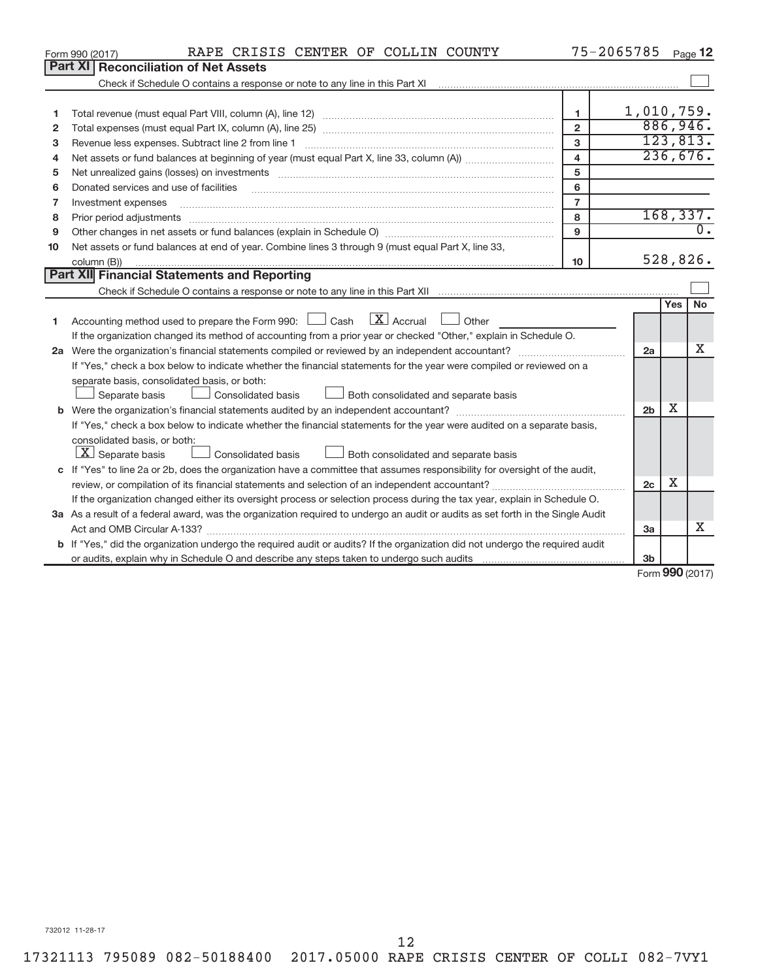|              | RAPE CRISIS CENTER OF COLLIN COUNTY<br>Form 990 (2017)                                                                                                                                                                         |                         | 75-2065785     |     | Page 12             |  |  |  |
|--------------|--------------------------------------------------------------------------------------------------------------------------------------------------------------------------------------------------------------------------------|-------------------------|----------------|-----|---------------------|--|--|--|
|              | Part XII<br><b>Reconciliation of Net Assets</b>                                                                                                                                                                                |                         |                |     |                     |  |  |  |
|              |                                                                                                                                                                                                                                |                         |                |     |                     |  |  |  |
|              |                                                                                                                                                                                                                                |                         |                |     |                     |  |  |  |
| 1            |                                                                                                                                                                                                                                | 1                       | 1,010,759.     |     |                     |  |  |  |
| $\mathbf{2}$ |                                                                                                                                                                                                                                | $\overline{2}$          |                |     | 886,946.            |  |  |  |
| 3            |                                                                                                                                                                                                                                | 3                       |                |     | 123,813.            |  |  |  |
| 4            |                                                                                                                                                                                                                                | $\overline{\mathbf{4}}$ |                |     | 236,676.            |  |  |  |
| 5            | Net unrealized gains (losses) on investments [111] matter in the contract of the contract of the contract of the contract of the contract of the contract of the contract of the contract of the contract of the contract of t | 5                       |                |     |                     |  |  |  |
| 6            | Donated services and use of facilities                                                                                                                                                                                         | 6                       |                |     |                     |  |  |  |
| 7            | Investment expenses                                                                                                                                                                                                            | $\overline{7}$          |                |     |                     |  |  |  |
| 8            |                                                                                                                                                                                                                                | 8                       |                |     | 168, 337.           |  |  |  |
| 9            |                                                                                                                                                                                                                                | 9                       |                |     | $\overline{0}$ .    |  |  |  |
| 10           | Net assets or fund balances at end of year. Combine lines 3 through 9 (must equal Part X, line 33,                                                                                                                             |                         |                |     |                     |  |  |  |
|              | column (B))                                                                                                                                                                                                                    | 10                      |                |     | 528,826.            |  |  |  |
|              | Part XII Financial Statements and Reporting                                                                                                                                                                                    |                         |                |     |                     |  |  |  |
|              |                                                                                                                                                                                                                                |                         |                |     |                     |  |  |  |
|              |                                                                                                                                                                                                                                |                         |                | Yes | No                  |  |  |  |
| 1            | Accounting method used to prepare the Form 990: $\Box$ Cash $\Box X$ Accrual<br>Other                                                                                                                                          |                         |                |     |                     |  |  |  |
|              | If the organization changed its method of accounting from a prior year or checked "Other," explain in Schedule O.                                                                                                              |                         |                |     |                     |  |  |  |
|              |                                                                                                                                                                                                                                |                         | 2a             |     | x                   |  |  |  |
|              | If "Yes," check a box below to indicate whether the financial statements for the year were compiled or reviewed on a                                                                                                           |                         |                |     |                     |  |  |  |
|              | separate basis, consolidated basis, or both:                                                                                                                                                                                   |                         |                |     |                     |  |  |  |
|              | Both consolidated and separate basis<br>Separate basis<br>Consolidated basis                                                                                                                                                   |                         |                |     |                     |  |  |  |
|              |                                                                                                                                                                                                                                |                         | 2 <sub>b</sub> | x   |                     |  |  |  |
|              | If "Yes," check a box below to indicate whether the financial statements for the year were audited on a separate basis,                                                                                                        |                         |                |     |                     |  |  |  |
|              | consolidated basis, or both:                                                                                                                                                                                                   |                         |                |     |                     |  |  |  |
|              | $ \mathbf{X} $ Separate basis<br>Consolidated basis<br>Both consolidated and separate basis                                                                                                                                    |                         |                |     |                     |  |  |  |
|              | c If "Yes" to line 2a or 2b, does the organization have a committee that assumes responsibility for oversight of the audit,                                                                                                    |                         |                |     |                     |  |  |  |
|              |                                                                                                                                                                                                                                |                         | 2 <sub>c</sub> | x   |                     |  |  |  |
|              | If the organization changed either its oversight process or selection process during the tax year, explain in Schedule O.                                                                                                      |                         |                |     |                     |  |  |  |
|              | 3a As a result of a federal award, was the organization required to undergo an audit or audits as set forth in the Single Audit                                                                                                |                         |                |     |                     |  |  |  |
|              | Act and OMB Circular A-133?                                                                                                                                                                                                    |                         | 3a             |     | x                   |  |  |  |
|              | <b>b</b> If "Yes," did the organization undergo the required audit or audits? If the organization did not undergo the required audit                                                                                           |                         |                |     |                     |  |  |  |
|              |                                                                                                                                                                                                                                |                         | 3 <sub>b</sub> |     | $000 \text{ hours}$ |  |  |  |
|              |                                                                                                                                                                                                                                |                         |                |     |                     |  |  |  |

Form (2017) **990**

732012 11-28-17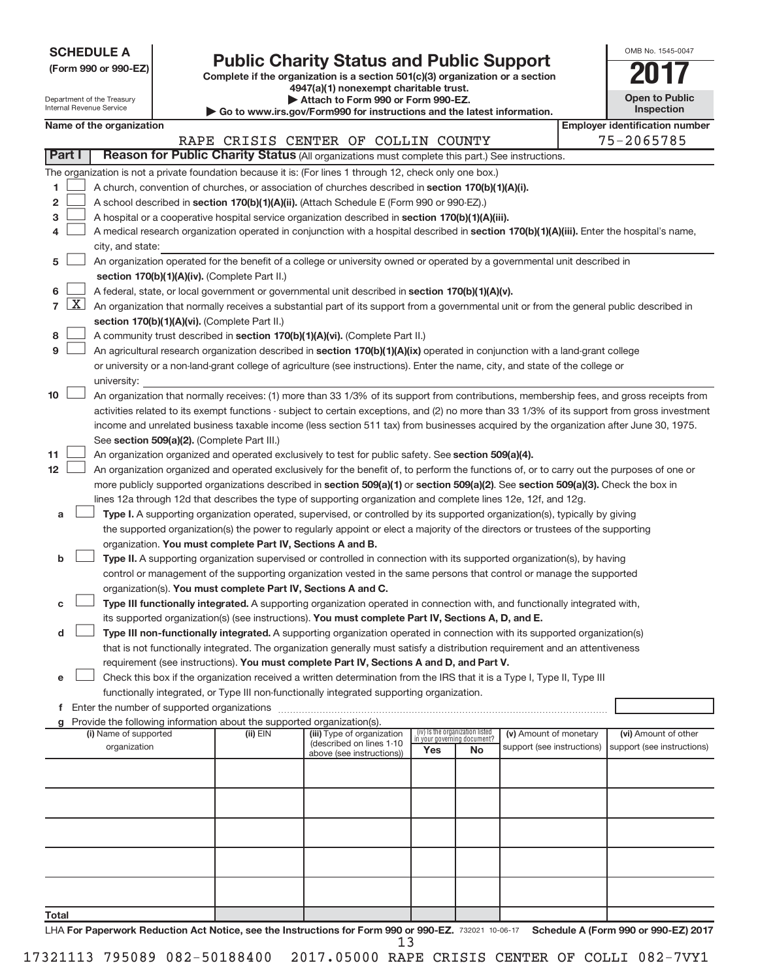| (Form 990 or 990-EZ) |  |  |
|----------------------|--|--|

# Form 990 or 990-EZ)<br>
Complete if the organization is a section 501(c)(3) organization or a section<br> **2017**

**4947(a)(1) nonexempt charitable trust.**

| OMB No. 1545-0047     |
|-----------------------|
|                       |
| <b>Open to Public</b> |

|                |                     | Department of the Treasury<br>Internal Revenue Service |                                                                                    | Attach to Form 990 or Form 990-EZ.<br>Go to www.irs.gov/Form990 for instructions and the latest information.                                                                                                                                                                           |                                 |                                   |                            | <b>Open to Public</b><br>Inspection   |
|----------------|---------------------|--------------------------------------------------------|------------------------------------------------------------------------------------|----------------------------------------------------------------------------------------------------------------------------------------------------------------------------------------------------------------------------------------------------------------------------------------|---------------------------------|-----------------------------------|----------------------------|---------------------------------------|
|                |                     | Name of the organization                               |                                                                                    |                                                                                                                                                                                                                                                                                        |                                 |                                   |                            | <b>Employer identification number</b> |
|                |                     |                                                        |                                                                                    | RAPE CRISIS CENTER OF COLLIN COUNTY                                                                                                                                                                                                                                                    |                                 |                                   |                            | 75-2065785                            |
|                | Part I              |                                                        |                                                                                    | Reason for Public Charity Status (All organizations must complete this part.) See instructions.                                                                                                                                                                                        |                                 |                                   |                            |                                       |
|                |                     |                                                        |                                                                                    | The organization is not a private foundation because it is: (For lines 1 through 12, check only one box.)                                                                                                                                                                              |                                 |                                   |                            |                                       |
| 1              |                     |                                                        |                                                                                    | A church, convention of churches, or association of churches described in section 170(b)(1)(A)(i).                                                                                                                                                                                     |                                 |                                   |                            |                                       |
| 2              |                     |                                                        |                                                                                    | A school described in section 170(b)(1)(A)(ii). (Attach Schedule E (Form 990 or 990-EZ).)                                                                                                                                                                                              |                                 |                                   |                            |                                       |
| з              |                     |                                                        |                                                                                    | A hospital or a cooperative hospital service organization described in section 170(b)(1)(A)(iii).                                                                                                                                                                                      |                                 |                                   |                            |                                       |
| 4              |                     |                                                        |                                                                                    | A medical research organization operated in conjunction with a hospital described in section 170(b)(1)(A)(iii). Enter the hospital's name,                                                                                                                                             |                                 |                                   |                            |                                       |
|                |                     | city, and state:                                       |                                                                                    |                                                                                                                                                                                                                                                                                        |                                 |                                   |                            |                                       |
| 5              |                     |                                                        |                                                                                    | An organization operated for the benefit of a college or university owned or operated by a governmental unit described in                                                                                                                                                              |                                 |                                   |                            |                                       |
|                |                     |                                                        | section 170(b)(1)(A)(iv). (Complete Part II.)                                      |                                                                                                                                                                                                                                                                                        |                                 |                                   |                            |                                       |
| 6              |                     |                                                        |                                                                                    | A federal, state, or local government or governmental unit described in section 170(b)(1)(A)(v).                                                                                                                                                                                       |                                 |                                   |                            |                                       |
| $\overline{7}$ | $\lfloor x \rfloor$ |                                                        |                                                                                    | An organization that normally receives a substantial part of its support from a governmental unit or from the general public described in                                                                                                                                              |                                 |                                   |                            |                                       |
|                |                     |                                                        | section 170(b)(1)(A)(vi). (Complete Part II.)                                      |                                                                                                                                                                                                                                                                                        |                                 |                                   |                            |                                       |
| 8              |                     |                                                        |                                                                                    | A community trust described in section 170(b)(1)(A)(vi). (Complete Part II.)                                                                                                                                                                                                           |                                 |                                   |                            |                                       |
| 9              |                     |                                                        |                                                                                    | An agricultural research organization described in section 170(b)(1)(A)(ix) operated in conjunction with a land-grant college                                                                                                                                                          |                                 |                                   |                            |                                       |
|                |                     |                                                        |                                                                                    | or university or a non-land-grant college of agriculture (see instructions). Enter the name, city, and state of the college or                                                                                                                                                         |                                 |                                   |                            |                                       |
| 10             |                     | university:                                            |                                                                                    |                                                                                                                                                                                                                                                                                        |                                 |                                   |                            |                                       |
|                |                     |                                                        |                                                                                    | An organization that normally receives: (1) more than 33 1/3% of its support from contributions, membership fees, and gross receipts from                                                                                                                                              |                                 |                                   |                            |                                       |
|                |                     |                                                        |                                                                                    | activities related to its exempt functions - subject to certain exceptions, and (2) no more than 33 1/3% of its support from gross investment<br>income and unrelated business taxable income (less section 511 tax) from businesses acquired by the organization after June 30, 1975. |                                 |                                   |                            |                                       |
|                |                     |                                                        | See section 509(a)(2). (Complete Part III.)                                        |                                                                                                                                                                                                                                                                                        |                                 |                                   |                            |                                       |
| 11             |                     |                                                        |                                                                                    | An organization organized and operated exclusively to test for public safety. See section 509(a)(4).                                                                                                                                                                                   |                                 |                                   |                            |                                       |
| 12             |                     |                                                        |                                                                                    | An organization organized and operated exclusively for the benefit of, to perform the functions of, or to carry out the purposes of one or                                                                                                                                             |                                 |                                   |                            |                                       |
|                |                     |                                                        |                                                                                    | more publicly supported organizations described in section 509(a)(1) or section 509(a)(2). See section 509(a)(3). Check the box in                                                                                                                                                     |                                 |                                   |                            |                                       |
|                |                     |                                                        |                                                                                    | lines 12a through 12d that describes the type of supporting organization and complete lines 12e, 12f, and 12g.                                                                                                                                                                         |                                 |                                   |                            |                                       |
| a              |                     |                                                        |                                                                                    | Type I. A supporting organization operated, supervised, or controlled by its supported organization(s), typically by giving                                                                                                                                                            |                                 |                                   |                            |                                       |
|                |                     |                                                        |                                                                                    | the supported organization(s) the power to regularly appoint or elect a majority of the directors or trustees of the supporting                                                                                                                                                        |                                 |                                   |                            |                                       |
|                |                     |                                                        | organization. You must complete Part IV, Sections A and B.                         |                                                                                                                                                                                                                                                                                        |                                 |                                   |                            |                                       |
| b              |                     |                                                        |                                                                                    | Type II. A supporting organization supervised or controlled in connection with its supported organization(s), by having                                                                                                                                                                |                                 |                                   |                            |                                       |
|                |                     |                                                        |                                                                                    | control or management of the supporting organization vested in the same persons that control or manage the supported                                                                                                                                                                   |                                 |                                   |                            |                                       |
|                |                     |                                                        | organization(s). You must complete Part IV, Sections A and C.                      |                                                                                                                                                                                                                                                                                        |                                 |                                   |                            |                                       |
| c              |                     |                                                        |                                                                                    | Type III functionally integrated. A supporting organization operated in connection with, and functionally integrated with,                                                                                                                                                             |                                 |                                   |                            |                                       |
|                |                     |                                                        |                                                                                    | its supported organization(s) (see instructions). You must complete Part IV, Sections A, D, and E.                                                                                                                                                                                     |                                 |                                   |                            |                                       |
| d              |                     |                                                        |                                                                                    | Type III non-functionally integrated. A supporting organization operated in connection with its supported organization(s)                                                                                                                                                              |                                 |                                   |                            |                                       |
|                |                     |                                                        |                                                                                    | that is not functionally integrated. The organization generally must satisfy a distribution requirement and an attentiveness                                                                                                                                                           |                                 |                                   |                            |                                       |
|                |                     |                                                        |                                                                                    | requirement (see instructions). You must complete Part IV, Sections A and D, and Part V.                                                                                                                                                                                               |                                 |                                   |                            |                                       |
| е              |                     |                                                        |                                                                                    | Check this box if the organization received a written determination from the IRS that it is a Type I, Type II, Type III                                                                                                                                                                |                                 |                                   |                            |                                       |
|                |                     |                                                        |                                                                                    | functionally integrated, or Type III non-functionally integrated supporting organization.                                                                                                                                                                                              |                                 |                                   |                            |                                       |
|                |                     |                                                        |                                                                                    |                                                                                                                                                                                                                                                                                        |                                 |                                   |                            |                                       |
|                |                     | (i) Name of supported                                  | Provide the following information about the supported organization(s).<br>(ii) EIN | (iii) Type of organization                                                                                                                                                                                                                                                             | (iv) Is the organization listed |                                   | (v) Amount of monetary     | (vi) Amount of other                  |
|                |                     | organization                                           |                                                                                    | (described on lines 1-10                                                                                                                                                                                                                                                               | Yes                             | in your governing document?<br>No | support (see instructions) | support (see instructions)            |
|                |                     |                                                        |                                                                                    | above (see instructions))                                                                                                                                                                                                                                                              |                                 |                                   |                            |                                       |
|                |                     |                                                        |                                                                                    |                                                                                                                                                                                                                                                                                        |                                 |                                   |                            |                                       |
|                |                     |                                                        |                                                                                    |                                                                                                                                                                                                                                                                                        |                                 |                                   |                            |                                       |
|                |                     |                                                        |                                                                                    |                                                                                                                                                                                                                                                                                        |                                 |                                   |                            |                                       |
|                |                     |                                                        |                                                                                    |                                                                                                                                                                                                                                                                                        |                                 |                                   |                            |                                       |
|                |                     |                                                        |                                                                                    |                                                                                                                                                                                                                                                                                        |                                 |                                   |                            |                                       |
|                |                     |                                                        |                                                                                    |                                                                                                                                                                                                                                                                                        |                                 |                                   |                            |                                       |
|                |                     |                                                        |                                                                                    |                                                                                                                                                                                                                                                                                        |                                 |                                   |                            |                                       |
|                |                     |                                                        |                                                                                    |                                                                                                                                                                                                                                                                                        |                                 |                                   |                            |                                       |
|                |                     |                                                        |                                                                                    |                                                                                                                                                                                                                                                                                        |                                 |                                   |                            |                                       |
| Total          |                     |                                                        |                                                                                    |                                                                                                                                                                                                                                                                                        |                                 |                                   |                            |                                       |

LHA For Paperwork Reduction Act Notice, see the Instructions for Form 990 or 990-EZ. 732021 10-06-17 Schedule A (Form 990 or 990-EZ) 2017 13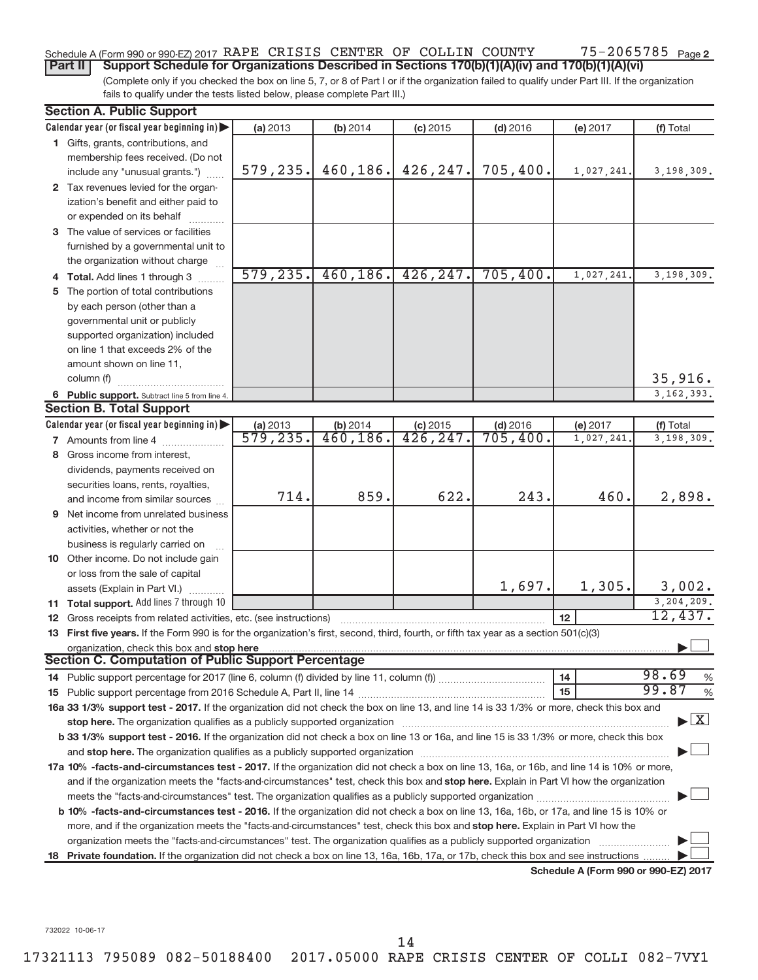#### 75-2065785 Page 2 Schedule A (Form 990 or 990-EZ) 2017 RAPE CRISIS CENTER OF COLLIN COUNTY 75-2065785 Page

(Complete only if you checked the box on line 5, 7, or 8 of Part I or if the organization failed to qualify under Part III. If the organization fails to qualify under the tests listed below, please complete Part III.) **Part II** | Support Schedule for Organizations Described in Sections 170(b)(1)(A)(iv) and 170(b)(1)(A)(vi)

| <b>Section A. Public Support</b>                                                                                                                                                                                              |                                     |                       |                         |            |                                      |               |
|-------------------------------------------------------------------------------------------------------------------------------------------------------------------------------------------------------------------------------|-------------------------------------|-----------------------|-------------------------|------------|--------------------------------------|---------------|
| Calendar year (or fiscal year beginning in)                                                                                                                                                                                   | (a) 2013                            | (b) 2014              | $(c)$ 2015              | $(d)$ 2016 | (e) 2017                             | (f) Total     |
| 1 Gifts, grants, contributions, and                                                                                                                                                                                           |                                     |                       |                         |            |                                      |               |
| membership fees received. (Do not                                                                                                                                                                                             |                                     |                       |                         |            |                                      |               |
| include any "unusual grants.")                                                                                                                                                                                                | 579, 235.                           | 460,186.              | 426, 247.               | 705,400.   | 1,027,241.                           | 3,198,309.    |
| 2 Tax revenues levied for the organ-                                                                                                                                                                                          |                                     |                       |                         |            |                                      |               |
| ization's benefit and either paid to                                                                                                                                                                                          |                                     |                       |                         |            |                                      |               |
| or expended on its behalf                                                                                                                                                                                                     |                                     |                       |                         |            |                                      |               |
| 3 The value of services or facilities                                                                                                                                                                                         |                                     |                       |                         |            |                                      |               |
| furnished by a governmental unit to                                                                                                                                                                                           |                                     |                       |                         |            |                                      |               |
| the organization without charge                                                                                                                                                                                               |                                     |                       |                         |            |                                      |               |
| 4 Total. Add lines 1 through 3                                                                                                                                                                                                | 579, 235.                           | 460, 186.             | 426, 247.               | 705,400.   | 1,027,241                            | 3,198,309.    |
| 5 The portion of total contributions                                                                                                                                                                                          |                                     |                       |                         |            |                                      |               |
| by each person (other than a                                                                                                                                                                                                  |                                     |                       |                         |            |                                      |               |
| governmental unit or publicly                                                                                                                                                                                                 |                                     |                       |                         |            |                                      |               |
| supported organization) included                                                                                                                                                                                              |                                     |                       |                         |            |                                      |               |
| on line 1 that exceeds 2% of the                                                                                                                                                                                              |                                     |                       |                         |            |                                      |               |
| amount shown on line 11,                                                                                                                                                                                                      |                                     |                       |                         |            |                                      |               |
| column (f)                                                                                                                                                                                                                    |                                     |                       |                         |            |                                      | 35,916.       |
| 6 Public support. Subtract line 5 from line 4.                                                                                                                                                                                |                                     |                       |                         |            |                                      | 3, 162, 393.  |
| <b>Section B. Total Support</b>                                                                                                                                                                                               |                                     |                       |                         |            |                                      |               |
| Calendar year (or fiscal year beginning in)                                                                                                                                                                                   | (a) 2013<br>$\overline{579}$ , 235. | (b) 2014<br>460, 186. | $(c)$ 2015<br>426, 247. | $(d)$ 2016 | (e) 2017                             | (f) Total     |
| <b>7</b> Amounts from line 4                                                                                                                                                                                                  |                                     |                       |                         | 705,400.   | 1,027,241                            | 3,198,309.    |
| 8 Gross income from interest.                                                                                                                                                                                                 |                                     |                       |                         |            |                                      |               |
| dividends, payments received on                                                                                                                                                                                               |                                     |                       |                         |            |                                      |               |
| securities loans, rents, royalties,                                                                                                                                                                                           | 714.                                | 859.                  | 622.                    | 243.       | 460.                                 |               |
| and income from similar sources                                                                                                                                                                                               |                                     |                       |                         |            |                                      | 2,898.        |
| <b>9</b> Net income from unrelated business                                                                                                                                                                                   |                                     |                       |                         |            |                                      |               |
| activities, whether or not the                                                                                                                                                                                                |                                     |                       |                         |            |                                      |               |
| business is regularly carried on                                                                                                                                                                                              |                                     |                       |                         |            |                                      |               |
| 10 Other income. Do not include gain                                                                                                                                                                                          |                                     |                       |                         |            |                                      |               |
| or loss from the sale of capital                                                                                                                                                                                              |                                     |                       |                         | 1,697.     | 1,305.                               | 3,002.        |
| assets (Explain in Part VI.)<br>11 Total support. Add lines 7 through 10                                                                                                                                                      |                                     |                       |                         |            |                                      | 3,204,209.    |
| <b>12</b> Gross receipts from related activities, etc. (see instructions)                                                                                                                                                     |                                     |                       |                         |            | 12                                   | 12,437.       |
| 13 First five years. If the Form 990 is for the organization's first, second, third, fourth, or fifth tax year as a section 501(c)(3)                                                                                         |                                     |                       |                         |            |                                      |               |
| organization, check this box and stop here                                                                                                                                                                                    |                                     |                       |                         |            |                                      |               |
| <b>Section C. Computation of Public Support Percentage</b>                                                                                                                                                                    |                                     |                       |                         |            |                                      |               |
|                                                                                                                                                                                                                               |                                     |                       |                         |            | 14                                   | 98.69<br>%    |
|                                                                                                                                                                                                                               |                                     |                       |                         |            | 15                                   | 99.87<br>$\%$ |
| 16a 33 1/3% support test - 2017. If the organization did not check the box on line 13, and line 14 is 33 1/3% or more, check this box and                                                                                     |                                     |                       |                         |            |                                      |               |
| stop here. The organization qualifies as a publicly supported organization manufaction manufacture or the organization manufacture or the organization manufacture or the organization of the state of the state of the state |                                     |                       |                         |            |                                      | $\mathbf{X}$  |
| b 33 1/3% support test - 2016. If the organization did not check a box on line 13 or 16a, and line 15 is 33 1/3% or more, check this box                                                                                      |                                     |                       |                         |            |                                      |               |
|                                                                                                                                                                                                                               |                                     |                       |                         |            |                                      |               |
| 17a 10% -facts-and-circumstances test - 2017. If the organization did not check a box on line 13, 16a, or 16b, and line 14 is 10% or more,                                                                                    |                                     |                       |                         |            |                                      |               |
| and if the organization meets the "facts-and-circumstances" test, check this box and stop here. Explain in Part VI how the organization                                                                                       |                                     |                       |                         |            |                                      |               |
| meets the "facts-and-circumstances" test. The organization qualifies as a publicly supported organization <i>manumumumumum</i>                                                                                                |                                     |                       |                         |            |                                      |               |
| b 10% -facts-and-circumstances test - 2016. If the organization did not check a box on line 13, 16a, 16b, or 17a, and line 15 is 10% or                                                                                       |                                     |                       |                         |            |                                      |               |
| more, and if the organization meets the "facts-and-circumstances" test, check this box and stop here. Explain in Part VI how the                                                                                              |                                     |                       |                         |            |                                      |               |
| organization meets the "facts-and-circumstances" test. The organization qualifies as a publicly supported organization                                                                                                        |                                     |                       |                         |            |                                      |               |
| 18 Private foundation. If the organization did not check a box on line 13, 16a, 16b, 17a, or 17b, check this box and see instructions                                                                                         |                                     |                       |                         |            |                                      |               |
|                                                                                                                                                                                                                               |                                     |                       |                         |            | Schedule A (Form 990 or 990-EZ) 2017 |               |

732022 10-06-17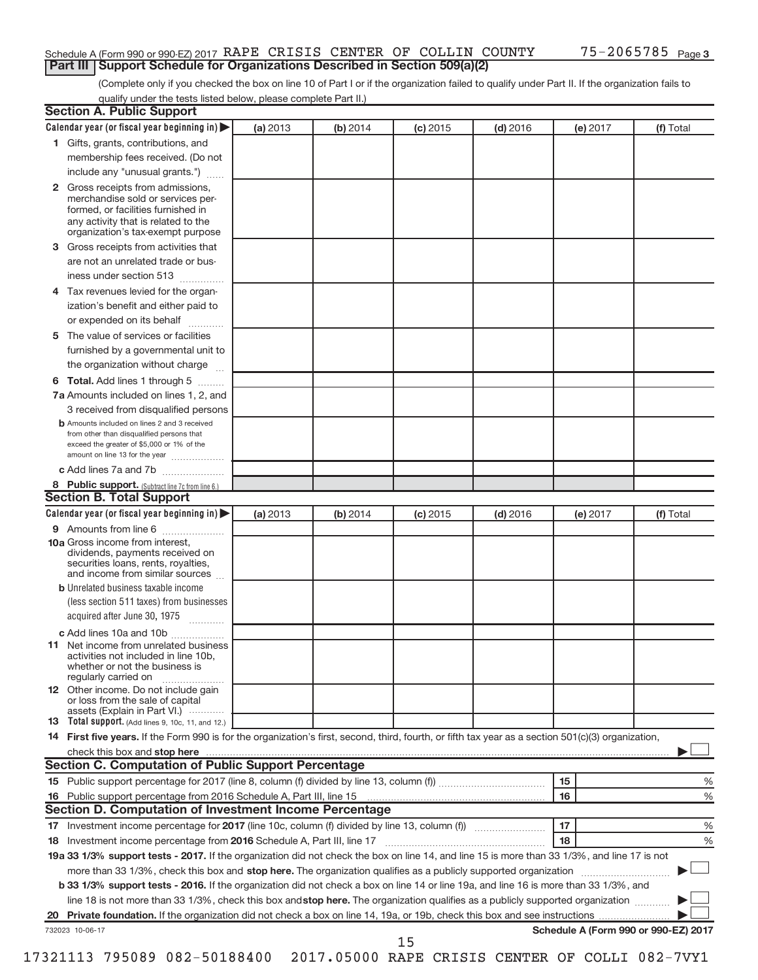## Schedule A (Form 990 or 990-EZ) 2017 RAPE CRISIS CENTER OF COLLIN COUNTY 75-2065785 Page **Part III | Support Schedule for Organizations Described in Section 509(a)(2)**

(Complete only if you checked the box on line 10 of Part I or if the organization failed to qualify under Part II. If the organization fails to qualify under the tests listed below, please complete Part II.)

| <b>Section A. Public Support</b>                                                                                                                                                                                               |          |          |            |            |          |                                      |
|--------------------------------------------------------------------------------------------------------------------------------------------------------------------------------------------------------------------------------|----------|----------|------------|------------|----------|--------------------------------------|
| Calendar year (or fiscal year beginning in)                                                                                                                                                                                    | (a) 2013 | (b) 2014 | $(c)$ 2015 | $(d)$ 2016 | (e) 2017 | (f) Total                            |
| 1 Gifts, grants, contributions, and                                                                                                                                                                                            |          |          |            |            |          |                                      |
| membership fees received. (Do not                                                                                                                                                                                              |          |          |            |            |          |                                      |
| include any "unusual grants.")                                                                                                                                                                                                 |          |          |            |            |          |                                      |
| 2 Gross receipts from admissions,<br>merchandise sold or services per-<br>formed, or facilities furnished in<br>any activity that is related to the<br>organization's tax-exempt purpose                                       |          |          |            |            |          |                                      |
| 3 Gross receipts from activities that                                                                                                                                                                                          |          |          |            |            |          |                                      |
| are not an unrelated trade or bus-                                                                                                                                                                                             |          |          |            |            |          |                                      |
| iness under section 513                                                                                                                                                                                                        |          |          |            |            |          |                                      |
| 4 Tax revenues levied for the organ-                                                                                                                                                                                           |          |          |            |            |          |                                      |
| ization's benefit and either paid to                                                                                                                                                                                           |          |          |            |            |          |                                      |
| or expended on its behalf                                                                                                                                                                                                      |          |          |            |            |          |                                      |
| 5 The value of services or facilities                                                                                                                                                                                          |          |          |            |            |          |                                      |
| furnished by a governmental unit to                                                                                                                                                                                            |          |          |            |            |          |                                      |
| the organization without charge                                                                                                                                                                                                |          |          |            |            |          |                                      |
| 6 Total. Add lines 1 through 5                                                                                                                                                                                                 |          |          |            |            |          |                                      |
| 7a Amounts included on lines 1, 2, and                                                                                                                                                                                         |          |          |            |            |          |                                      |
| 3 received from disqualified persons                                                                                                                                                                                           |          |          |            |            |          |                                      |
| <b>b</b> Amounts included on lines 2 and 3 received<br>from other than disqualified persons that<br>exceed the greater of \$5,000 or 1% of the<br>amount on line 13 for the year                                               |          |          |            |            |          |                                      |
| c Add lines 7a and 7b                                                                                                                                                                                                          |          |          |            |            |          |                                      |
| 8 Public support. (Subtract line 7c from line 6.)                                                                                                                                                                              |          |          |            |            |          |                                      |
| <b>Section B. Total Support</b>                                                                                                                                                                                                |          |          |            |            |          |                                      |
| Calendar year (or fiscal year beginning in)                                                                                                                                                                                    | (a) 2013 | (b) 2014 | $(c)$ 2015 | $(d)$ 2016 | (e) 2017 | (f) Total                            |
| 9 Amounts from line 6                                                                                                                                                                                                          |          |          |            |            |          |                                      |
| <b>10a</b> Gross income from interest,<br>dividends, payments received on<br>securities loans, rents, royalties,<br>and income from similar sources                                                                            |          |          |            |            |          |                                      |
| <b>b</b> Unrelated business taxable income<br>(less section 511 taxes) from businesses<br>acquired after June 30, 1975                                                                                                         |          |          |            |            |          |                                      |
|                                                                                                                                                                                                                                |          |          |            |            |          |                                      |
| c Add lines 10a and 10b<br><b>11</b> Net income from unrelated business<br>activities not included in line 10b,<br>whether or not the business is<br>regularly carried on                                                      |          |          |            |            |          |                                      |
| 12 Other income. Do not include gain<br>or loss from the sale of capital<br>assets (Explain in Part VI.)                                                                                                                       |          |          |            |            |          |                                      |
| <b>13</b> Total support. (Add lines 9, 10c, 11, and 12.)                                                                                                                                                                       |          |          |            |            |          |                                      |
| 14 First five years. If the Form 990 is for the organization's first, second, third, fourth, or fifth tax year as a section 501(c)(3) organization,                                                                            |          |          |            |            |          |                                      |
| check this box and stop here manufactured and stop here and stop here are manufactured and stop here and stop here and stop here and stop here and stop here and stop here and stop here are all the stop of the stop of the s |          |          |            |            |          |                                      |
| <b>Section C. Computation of Public Support Percentage</b>                                                                                                                                                                     |          |          |            |            |          |                                      |
|                                                                                                                                                                                                                                |          |          |            |            | 15       | %                                    |
|                                                                                                                                                                                                                                |          |          |            |            | 16       | %                                    |
| <b>Section D. Computation of Investment Income Percentage</b>                                                                                                                                                                  |          |          |            |            |          |                                      |
|                                                                                                                                                                                                                                |          |          |            |            | 17       | %                                    |
| 18 Investment income percentage from 2016 Schedule A, Part III, line 17                                                                                                                                                        |          |          |            |            | 18       | %                                    |
| 19a 33 1/3% support tests - 2017. If the organization did not check the box on line 14, and line 15 is more than 33 1/3%, and line 17 is not                                                                                   |          |          |            |            |          |                                      |
| more than 33 1/3%, check this box and stop here. The organization qualifies as a publicly supported organization                                                                                                               |          |          |            |            |          |                                      |
| b 33 1/3% support tests - 2016. If the organization did not check a box on line 14 or line 19a, and line 16 is more than 33 1/3%, and                                                                                          |          |          |            |            |          |                                      |
| line 18 is not more than 33 1/3%, check this box and stop here. The organization qualifies as a publicly supported organization                                                                                                |          |          |            |            |          |                                      |
|                                                                                                                                                                                                                                |          |          |            |            |          |                                      |
| 732023 10-06-17                                                                                                                                                                                                                |          |          |            |            |          | Schedule A (Form 990 or 990-EZ) 2017 |
|                                                                                                                                                                                                                                |          |          | 15         |            |          |                                      |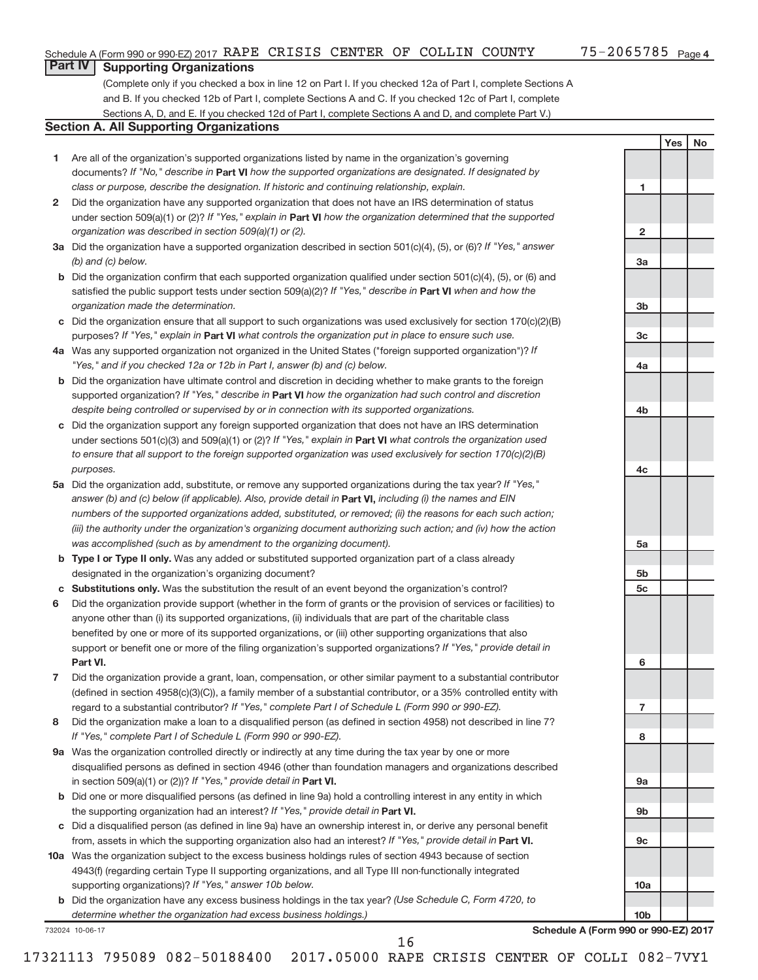**1**

**2**

**3a**

**3b**

**3c**

**4a**

**4b**

**4c**

**5a**

**5b 5c**

**6**

**7**

**8**

**9a**

**9b**

**9c**

**10a**

**10b**

**Yes No**

# **Part IV Supporting Organizations**

(Complete only if you checked a box in line 12 on Part I. If you checked 12a of Part I, complete Sections A and B. If you checked 12b of Part I, complete Sections A and C. If you checked 12c of Part I, complete Sections A, D, and E. If you checked 12d of Part I, complete Sections A and D, and complete Part V.)

## **Section A. All Supporting Organizations**

- **1** Are all of the organization's supported organizations listed by name in the organization's governing documents? If "No," describe in Part VI how the supported organizations are designated. If designated by *class or purpose, describe the designation. If historic and continuing relationship, explain.*
- **2** Did the organization have any supported organization that does not have an IRS determination of status under section 509(a)(1) or (2)? If "Yes," explain in Part **VI** how the organization determined that the supported *organization was described in section 509(a)(1) or (2).*
- **3a** Did the organization have a supported organization described in section 501(c)(4), (5), or (6)? If "Yes," answer *(b) and (c) below.*
- **b** Did the organization confirm that each supported organization qualified under section 501(c)(4), (5), or (6) and satisfied the public support tests under section 509(a)(2)? If "Yes," describe in Part VI when and how the *organization made the determination.*
- **c** Did the organization ensure that all support to such organizations was used exclusively for section 170(c)(2)(B) purposes? If "Yes," explain in Part VI what controls the organization put in place to ensure such use.
- **4 a** *If* Was any supported organization not organized in the United States ("foreign supported organization")? *"Yes," and if you checked 12a or 12b in Part I, answer (b) and (c) below.*
- **b** Did the organization have ultimate control and discretion in deciding whether to make grants to the foreign supported organization? If "Yes," describe in Part VI how the organization had such control and discretion *despite being controlled or supervised by or in connection with its supported organizations.*
- **c** Did the organization support any foreign supported organization that does not have an IRS determination under sections 501(c)(3) and 509(a)(1) or (2)? If "Yes," explain in Part VI what controls the organization used *to ensure that all support to the foreign supported organization was used exclusively for section 170(c)(2)(B) purposes.*
- **5a** Did the organization add, substitute, or remove any supported organizations during the tax year? If "Yes," answer (b) and (c) below (if applicable). Also, provide detail in **Part VI,** including (i) the names and EIN *numbers of the supported organizations added, substituted, or removed; (ii) the reasons for each such action; (iii) the authority under the organization's organizing document authorizing such action; and (iv) how the action was accomplished (such as by amendment to the organizing document).*
- **b** Type I or Type II only. Was any added or substituted supported organization part of a class already designated in the organization's organizing document?
- **c Substitutions only.**  Was the substitution the result of an event beyond the organization's control?
- **6** Did the organization provide support (whether in the form of grants or the provision of services or facilities) to **Part VI.** support or benefit one or more of the filing organization's supported organizations? If "Yes," provide detail in anyone other than (i) its supported organizations, (ii) individuals that are part of the charitable class benefited by one or more of its supported organizations, or (iii) other supporting organizations that also
- **7** Did the organization provide a grant, loan, compensation, or other similar payment to a substantial contributor regard to a substantial contributor? If "Yes," complete Part I of Schedule L (Form 990 or 990-EZ). (defined in section 4958(c)(3)(C)), a family member of a substantial contributor, or a 35% controlled entity with
- **8** Did the organization make a loan to a disqualified person (as defined in section 4958) not described in line 7? *If "Yes," complete Part I of Schedule L (Form 990 or 990-EZ).*
- **9 a** Was the organization controlled directly or indirectly at any time during the tax year by one or more in section 509(a)(1) or (2))? If "Yes," provide detail in **Part VI.** disqualified persons as defined in section 4946 (other than foundation managers and organizations described
- **b** Did one or more disqualified persons (as defined in line 9a) hold a controlling interest in any entity in which the supporting organization had an interest? If "Yes," provide detail in Part VI.
- **c** Did a disqualified person (as defined in line 9a) have an ownership interest in, or derive any personal benefit from, assets in which the supporting organization also had an interest? If "Yes," provide detail in Part VI.
- **10 a** Was the organization subject to the excess business holdings rules of section 4943 because of section supporting organizations)? If "Yes," answer 10b below. 4943(f) (regarding certain Type II supporting organizations, and all Type III non-functionally integrated
	- **b** Did the organization have any excess business holdings in the tax year? (Use Schedule C, Form 4720, to *determine whether the organization had excess business holdings.)*

732024 10-06-17

**Schedule A (Form 990 or 990-EZ) 2017**

17321113 795089 082-50188400 2017.05000 RAPE CRISIS CENTER OF COLLI 082-7VY1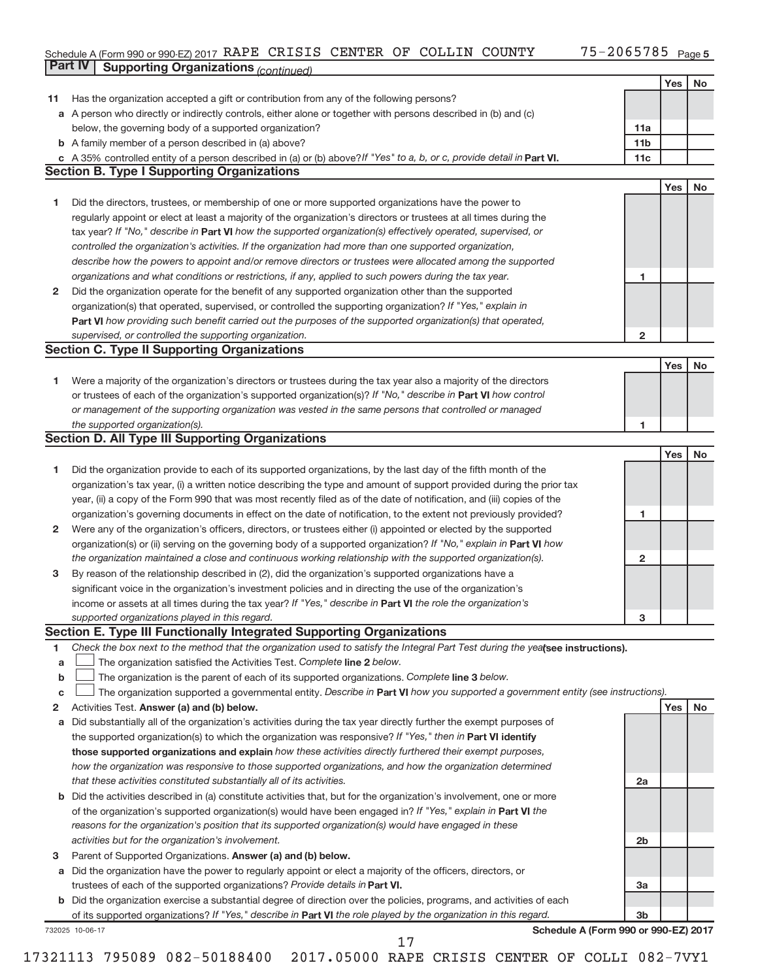### Schedule A (Form 990 or 990-EZ) 2017 RAPE CRISIS CENTER OF COLLIIN COUNTY 7 3D−2U65785 Page **Part IV Supporting Organizations** *(continued)* RAPE CRISIS CENTER OF COLLIN COUNTY 75-2065785

|              |                                                                                                                                 |                 | Yes        | No |
|--------------|---------------------------------------------------------------------------------------------------------------------------------|-----------------|------------|----|
| 11           | Has the organization accepted a gift or contribution from any of the following persons?                                         |                 |            |    |
|              | a A person who directly or indirectly controls, either alone or together with persons described in (b) and (c)                  |                 |            |    |
|              | below, the governing body of a supported organization?                                                                          | 11a             |            |    |
|              | <b>b</b> A family member of a person described in (a) above?                                                                    | 11 <sub>b</sub> |            |    |
|              | A 35% controlled entity of a person described in (a) or (b) above? If "Yes" to a, b, or c, provide detail in Part VI.           | 11c             |            |    |
|              | <b>Section B. Type I Supporting Organizations</b>                                                                               |                 |            |    |
|              |                                                                                                                                 |                 | Yes        | No |
| 1            | Did the directors, trustees, or membership of one or more supported organizations have the power to                             |                 |            |    |
|              | regularly appoint or elect at least a majority of the organization's directors or trustees at all times during the              |                 |            |    |
|              | tax year? If "No," describe in Part VI how the supported organization(s) effectively operated, supervised, or                   |                 |            |    |
|              | controlled the organization's activities. If the organization had more than one supported organization,                         |                 |            |    |
|              | describe how the powers to appoint and/or remove directors or trustees were allocated among the supported                       |                 |            |    |
|              | organizations and what conditions or restrictions, if any, applied to such powers during the tax year.                          | 1               |            |    |
| $\mathbf{2}$ | Did the organization operate for the benefit of any supported organization other than the supported                             |                 |            |    |
|              | organization(s) that operated, supervised, or controlled the supporting organization? If "Yes," explain in                      |                 |            |    |
|              | Part VI how providing such benefit carried out the purposes of the supported organization(s) that operated,                     |                 |            |    |
|              | supervised, or controlled the supporting organization.                                                                          | $\overline{2}$  |            |    |
|              | <b>Section C. Type II Supporting Organizations</b>                                                                              |                 |            |    |
|              |                                                                                                                                 |                 | <b>Yes</b> | No |
| 1            | Were a majority of the organization's directors or trustees during the tax year also a majority of the directors                |                 |            |    |
|              | or trustees of each of the organization's supported organization(s)? If "No," describe in Part VI how control                   |                 |            |    |
|              | or management of the supporting organization was vested in the same persons that controlled or managed                          |                 |            |    |
|              | the supported organization(s).                                                                                                  | 1               |            |    |
|              | Section D. All Type III Supporting Organizations                                                                                |                 |            |    |
|              |                                                                                                                                 |                 | Yes        | No |
| 1            | Did the organization provide to each of its supported organizations, by the last day of the fifth month of the                  |                 |            |    |
|              | organization's tax year, (i) a written notice describing the type and amount of support provided during the prior tax           |                 |            |    |
|              | year, (ii) a copy of the Form 990 that was most recently filed as of the date of notification, and (iii) copies of the          |                 |            |    |
|              | organization's governing documents in effect on the date of notification, to the extent not previously provided?                | 1               |            |    |
| $\mathbf{2}$ | Were any of the organization's officers, directors, or trustees either (i) appointed or elected by the supported                |                 |            |    |
|              | organization(s) or (ii) serving on the governing body of a supported organization? If "No," explain in <b>Part VI</b> how       |                 |            |    |
|              | the organization maintained a close and continuous working relationship with the supported organization(s).                     | $\mathbf{2}$    |            |    |
| 3            | By reason of the relationship described in (2), did the organization's supported organizations have a                           |                 |            |    |
|              | significant voice in the organization's investment policies and in directing the use of the organization's                      |                 |            |    |
|              | income or assets at all times during the tax year? If "Yes," describe in Part VI the role the organization's                    |                 |            |    |
|              | supported organizations played in this regard.                                                                                  | 3               |            |    |
|              | Section E. Type III Functionally Integrated Supporting Organizations                                                            |                 |            |    |
| 1            | Check the box next to the method that the organization used to satisfy the Integral Part Test during the yealsee instructions). |                 |            |    |
| а            | The organization satisfied the Activities Test. Complete line 2 below.                                                          |                 |            |    |
| b            | The organization is the parent of each of its supported organizations. Complete line 3 below.                                   |                 |            |    |
| с            | The organization supported a governmental entity. Describe in Part VI how you supported a government entity (see instructions). |                 |            |    |
| 2            | Activities Test. Answer (a) and (b) below.                                                                                      |                 | Yes        | No |
| a            | Did substantially all of the organization's activities during the tax year directly further the exempt purposes of              |                 |            |    |
|              | the supported organization(s) to which the organization was responsive? If "Yes," then in Part VI identify                      |                 |            |    |
|              | those supported organizations and explain how these activities directly furthered their exempt purposes,                        |                 |            |    |
|              | how the organization was responsive to those supported organizations, and how the organization determined                       |                 |            |    |
|              | that these activities constituted substantially all of its activities.                                                          | 2a              |            |    |
|              | <b>b</b> Did the activities described in (a) constitute activities that, but for the organization's involvement, one or more    |                 |            |    |
|              | of the organization's supported organization(s) would have been engaged in? If "Yes," explain in Part VI the                    |                 |            |    |
|              | reasons for the organization's position that its supported organization(s) would have engaged in these                          |                 |            |    |
|              | activities but for the organization's involvement.                                                                              | 2 <sub>b</sub>  |            |    |
| 3            | Parent of Supported Organizations. Answer (a) and (b) below.                                                                    |                 |            |    |
| a            | Did the organization have the power to regularly appoint or elect a majority of the officers, directors, or                     |                 |            |    |
|              | trustees of each of the supported organizations? Provide details in Part VI.                                                    | 3a              |            |    |
| b            | Did the organization exercise a substantial degree of direction over the policies, programs, and activities of each             |                 |            |    |
|              | of its supported organizations? If "Yes," describe in Part VI the role played by the organization in this regard.               | 3b              |            |    |
|              | Schedule A (Form 990 or 990-EZ) 2017<br>732025 10-06-17                                                                         |                 |            |    |
|              | 17                                                                                                                              |                 |            |    |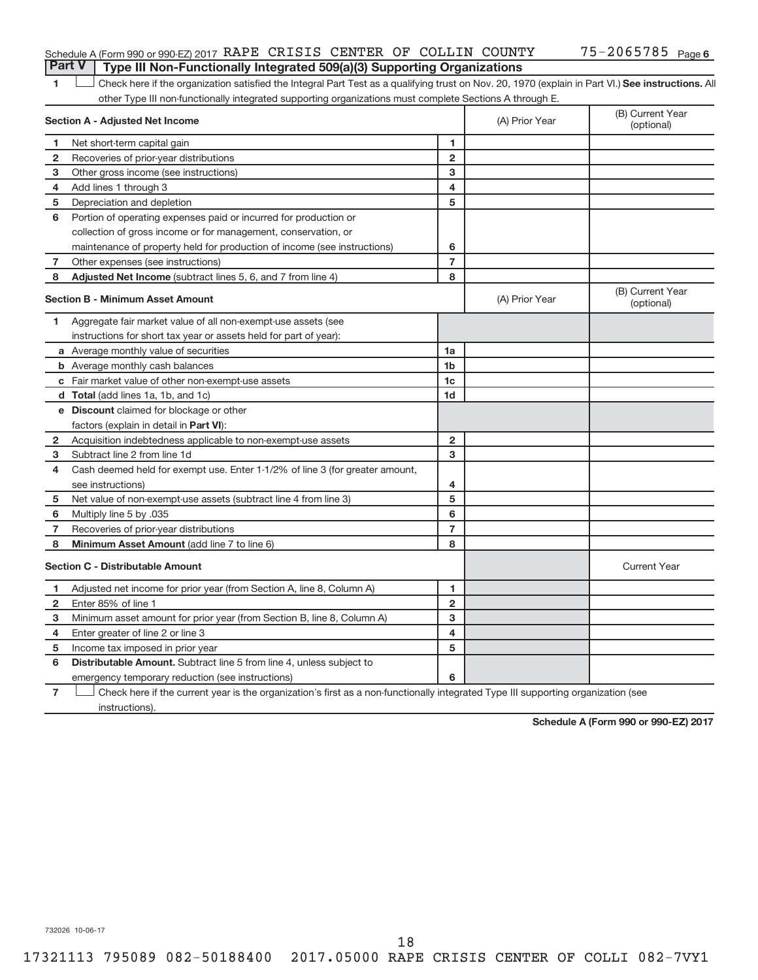## Schedule A (Form 990 or 990-EZ) 2017 RAPE CRISIS CENTER OF COLLIN COUNTY 75-2065785 Page **Part V Type III Non-Functionally Integrated 509(a)(3) Supporting Organizations**

1 **Letter See instructions.** All Check here if the organization satisfied the Integral Part Test as a qualifying trust on Nov. 20, 1970 (explain in Part VI.) See instructions. All other Type III non-functionally integrated supporting organizations must complete Sections A through E.

|              | Section A - Adjusted Net Income                                              |                | (A) Prior Year | (B) Current Year<br>(optional) |
|--------------|------------------------------------------------------------------------------|----------------|----------------|--------------------------------|
| 1            | Net short-term capital gain                                                  | 1              |                |                                |
| $\mathbf{2}$ | Recoveries of prior-year distributions                                       | $\overline{2}$ |                |                                |
| з            | Other gross income (see instructions)                                        | 3              |                |                                |
| 4            | Add lines 1 through 3                                                        | 4              |                |                                |
| 5            | Depreciation and depletion                                                   | 5              |                |                                |
| 6            | Portion of operating expenses paid or incurred for production or             |                |                |                                |
|              | collection of gross income or for management, conservation, or               |                |                |                                |
|              | maintenance of property held for production of income (see instructions)     | 6              |                |                                |
| 7            | Other expenses (see instructions)                                            | $\overline{7}$ |                |                                |
| 8            | Adjusted Net Income (subtract lines 5, 6, and 7 from line 4)                 | 8              |                |                                |
|              | <b>Section B - Minimum Asset Amount</b>                                      |                | (A) Prior Year | (B) Current Year<br>(optional) |
| 1.           | Aggregate fair market value of all non-exempt-use assets (see                |                |                |                                |
|              | instructions for short tax year or assets held for part of year):            |                |                |                                |
|              | <b>a</b> Average monthly value of securities                                 | 1a             |                |                                |
|              | <b>b</b> Average monthly cash balances                                       | 1 <sub>b</sub> |                |                                |
|              | <b>c</b> Fair market value of other non-exempt-use assets                    | 1c             |                |                                |
|              | d Total (add lines 1a, 1b, and 1c)                                           | 1d             |                |                                |
|              | e Discount claimed for blockage or other                                     |                |                |                                |
|              | factors (explain in detail in Part VI):                                      |                |                |                                |
| 2            | Acquisition indebtedness applicable to non-exempt-use assets                 | $\mathbf{2}$   |                |                                |
| 3            | Subtract line 2 from line 1d                                                 | 3              |                |                                |
| 4            | Cash deemed held for exempt use. Enter 1-1/2% of line 3 (for greater amount, |                |                |                                |
|              | see instructions)                                                            | 4              |                |                                |
| 5            | Net value of non-exempt-use assets (subtract line 4 from line 3)             | 5              |                |                                |
| 6            | Multiply line 5 by .035                                                      | 6              |                |                                |
| 7            | Recoveries of prior-year distributions                                       | $\overline{7}$ |                |                                |
| 8            | Minimum Asset Amount (add line 7 to line 6)                                  | 8              |                |                                |
|              | <b>Section C - Distributable Amount</b>                                      |                |                | <b>Current Year</b>            |
| 1.           | Adjusted net income for prior year (from Section A, line 8, Column A)        | 1              |                |                                |
| $\mathbf{2}$ | Enter 85% of line 1                                                          | $\overline{2}$ |                |                                |
| 3            | Minimum asset amount for prior year (from Section B, line 8, Column A)       | 3              |                |                                |
| 4            | Enter greater of line 2 or line 3                                            | 4              |                |                                |
| 5            | Income tax imposed in prior year                                             | 5              |                |                                |
| 6            | Distributable Amount. Subtract line 5 from line 4, unless subject to         |                |                |                                |
|              | emergency temporary reduction (see instructions)                             | 6              |                |                                |
|              | $\sim$                                                                       |                |                |                                |

**7** Check here if the current year is the organization's first as a non-functionally integrated Type III supporting organization (see instructions).

**Schedule A (Form 990 or 990-EZ) 2017**

732026 10-06-17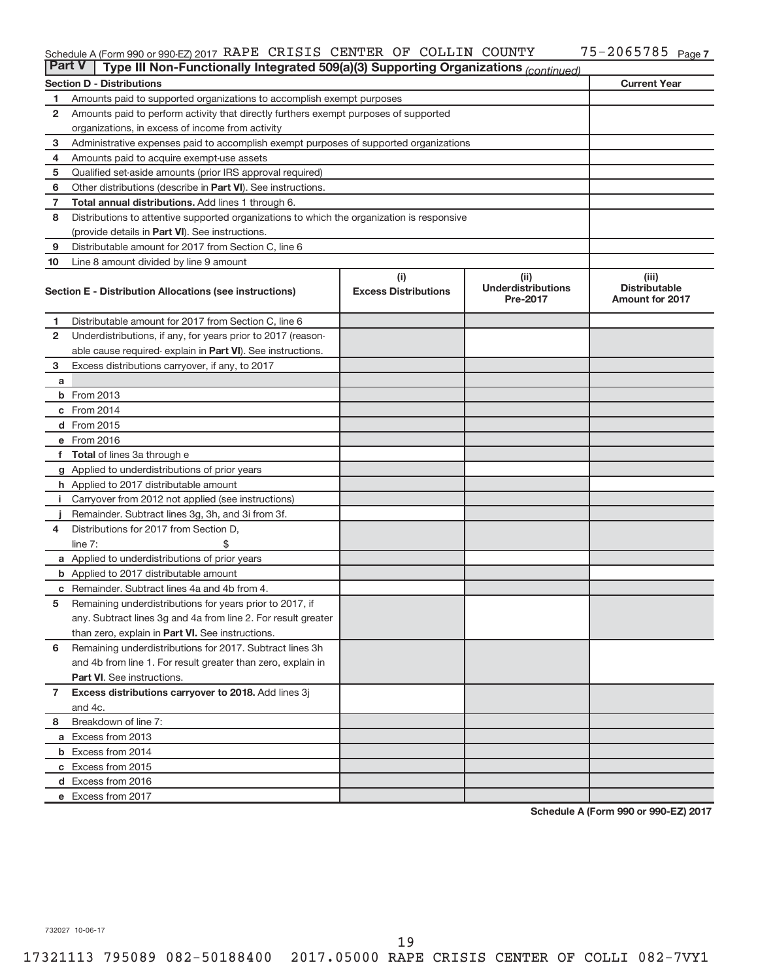#### Schedule A (Form 990 or 990-EZ) 2017 RAPE CRISIS CENTER OF COLLIIN COUNTY 7 3D−2U65785 Page RAPE CRISIS CENTER OF COLLIN COUNTY 75-2065785

| <b>Part V</b>  | Type III Non-Functionally Integrated 509(a)(3) Supporting Organizations (continued)        |                                    |                                               |                                                         |  |  |  |
|----------------|--------------------------------------------------------------------------------------------|------------------------------------|-----------------------------------------------|---------------------------------------------------------|--|--|--|
|                | <b>Section D - Distributions</b>                                                           |                                    |                                               | <b>Current Year</b>                                     |  |  |  |
| 1              | Amounts paid to supported organizations to accomplish exempt purposes                      |                                    |                                               |                                                         |  |  |  |
| $\mathbf{2}$   | Amounts paid to perform activity that directly furthers exempt purposes of supported       |                                    |                                               |                                                         |  |  |  |
|                | organizations, in excess of income from activity                                           |                                    |                                               |                                                         |  |  |  |
| 3              | Administrative expenses paid to accomplish exempt purposes of supported organizations      |                                    |                                               |                                                         |  |  |  |
| 4              | Amounts paid to acquire exempt-use assets                                                  |                                    |                                               |                                                         |  |  |  |
| 5              | Qualified set-aside amounts (prior IRS approval required)                                  |                                    |                                               |                                                         |  |  |  |
| 6              | Other distributions (describe in <b>Part VI</b> ). See instructions.                       |                                    |                                               |                                                         |  |  |  |
| 7              | <b>Total annual distributions.</b> Add lines 1 through 6.                                  |                                    |                                               |                                                         |  |  |  |
| 8              | Distributions to attentive supported organizations to which the organization is responsive |                                    |                                               |                                                         |  |  |  |
|                | (provide details in Part VI). See instructions.                                            |                                    |                                               |                                                         |  |  |  |
| 9              | Distributable amount for 2017 from Section C, line 6                                       |                                    |                                               |                                                         |  |  |  |
| 10             | Line 8 amount divided by line 9 amount                                                     |                                    |                                               |                                                         |  |  |  |
|                | Section E - Distribution Allocations (see instructions)                                    | (i)<br><b>Excess Distributions</b> | (ii)<br><b>Underdistributions</b><br>Pre-2017 | (iii)<br><b>Distributable</b><br><b>Amount for 2017</b> |  |  |  |
| 1              | Distributable amount for 2017 from Section C, line 6                                       |                                    |                                               |                                                         |  |  |  |
| $\mathbf{2}$   | Underdistributions, if any, for years prior to 2017 (reason-                               |                                    |                                               |                                                         |  |  |  |
|                | able cause required- explain in Part VI). See instructions.                                |                                    |                                               |                                                         |  |  |  |
| 3              | Excess distributions carryover, if any, to 2017                                            |                                    |                                               |                                                         |  |  |  |
| a              |                                                                                            |                                    |                                               |                                                         |  |  |  |
|                | <b>b</b> From 2013                                                                         |                                    |                                               |                                                         |  |  |  |
|                | c From 2014                                                                                |                                    |                                               |                                                         |  |  |  |
|                | d From 2015                                                                                |                                    |                                               |                                                         |  |  |  |
|                | e From 2016                                                                                |                                    |                                               |                                                         |  |  |  |
|                | f Total of lines 3a through e                                                              |                                    |                                               |                                                         |  |  |  |
|                | g Applied to underdistributions of prior years                                             |                                    |                                               |                                                         |  |  |  |
|                | h Applied to 2017 distributable amount                                                     |                                    |                                               |                                                         |  |  |  |
| Ť.             | Carryover from 2012 not applied (see instructions)                                         |                                    |                                               |                                                         |  |  |  |
|                | Remainder. Subtract lines 3g, 3h, and 3i from 3f.                                          |                                    |                                               |                                                         |  |  |  |
| 4              | Distributions for 2017 from Section D,                                                     |                                    |                                               |                                                         |  |  |  |
|                | line $7:$                                                                                  |                                    |                                               |                                                         |  |  |  |
|                | a Applied to underdistributions of prior years                                             |                                    |                                               |                                                         |  |  |  |
|                | <b>b</b> Applied to 2017 distributable amount                                              |                                    |                                               |                                                         |  |  |  |
| c              | Remainder. Subtract lines 4a and 4b from 4.                                                |                                    |                                               |                                                         |  |  |  |
| 5              | Remaining underdistributions for years prior to 2017, if                                   |                                    |                                               |                                                         |  |  |  |
|                | any. Subtract lines 3g and 4a from line 2. For result greater                              |                                    |                                               |                                                         |  |  |  |
|                | than zero, explain in Part VI. See instructions.                                           |                                    |                                               |                                                         |  |  |  |
| 6              | Remaining underdistributions for 2017. Subtract lines 3h                                   |                                    |                                               |                                                         |  |  |  |
|                | and 4b from line 1. For result greater than zero, explain in                               |                                    |                                               |                                                         |  |  |  |
|                | <b>Part VI.</b> See instructions.                                                          |                                    |                                               |                                                         |  |  |  |
| $\overline{7}$ | Excess distributions carryover to 2018. Add lines 3j                                       |                                    |                                               |                                                         |  |  |  |
|                | and 4c.                                                                                    |                                    |                                               |                                                         |  |  |  |
| 8              | Breakdown of line 7:                                                                       |                                    |                                               |                                                         |  |  |  |
|                | a Excess from 2013                                                                         |                                    |                                               |                                                         |  |  |  |
|                | <b>b</b> Excess from 2014                                                                  |                                    |                                               |                                                         |  |  |  |
|                | c Excess from 2015                                                                         |                                    |                                               |                                                         |  |  |  |
|                | d Excess from 2016                                                                         |                                    |                                               |                                                         |  |  |  |
|                | e Excess from 2017                                                                         |                                    |                                               |                                                         |  |  |  |

**Schedule A (Form 990 or 990-EZ) 2017**

732027 10-06-17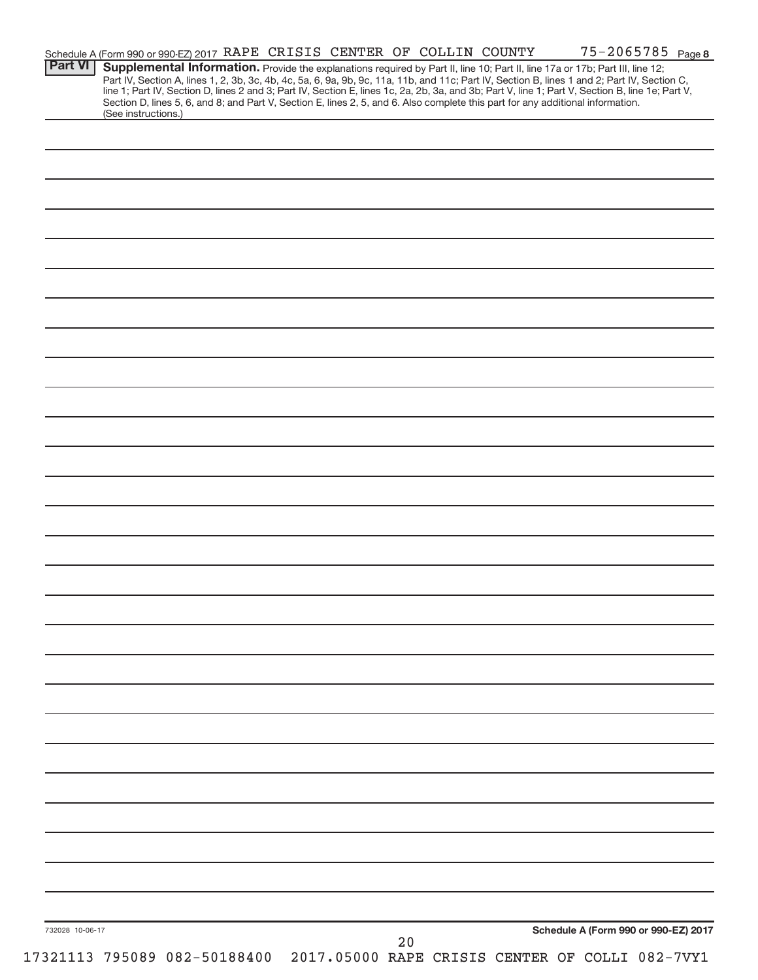| <b>Part VI</b>  | Schedule A (Form 990 or 990-EZ) 2017 RAPE CRISIS CENTER OF COLLIN COUNTY<br>Supplemental Information. Provide the explanations required by Part II, line 10; Part II, line 17a or 17b; Part III, line 12;                                                                           |  |    |  | 75-2065785 Page 8                    |
|-----------------|-------------------------------------------------------------------------------------------------------------------------------------------------------------------------------------------------------------------------------------------------------------------------------------|--|----|--|--------------------------------------|
|                 | Part IV, Section A, lines 1, 2, 3b, 3c, 4b, 4c, 5a, 6, 9a, 9b, 9c, 11a, 11b, and 11c; Part IV, Section B, lines 1 and 2; Part IV, Section C,                                                                                                                                        |  |    |  |                                      |
|                 | line 1; Part IV, Section D, lines 2 and 3; Part IV, Section E, lines 1c, 2a, 2b, 3a, and 3b; Part V, line 1; Part V, Section B, line 1e; Part V,<br>Section D, lines 5, 6, and 8; and Part V, Section E, lines 2, 5, and 6. Also complete this part for any additional information. |  |    |  |                                      |
|                 | (See instructions.)                                                                                                                                                                                                                                                                 |  |    |  |                                      |
|                 |                                                                                                                                                                                                                                                                                     |  |    |  |                                      |
|                 |                                                                                                                                                                                                                                                                                     |  |    |  |                                      |
|                 |                                                                                                                                                                                                                                                                                     |  |    |  |                                      |
|                 |                                                                                                                                                                                                                                                                                     |  |    |  |                                      |
|                 |                                                                                                                                                                                                                                                                                     |  |    |  |                                      |
|                 |                                                                                                                                                                                                                                                                                     |  |    |  |                                      |
|                 |                                                                                                                                                                                                                                                                                     |  |    |  |                                      |
|                 |                                                                                                                                                                                                                                                                                     |  |    |  |                                      |
|                 |                                                                                                                                                                                                                                                                                     |  |    |  |                                      |
|                 |                                                                                                                                                                                                                                                                                     |  |    |  |                                      |
|                 |                                                                                                                                                                                                                                                                                     |  |    |  |                                      |
|                 |                                                                                                                                                                                                                                                                                     |  |    |  |                                      |
|                 |                                                                                                                                                                                                                                                                                     |  |    |  |                                      |
|                 |                                                                                                                                                                                                                                                                                     |  |    |  |                                      |
|                 |                                                                                                                                                                                                                                                                                     |  |    |  |                                      |
|                 |                                                                                                                                                                                                                                                                                     |  |    |  |                                      |
|                 |                                                                                                                                                                                                                                                                                     |  |    |  |                                      |
|                 |                                                                                                                                                                                                                                                                                     |  |    |  |                                      |
|                 |                                                                                                                                                                                                                                                                                     |  |    |  |                                      |
|                 |                                                                                                                                                                                                                                                                                     |  |    |  |                                      |
|                 |                                                                                                                                                                                                                                                                                     |  |    |  |                                      |
|                 |                                                                                                                                                                                                                                                                                     |  |    |  |                                      |
|                 |                                                                                                                                                                                                                                                                                     |  |    |  |                                      |
|                 |                                                                                                                                                                                                                                                                                     |  |    |  |                                      |
|                 |                                                                                                                                                                                                                                                                                     |  |    |  |                                      |
|                 |                                                                                                                                                                                                                                                                                     |  |    |  |                                      |
|                 |                                                                                                                                                                                                                                                                                     |  |    |  |                                      |
|                 |                                                                                                                                                                                                                                                                                     |  |    |  |                                      |
|                 |                                                                                                                                                                                                                                                                                     |  |    |  |                                      |
|                 |                                                                                                                                                                                                                                                                                     |  |    |  |                                      |
|                 |                                                                                                                                                                                                                                                                                     |  |    |  |                                      |
|                 |                                                                                                                                                                                                                                                                                     |  |    |  |                                      |
|                 |                                                                                                                                                                                                                                                                                     |  |    |  |                                      |
|                 |                                                                                                                                                                                                                                                                                     |  |    |  |                                      |
|                 |                                                                                                                                                                                                                                                                                     |  |    |  |                                      |
|                 |                                                                                                                                                                                                                                                                                     |  |    |  |                                      |
|                 |                                                                                                                                                                                                                                                                                     |  |    |  |                                      |
|                 |                                                                                                                                                                                                                                                                                     |  |    |  |                                      |
|                 |                                                                                                                                                                                                                                                                                     |  |    |  |                                      |
|                 |                                                                                                                                                                                                                                                                                     |  |    |  |                                      |
|                 |                                                                                                                                                                                                                                                                                     |  |    |  |                                      |
|                 |                                                                                                                                                                                                                                                                                     |  |    |  |                                      |
|                 |                                                                                                                                                                                                                                                                                     |  |    |  |                                      |
|                 |                                                                                                                                                                                                                                                                                     |  |    |  |                                      |
|                 |                                                                                                                                                                                                                                                                                     |  |    |  |                                      |
|                 |                                                                                                                                                                                                                                                                                     |  |    |  |                                      |
|                 |                                                                                                                                                                                                                                                                                     |  |    |  |                                      |
|                 |                                                                                                                                                                                                                                                                                     |  |    |  |                                      |
|                 |                                                                                                                                                                                                                                                                                     |  |    |  |                                      |
|                 |                                                                                                                                                                                                                                                                                     |  |    |  |                                      |
| 732028 10-06-17 |                                                                                                                                                                                                                                                                                     |  |    |  | Schedule A (Form 990 or 990-EZ) 2017 |
|                 | 17321113 795089 082-50188400 2017.05000 RAPE CRISIS CENTER OF COLLI 082-7VY1                                                                                                                                                                                                        |  | 20 |  |                                      |
|                 |                                                                                                                                                                                                                                                                                     |  |    |  |                                      |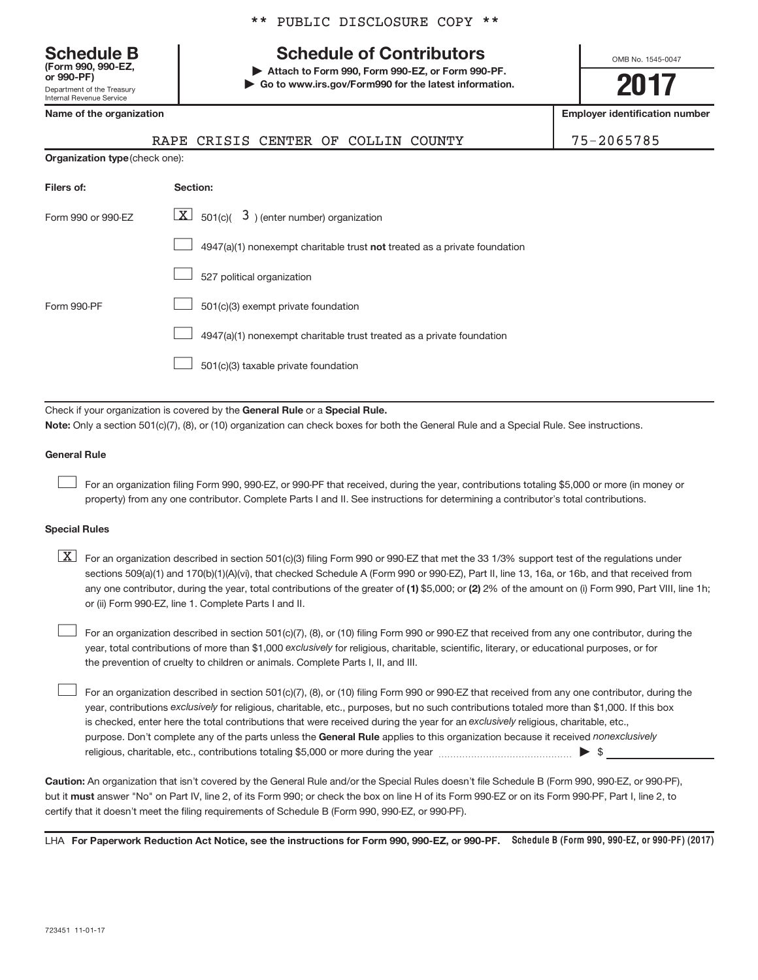Department of the Treasury Internal Revenue Service **(Form 990, 990-EZ,**

|  |  | ** PUBLIC DISCLOSURE COPY ** |  |  |
|--|--|------------------------------|--|--|
|--|--|------------------------------|--|--|

# **Schedule B Schedule of Contributors**

**or 990-PF) | Attach to Form 990, Form 990-EZ, or Form 990-PF. | Go to www.irs.gov/Form990 for the latest information.** OMB No. 1545-0047

**2017**

**Name of the organization Employer identification number**

|                                       | RAPE CRISIS CENTER OF COLLIN COUNTY                                       | 75-2065785 |
|---------------------------------------|---------------------------------------------------------------------------|------------|
| <b>Organization type (check one):</b> |                                                                           |            |
| Filers of:                            | Section:                                                                  |            |
| Form 990 or 990-EZ                    | $\boxed{\textbf{X}}$ 501(c)( 3) (enter number) organization               |            |
|                                       | 4947(a)(1) nonexempt charitable trust not treated as a private foundation |            |
|                                       | 527 political organization                                                |            |
| Form 990-PF                           | 501(c)(3) exempt private foundation                                       |            |
|                                       | 4947(a)(1) nonexempt charitable trust treated as a private foundation     |            |
|                                       | 501(c)(3) taxable private foundation                                      |            |
|                                       |                                                                           |            |

Check if your organization is covered by the General Rule or a Special Rule. **Note:**  Only a section 501(c)(7), (8), or (10) organization can check boxes for both the General Rule and a Special Rule. See instructions.

## **General Rule**

 $\begin{array}{c} \hline \end{array}$ 

 $\begin{array}{c} \hline \end{array}$ 

For an organization filing Form 990, 990-EZ, or 990-PF that received, during the year, contributions totaling \$5,000 or more (in money or property) from any one contributor. Complete Parts I and II. See instructions for determining a contributor's total contributions.

### **Special Rules**

any one contributor, during the year, total contributions of the greater of (1) \$5,000; or (2) 2% of the amount on (i) Form 990, Part VIII, line 1h;  $\boxed{\text{X}}$  For an organization described in section 501(c)(3) filing Form 990 or 990-EZ that met the 33 1/3% support test of the regulations under sections 509(a)(1) and 170(b)(1)(A)(vi), that checked Schedule A (Form 990 or 990-EZ), Part II, line 13, 16a, or 16b, and that received from or (ii) Form 990-EZ, line 1. Complete Parts I and II.

year, total contributions of more than \$1,000 *exclusively* for religious, charitable, scientific, literary, or educational purposes, or for For an organization described in section 501(c)(7), (8), or (10) filing Form 990 or 990-EZ that received from any one contributor, during the the prevention of cruelty to children or animals. Complete Parts I, II, and III.  $\begin{array}{c} \hline \end{array}$ 

purpose. Don't complete any of the parts unless the General Rule applies to this organization because it received nonexclusively year, contributions exclusively for religious, charitable, etc., purposes, but no such contributions totaled more than \$1,000. If this box is checked, enter here the total contributions that were received during the year for an exclusively religious, charitable, etc., For an organization described in section 501(c)(7), (8), or (10) filing Form 990 or 990-EZ that received from any one contributor, during the religious, charitable, etc., contributions totaling \$5,000 or more during the year  $\ldots$  $\ldots$  $\ldots$  $\ldots$  $\ldots$  $\ldots$ 

**Caution:**  An organization that isn't covered by the General Rule and/or the Special Rules doesn't file Schedule B (Form 990, 990-EZ, or 990-PF),  **must** but it answer "No" on Part IV, line 2, of its Form 990; or check the box on line H of its Form 990-EZ or on its Form 990-PF, Part I, line 2, to certify that it doesn't meet the filing requirements of Schedule B (Form 990, 990-EZ, or 990-PF).

LHA For Paperwork Reduction Act Notice, see the instructions for Form 990, 990-EZ, or 990-PF. Schedule B (Form 990, 990-EZ, or 990-PF) (2017)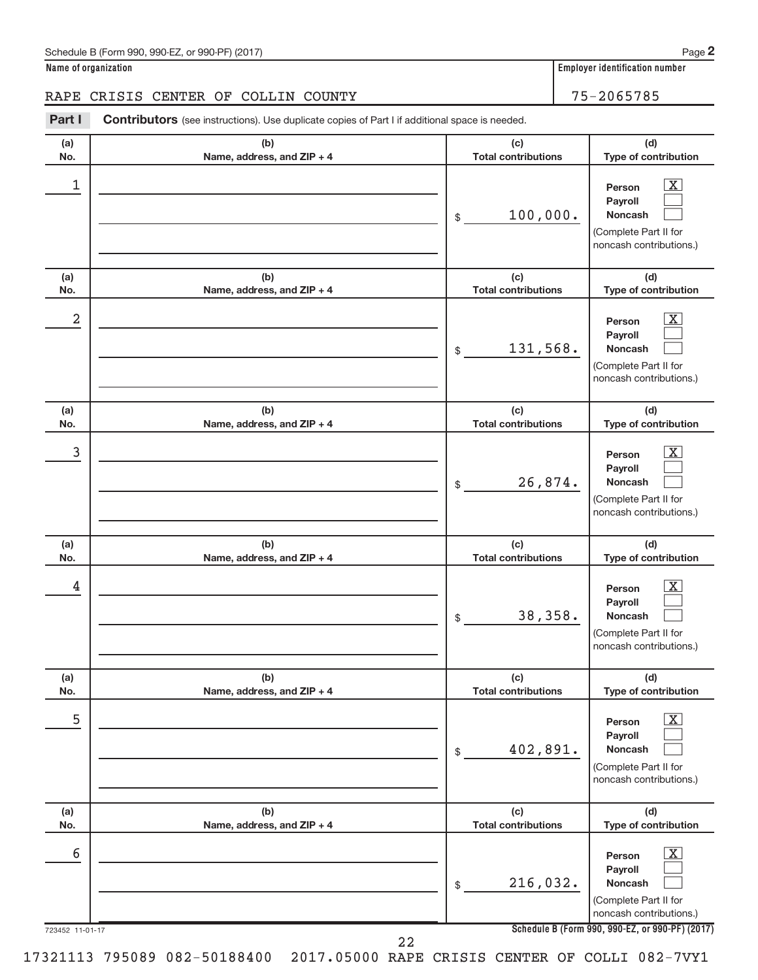**Name of organization Employer identification number**

# RAPE CRISIS CENTER OF COLLIN COUNTY 75-2065785

Part I Contributors (see instructions). Use duplicate copies of Part I if additional space is needed.

| (a)<br>No.           | (b)<br>Name, address, and ZIP + 4 | (c)<br><b>Total contributions</b> | (d)<br>Type of contribution                                                                                                                                  |
|----------------------|-----------------------------------|-----------------------------------|--------------------------------------------------------------------------------------------------------------------------------------------------------------|
| 1                    |                                   | 100,000.<br>\$                    | X<br>Person<br>Payroll<br><b>Noncash</b><br>(Complete Part II for<br>noncash contributions.)                                                                 |
| (a)<br>No.           | (b)<br>Name, address, and ZIP + 4 | (c)<br><b>Total contributions</b> | (d)<br>Type of contribution                                                                                                                                  |
| $\overline{a}$       |                                   | 131,568.<br>\$                    | x<br>Person<br>Payroll<br><b>Noncash</b><br>(Complete Part II for<br>noncash contributions.)                                                                 |
| (a)<br>No.           | (b)<br>Name, address, and ZIP + 4 | (c)<br><b>Total contributions</b> | (d)<br>Type of contribution                                                                                                                                  |
| 3                    |                                   | 26,874.<br>\$                     | X<br>Person<br>Payroll<br><b>Noncash</b><br>(Complete Part II for<br>noncash contributions.)                                                                 |
| (a)<br>No.           | (b)<br>Name, address, and ZIP + 4 | (c)<br><b>Total contributions</b> | (d)<br>Type of contribution                                                                                                                                  |
| 4                    |                                   | 38,358.<br>\$                     | х<br>Person<br>Payroll<br><b>Noncash</b><br>(Complete Part II for<br>noncash contributions.)                                                                 |
| (a)<br>No.           | (b)<br>Name, address, and ZIP + 4 | (c)<br><b>Total contributions</b> | (d)<br>Type of contribution                                                                                                                                  |
| 5                    |                                   | 402,891.<br>\$                    | $\overline{\text{X}}$<br>Person<br>Payroll<br>Noncash<br>(Complete Part II for<br>noncash contributions.)                                                    |
| (a)<br>No.           | (b)<br>Name, address, and ZIP + 4 | (c)<br><b>Total contributions</b> | (d)<br>Type of contribution                                                                                                                                  |
| 6<br>723452 11-01-17 |                                   | 216,032.<br>\$                    | $\overline{\text{X}}$<br>Person<br>Payroll<br>Noncash<br>(Complete Part II for<br>noncash contributions.)<br>Schedule B (Form 990, 990-EZ, or 990-PF) (2017) |
|                      | 22                                |                                   |                                                                                                                                                              |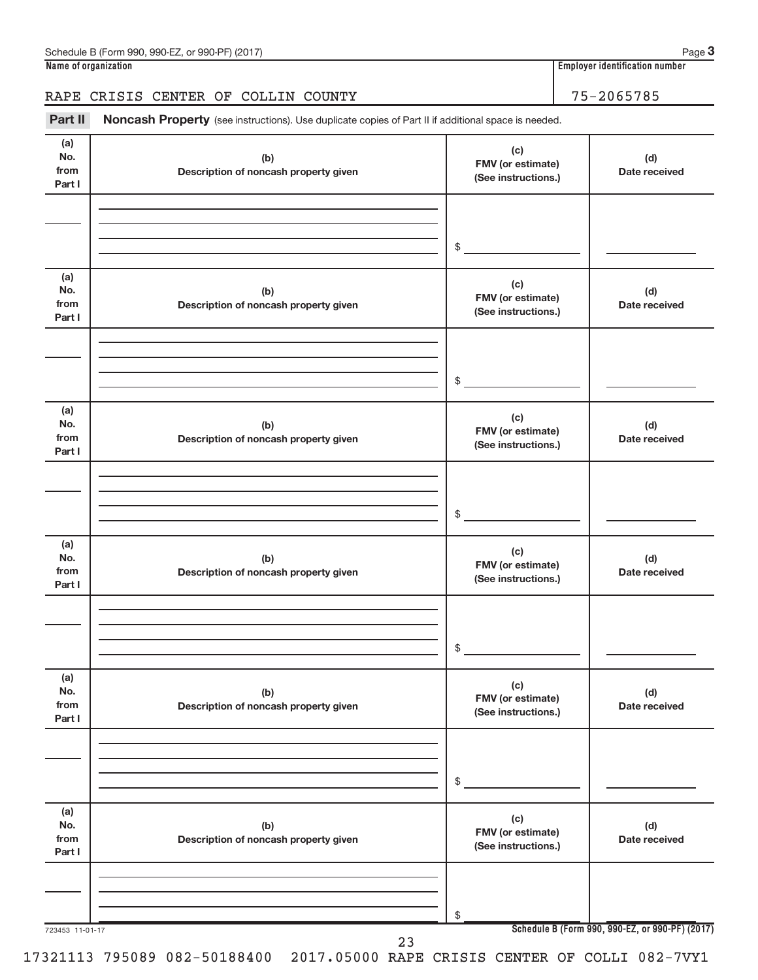# RAPE CRISIS CENTER OF COLLIN COUNTY 75-2065785

Part II Noncash Property (see instructions). Use duplicate copies of Part II if additional space is needed.

| (a)                          |                                              | (c)                                             |                                                 |
|------------------------------|----------------------------------------------|-------------------------------------------------|-------------------------------------------------|
| No.<br>from<br>Part I        | (b)<br>Description of noncash property given | FMV (or estimate)<br>(See instructions.)        | (d)<br>Date received                            |
|                              |                                              |                                                 |                                                 |
|                              |                                              | $\frac{1}{2}$                                   |                                                 |
| (a)<br>No.<br>from<br>Part I | (b)<br>Description of noncash property given | (c)<br>FMV (or estimate)<br>(See instructions.) | (d)<br>Date received                            |
|                              |                                              | $\frac{1}{2}$                                   |                                                 |
| (a)                          |                                              |                                                 |                                                 |
| No.<br>from<br>Part I        | (b)<br>Description of noncash property given | (c)<br>FMV (or estimate)<br>(See instructions.) | (d)<br>Date received                            |
|                              |                                              |                                                 |                                                 |
|                              |                                              | $\frac{1}{2}$                                   |                                                 |
| (a)<br>No.<br>from<br>Part I | (b)<br>Description of noncash property given | (c)<br>FMV (or estimate)<br>(See instructions.) | (d)<br>Date received                            |
|                              |                                              |                                                 |                                                 |
|                              |                                              | $\mathsf{s}\_$                                  |                                                 |
| (a)<br>No.<br>from<br>Part I | (b)<br>Description of noncash property given | (c)<br>FMV (or estimate)<br>(See instructions.) | (d)<br>Date received                            |
|                              |                                              |                                                 |                                                 |
|                              |                                              | \$                                              |                                                 |
| (a)<br>No.<br>from<br>Part I | (b)<br>Description of noncash property given | (c)<br>FMV (or estimate)<br>(See instructions.) | (d)<br>Date received                            |
|                              |                                              |                                                 |                                                 |
|                              |                                              | \$                                              |                                                 |
| 723453 11-01-17              | 23                                           |                                                 | Schedule B (Form 990, 990-EZ, or 990-PF) (2017) |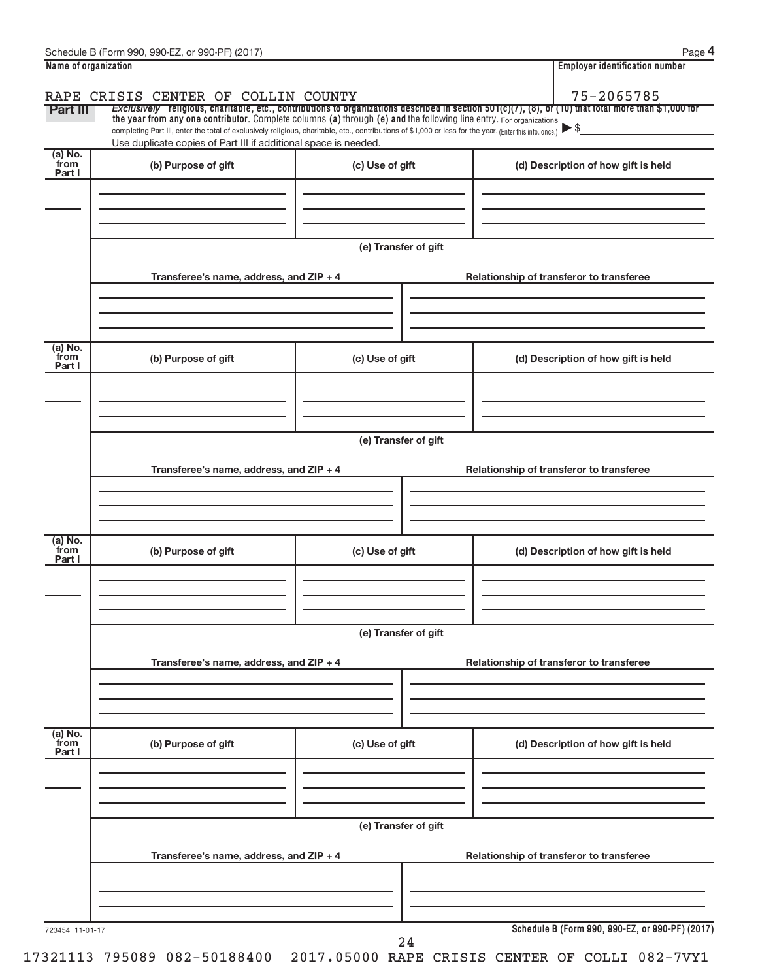| Name of organization      | Schedule B (Form 990, 990-EZ, or 990-PF) (2017)                                                                                                                                                                                                                                 |                                          | Page 4<br><b>Employer identification number</b>                                                                                                                     |  |  |  |  |  |
|---------------------------|---------------------------------------------------------------------------------------------------------------------------------------------------------------------------------------------------------------------------------------------------------------------------------|------------------------------------------|---------------------------------------------------------------------------------------------------------------------------------------------------------------------|--|--|--|--|--|
|                           |                                                                                                                                                                                                                                                                                 |                                          |                                                                                                                                                                     |  |  |  |  |  |
| <b>Part III</b>           | RAPE CRISIS CENTER OF COLLIN COUNTY                                                                                                                                                                                                                                             |                                          | 75-2065785<br>Exclusively religious, charitable, etc., contributions to organizations described in section 501(c)(7), (8), or (10) that total more than \$1,000 for |  |  |  |  |  |
|                           | the year from any one contributor. Complete columns (a) through (e) and the following line entry. For organizations<br>completing Part III, enter the total of exclusively religious, charitable, etc., contributions of \$1,000 or less for the year. (Enter this info. once.) |                                          |                                                                                                                                                                     |  |  |  |  |  |
|                           | Use duplicate copies of Part III if additional space is needed.                                                                                                                                                                                                                 |                                          |                                                                                                                                                                     |  |  |  |  |  |
| (a) No.<br>from<br>Part I | (b) Purpose of gift                                                                                                                                                                                                                                                             | (c) Use of gift                          | (d) Description of how gift is held                                                                                                                                 |  |  |  |  |  |
|                           |                                                                                                                                                                                                                                                                                 |                                          |                                                                                                                                                                     |  |  |  |  |  |
|                           |                                                                                                                                                                                                                                                                                 |                                          |                                                                                                                                                                     |  |  |  |  |  |
|                           |                                                                                                                                                                                                                                                                                 |                                          |                                                                                                                                                                     |  |  |  |  |  |
|                           |                                                                                                                                                                                                                                                                                 | (e) Transfer of gift                     |                                                                                                                                                                     |  |  |  |  |  |
|                           | Transferee's name, address, and ZIP + 4                                                                                                                                                                                                                                         |                                          | Relationship of transferor to transferee                                                                                                                            |  |  |  |  |  |
|                           |                                                                                                                                                                                                                                                                                 |                                          |                                                                                                                                                                     |  |  |  |  |  |
|                           |                                                                                                                                                                                                                                                                                 |                                          |                                                                                                                                                                     |  |  |  |  |  |
| (a) No.                   |                                                                                                                                                                                                                                                                                 |                                          |                                                                                                                                                                     |  |  |  |  |  |
| from<br>Part I            | (b) Purpose of gift                                                                                                                                                                                                                                                             | (c) Use of gift                          | (d) Description of how gift is held                                                                                                                                 |  |  |  |  |  |
|                           |                                                                                                                                                                                                                                                                                 |                                          |                                                                                                                                                                     |  |  |  |  |  |
|                           |                                                                                                                                                                                                                                                                                 |                                          |                                                                                                                                                                     |  |  |  |  |  |
|                           |                                                                                                                                                                                                                                                                                 |                                          |                                                                                                                                                                     |  |  |  |  |  |
|                           | (e) Transfer of gift                                                                                                                                                                                                                                                            |                                          |                                                                                                                                                                     |  |  |  |  |  |
|                           | Transferee's name, address, and ZIP + 4                                                                                                                                                                                                                                         |                                          | Relationship of transferor to transferee                                                                                                                            |  |  |  |  |  |
|                           |                                                                                                                                                                                                                                                                                 |                                          |                                                                                                                                                                     |  |  |  |  |  |
|                           |                                                                                                                                                                                                                                                                                 |                                          |                                                                                                                                                                     |  |  |  |  |  |
|                           |                                                                                                                                                                                                                                                                                 |                                          |                                                                                                                                                                     |  |  |  |  |  |
| (a) No.<br>from<br>Part I | (b) Purpose of gift                                                                                                                                                                                                                                                             | (c) Use of gift                          | (d) Description of how gift is held                                                                                                                                 |  |  |  |  |  |
|                           |                                                                                                                                                                                                                                                                                 |                                          |                                                                                                                                                                     |  |  |  |  |  |
|                           |                                                                                                                                                                                                                                                                                 |                                          |                                                                                                                                                                     |  |  |  |  |  |
|                           |                                                                                                                                                                                                                                                                                 |                                          |                                                                                                                                                                     |  |  |  |  |  |
|                           | (e) Transfer of gift                                                                                                                                                                                                                                                            |                                          |                                                                                                                                                                     |  |  |  |  |  |
|                           | Transferee's name, address, and ZIP + 4<br>Relationship of transferor to transferee                                                                                                                                                                                             |                                          |                                                                                                                                                                     |  |  |  |  |  |
|                           |                                                                                                                                                                                                                                                                                 |                                          |                                                                                                                                                                     |  |  |  |  |  |
|                           |                                                                                                                                                                                                                                                                                 |                                          |                                                                                                                                                                     |  |  |  |  |  |
|                           |                                                                                                                                                                                                                                                                                 |                                          |                                                                                                                                                                     |  |  |  |  |  |
| (a) No.<br>from           | (b) Purpose of gift                                                                                                                                                                                                                                                             | (c) Use of gift                          | (d) Description of how gift is held                                                                                                                                 |  |  |  |  |  |
| Part I                    |                                                                                                                                                                                                                                                                                 |                                          |                                                                                                                                                                     |  |  |  |  |  |
|                           |                                                                                                                                                                                                                                                                                 |                                          |                                                                                                                                                                     |  |  |  |  |  |
|                           |                                                                                                                                                                                                                                                                                 |                                          |                                                                                                                                                                     |  |  |  |  |  |
|                           | (e) Transfer of gift                                                                                                                                                                                                                                                            |                                          |                                                                                                                                                                     |  |  |  |  |  |
|                           | Transferee's name, address, and ZIP + 4                                                                                                                                                                                                                                         | Relationship of transferor to transferee |                                                                                                                                                                     |  |  |  |  |  |
|                           |                                                                                                                                                                                                                                                                                 |                                          |                                                                                                                                                                     |  |  |  |  |  |
|                           |                                                                                                                                                                                                                                                                                 |                                          |                                                                                                                                                                     |  |  |  |  |  |
|                           |                                                                                                                                                                                                                                                                                 |                                          |                                                                                                                                                                     |  |  |  |  |  |
| 723454 11-01-17           |                                                                                                                                                                                                                                                                                 |                                          | Schedule B (Form 990, 990-EZ, or 990-PF) (2017)                                                                                                                     |  |  |  |  |  |
|                           |                                                                                                                                                                                                                                                                                 | 24                                       |                                                                                                                                                                     |  |  |  |  |  |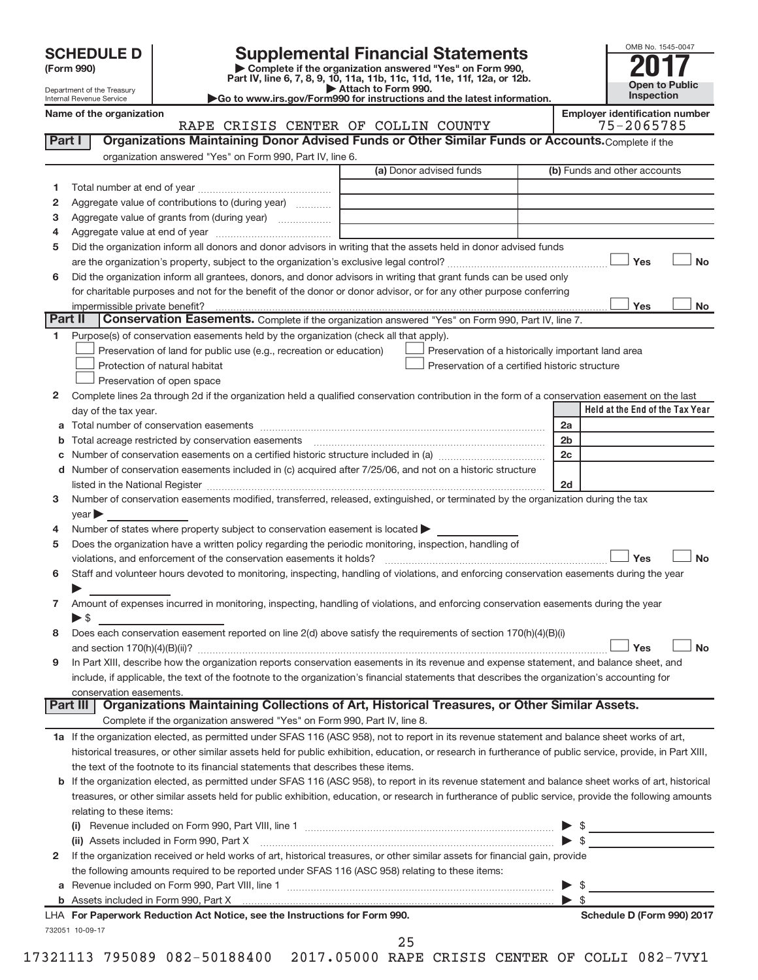| <b>SCHEDULE D</b> |  |
|-------------------|--|
|-------------------|--|

# **SCHEDULE D Supplemental Financial Statements**<br> **Form 990 2017**<br> **Part IV** line 6.7.8.9.10, 11a, 11b, 11c, 11d, 11e, 11f, 12a, or 12b

**(Form 990) | Complete if the organization answered "Yes" on Form 990, Part IV, line 6, 7, 8, 9, 10, 11a, 11b, 11c, 11d, 11e, 11f, 12a, or 12b.**

**| Attach to Form 990. |Go to www.irs.gov/Form990 for instructions and the latest information.**



Department of the Treasury Internal Revenue Service

**Name of the organization**<br>RAPE CRISIS CENTER OF COLLIN COUNTY **Employer identification number**<br>75-2065785

|        | RAPE CRISIS CENTER OF COLLIN COUNTY                                                                                                                                                                                           | 75-2065785                      |
|--------|-------------------------------------------------------------------------------------------------------------------------------------------------------------------------------------------------------------------------------|---------------------------------|
| Part I | Organizations Maintaining Donor Advised Funds or Other Similar Funds or Accounts. Complete if the                                                                                                                             |                                 |
|        | organization answered "Yes" on Form 990, Part IV, line 6.                                                                                                                                                                     |                                 |
|        | (a) Donor advised funds                                                                                                                                                                                                       | (b) Funds and other accounts    |
| 1      |                                                                                                                                                                                                                               |                                 |
| 2      | Aggregate value of contributions to (during year)                                                                                                                                                                             |                                 |
| з      | Aggregate value of grants from (during year)                                                                                                                                                                                  |                                 |
| 4      |                                                                                                                                                                                                                               |                                 |
| 5      | Did the organization inform all donors and donor advisors in writing that the assets held in donor advised funds                                                                                                              |                                 |
|        |                                                                                                                                                                                                                               | Yes<br>No                       |
| 6      | Did the organization inform all grantees, donors, and donor advisors in writing that grant funds can be used only                                                                                                             |                                 |
|        | for charitable purposes and not for the benefit of the donor or donor advisor, or for any other purpose conferring                                                                                                            |                                 |
|        | impermissible private benefit?                                                                                                                                                                                                | Yes<br>No                       |
|        | Conservation Easements. Complete if the organization answered "Yes" on Form 990, Part IV, line 7.<br>Part II                                                                                                                  |                                 |
| 1      | Purpose(s) of conservation easements held by the organization (check all that apply).                                                                                                                                         |                                 |
|        | Preservation of land for public use (e.g., recreation or education)<br>Preservation of a historically important land area                                                                                                     |                                 |
|        | Protection of natural habitat<br>Preservation of a certified historic structure                                                                                                                                               |                                 |
|        | Preservation of open space                                                                                                                                                                                                    |                                 |
| 2      | Complete lines 2a through 2d if the organization held a qualified conservation contribution in the form of a conservation easement on the last                                                                                |                                 |
|        | day of the tax year.                                                                                                                                                                                                          | Held at the End of the Tax Year |
|        |                                                                                                                                                                                                                               | 2a                              |
|        | Total acreage restricted by conservation easements                                                                                                                                                                            | 2 <sub>b</sub>                  |
|        |                                                                                                                                                                                                                               | 2c                              |
|        | d Number of conservation easements included in (c) acquired after 7/25/06, and not on a historic structure                                                                                                                    |                                 |
|        | listed in the National Register [111] Marshall Register [11] Marshall Register [11] Marshall Register [11] Marshall Register [11] Marshall Register [11] Marshall Register [11] Marshall Register [11] Marshall Register [11] | 2d                              |
| з      | Number of conservation easements modified, transferred, released, extinguished, or terminated by the organization during the tax                                                                                              |                                 |
|        | year                                                                                                                                                                                                                          |                                 |
| 4      | Number of states where property subject to conservation easement is located >                                                                                                                                                 |                                 |
| 5      |                                                                                                                                                                                                                               |                                 |
|        | Does the organization have a written policy regarding the periodic monitoring, inspection, handling of                                                                                                                        | Yes<br>No                       |
|        | Staff and volunteer hours devoted to monitoring, inspecting, handling of violations, and enforcing conservation easements during the year                                                                                     |                                 |
| 6      |                                                                                                                                                                                                                               |                                 |
|        | Amount of expenses incurred in monitoring, inspecting, handling of violations, and enforcing conservation easements during the year                                                                                           |                                 |
| 7      | $\blacktriangleright$ \$                                                                                                                                                                                                      |                                 |
|        |                                                                                                                                                                                                                               |                                 |
| 8      | Does each conservation easement reported on line 2(d) above satisfy the requirements of section 170(h)(4)(B)(i)                                                                                                               |                                 |
|        |                                                                                                                                                                                                                               | Yes<br>No                       |
| 9      | In Part XIII, describe how the organization reports conservation easements in its revenue and expense statement, and balance sheet, and                                                                                       |                                 |
|        | include, if applicable, the text of the footnote to the organization's financial statements that describes the organization's accounting for                                                                                  |                                 |
|        | conservation easements.<br>Organizations Maintaining Collections of Art, Historical Treasures, or Other Similar Assets.<br>Part III                                                                                           |                                 |
|        | Complete if the organization answered "Yes" on Form 990, Part IV, line 8.                                                                                                                                                     |                                 |
|        |                                                                                                                                                                                                                               |                                 |
|        | 1a If the organization elected, as permitted under SFAS 116 (ASC 958), not to report in its revenue statement and balance sheet works of art,                                                                                 |                                 |
|        | historical treasures, or other similar assets held for public exhibition, education, or research in furtherance of public service, provide, in Part XIII,                                                                     |                                 |
|        | the text of the footnote to its financial statements that describes these items.                                                                                                                                              |                                 |
|        | b If the organization elected, as permitted under SFAS 116 (ASC 958), to report in its revenue statement and balance sheet works of art, historical                                                                           |                                 |
|        | treasures, or other similar assets held for public exhibition, education, or research in furtherance of public service, provide the following amounts                                                                         |                                 |
|        | relating to these items:                                                                                                                                                                                                      |                                 |
|        |                                                                                                                                                                                                                               | \$                              |
|        | (ii) Assets included in Form 990, Part X                                                                                                                                                                                      | $\triangleright$ s              |
| 2      | If the organization received or held works of art, historical treasures, or other similar assets for financial gain, provide                                                                                                  |                                 |
|        | the following amounts required to be reported under SFAS 116 (ASC 958) relating to these items:                                                                                                                               |                                 |
|        |                                                                                                                                                                                                                               | - \$                            |
|        | b Assets included in Form 990, Part X [[CONDITED INTERNATION IN ASSETS IN ASSETS INCLUDED ASSETS IN A LOCAL DETAILS IN A LOCAL DETAILS IN A LOCAL DETAILS IN A LOCAL DETAILS IN A LOCAL DETAILS IN A LOCAL DETAILS IN A LOCAL | $\blacktriangleright$ s         |
|        | LHA For Paperwork Reduction Act Notice, see the Instructions for Form 990.                                                                                                                                                    | Schedule D (Form 990) 2017      |
|        | 732051 10-09-17                                                                                                                                                                                                               |                                 |
|        | 25                                                                                                                                                                                                                            |                                 |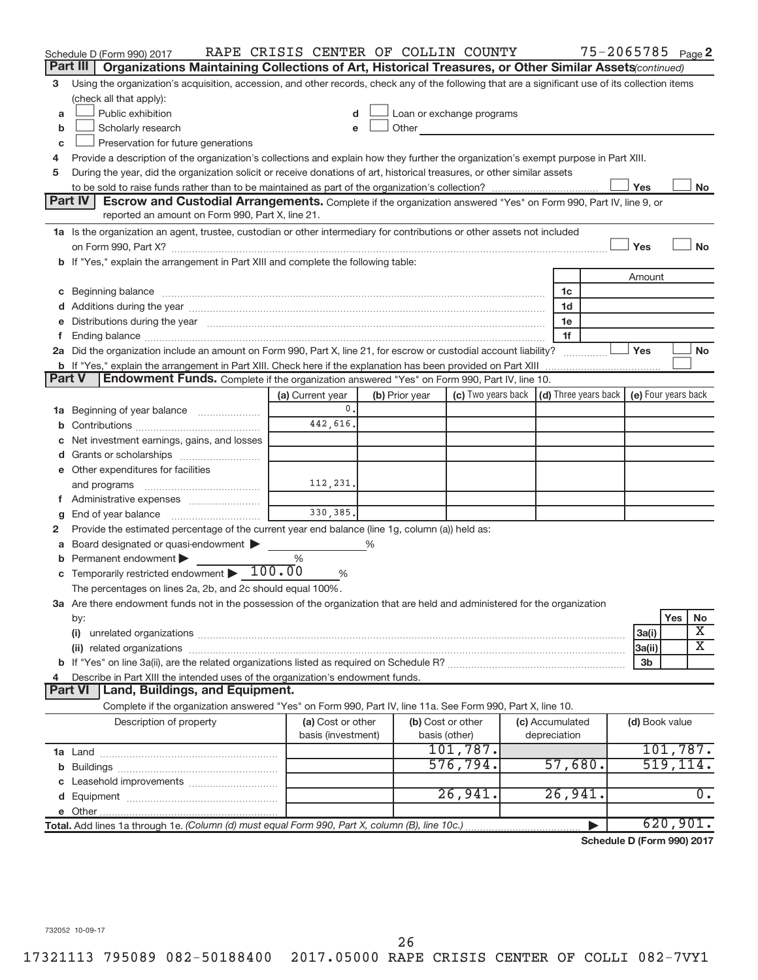|    | Schedule D (Form 990) 2017                                                                                                                                                                                                     | RAPE CRISIS CENTER OF COLLIN COUNTY |   |                |                           |                                      | 75-2065785 Page 2          |           |                         |
|----|--------------------------------------------------------------------------------------------------------------------------------------------------------------------------------------------------------------------------------|-------------------------------------|---|----------------|---------------------------|--------------------------------------|----------------------------|-----------|-------------------------|
|    | Part III<br>Organizations Maintaining Collections of Art, Historical Treasures, or Other Similar Assets (continued)                                                                                                            |                                     |   |                |                           |                                      |                            |           |                         |
| 3  | Using the organization's acquisition, accession, and other records, check any of the following that are a significant use of its collection items                                                                              |                                     |   |                |                           |                                      |                            |           |                         |
|    | (check all that apply):                                                                                                                                                                                                        |                                     |   |                |                           |                                      |                            |           |                         |
| a  | Public exhibition                                                                                                                                                                                                              |                                     |   |                | Loan or exchange programs |                                      |                            |           |                         |
| b  | Scholarly research                                                                                                                                                                                                             |                                     |   | Other          |                           |                                      |                            |           |                         |
| C  | Preservation for future generations                                                                                                                                                                                            |                                     |   |                |                           |                                      |                            |           |                         |
| 4  | Provide a description of the organization's collections and explain how they further the organization's exempt purpose in Part XIII.                                                                                           |                                     |   |                |                           |                                      |                            |           |                         |
| 5  | During the year, did the organization solicit or receive donations of art, historical treasures, or other similar assets                                                                                                       |                                     |   |                |                           |                                      |                            |           |                         |
|    |                                                                                                                                                                                                                                |                                     |   |                |                           |                                      | Yes                        |           | No                      |
|    | <b>Part IV</b><br><b>Escrow and Custodial Arrangements.</b> Complete if the organization answered "Yes" on Form 990, Part IV, line 9, or<br>reported an amount on Form 990, Part X, line 21.                                   |                                     |   |                |                           |                                      |                            |           |                         |
|    | 1a Is the organization an agent, trustee, custodian or other intermediary for contributions or other assets not included                                                                                                       |                                     |   |                |                           |                                      |                            |           |                         |
|    |                                                                                                                                                                                                                                |                                     |   |                |                           |                                      | Yes                        |           | <b>No</b>               |
|    | b If "Yes," explain the arrangement in Part XIII and complete the following table:                                                                                                                                             |                                     |   |                |                           |                                      |                            |           |                         |
|    |                                                                                                                                                                                                                                |                                     |   |                |                           |                                      | Amount                     |           |                         |
| С  | Beginning balance measurements and contain a series of the series of the series of the series of the series of                                                                                                                 |                                     |   |                |                           | 1c                                   |                            |           |                         |
|    | Additions during the year manufactured and an anti-                                                                                                                                                                            |                                     |   |                |                           | 1d                                   |                            |           |                         |
|    | Distributions during the year measurement contains and all the year measurement of the state of the state of the state of the state of the state of the state of the state of the state of the state of the state of the state |                                     |   |                |                           | 1e                                   |                            |           |                         |
|    |                                                                                                                                                                                                                                |                                     |   |                |                           | 1f                                   |                            |           |                         |
|    | 2a Did the organization include an amount on Form 990, Part X, line 21, for escrow or custodial account liability?                                                                                                             |                                     |   |                |                           |                                      | Yes                        |           | No                      |
|    | <b>b</b> If "Yes," explain the arrangement in Part XIII. Check here if the explanation has been provided on Part XIII                                                                                                          |                                     |   |                |                           |                                      |                            |           |                         |
|    | Endowment Funds. Complete if the organization answered "Yes" on Form 990, Part IV, line 10.<br>Part V                                                                                                                          |                                     |   |                |                           |                                      |                            |           |                         |
|    |                                                                                                                                                                                                                                | (a) Current year                    |   | (b) Prior year | (c) Two years back        | $\vert$ (d) Three years back $\vert$ | (e) Four years back        |           |                         |
| ٦а | Beginning of year balance                                                                                                                                                                                                      | 0.                                  |   |                |                           |                                      |                            |           |                         |
|    |                                                                                                                                                                                                                                | 442,616.                            |   |                |                           |                                      |                            |           |                         |
|    | Net investment earnings, gains, and losses                                                                                                                                                                                     |                                     |   |                |                           |                                      |                            |           |                         |
|    | Grants or scholarships                                                                                                                                                                                                         |                                     |   |                |                           |                                      |                            |           |                         |
|    | e Other expenditures for facilities                                                                                                                                                                                            |                                     |   |                |                           |                                      |                            |           |                         |
|    |                                                                                                                                                                                                                                | 112,231.                            |   |                |                           |                                      |                            |           |                         |
|    | f Administrative expenses                                                                                                                                                                                                      |                                     |   |                |                           |                                      |                            |           |                         |
| g  |                                                                                                                                                                                                                                | 330, 385.                           |   |                |                           |                                      |                            |           |                         |
| 2  | Provide the estimated percentage of the current year end balance (line 1g, column (a)) held as:                                                                                                                                |                                     |   |                |                           |                                      |                            |           |                         |
| а  | Board designated or quasi-endowment >                                                                                                                                                                                          |                                     | ℅ |                |                           |                                      |                            |           |                         |
|    | Permanent endowment                                                                                                                                                                                                            | %                                   |   |                |                           |                                      |                            |           |                         |
|    | Temporarily restricted endowment $\blacktriangleright 100.00$                                                                                                                                                                  | %                                   |   |                |                           |                                      |                            |           |                         |
|    | The percentages on lines 2a, 2b, and 2c should equal 100%.                                                                                                                                                                     |                                     |   |                |                           |                                      |                            |           |                         |
|    | 3a Are there endowment funds not in the possession of the organization that are held and administered for the organization                                                                                                     |                                     |   |                |                           |                                      |                            |           |                         |
|    | by:<br>(i)                                                                                                                                                                                                                     |                                     |   |                |                           |                                      |                            | Yes       | No<br>х                 |
|    |                                                                                                                                                                                                                                |                                     |   |                |                           |                                      | 3a(i)<br>3a(ii)            |           | $\overline{\textbf{X}}$ |
|    |                                                                                                                                                                                                                                |                                     |   |                |                           |                                      | 3 <sub>b</sub>             |           |                         |
|    | Describe in Part XIII the intended uses of the organization's endowment funds.                                                                                                                                                 |                                     |   |                |                           |                                      |                            |           |                         |
|    | Land, Buildings, and Equipment.<br><b>Part VI</b>                                                                                                                                                                              |                                     |   |                |                           |                                      |                            |           |                         |
|    | Complete if the organization answered "Yes" on Form 990, Part IV, line 11a. See Form 990, Part X, line 10.                                                                                                                     |                                     |   |                |                           |                                      |                            |           |                         |
|    | Description of property                                                                                                                                                                                                        | (a) Cost or other                   |   |                | (b) Cost or other         | (c) Accumulated                      | (d) Book value             |           |                         |
|    |                                                                                                                                                                                                                                | basis (investment)                  |   |                | basis (other)             | depreciation                         |                            |           |                         |
|    |                                                                                                                                                                                                                                |                                     |   |                | 101,787.                  |                                      |                            |           | 101,787.                |
| b  |                                                                                                                                                                                                                                |                                     |   |                | 576,794.                  | 57,680.                              |                            | 519, 114. |                         |
|    |                                                                                                                                                                                                                                |                                     |   |                |                           |                                      |                            |           |                         |
|    |                                                                                                                                                                                                                                |                                     |   |                | 26,941.                   | 26,941.                              |                            |           | 0.                      |
|    |                                                                                                                                                                                                                                |                                     |   |                |                           |                                      |                            |           |                         |
|    | Total. Add lines 1a through 1e. (Column (d) must equal Form 990, Part X, column (B), line 10c.)                                                                                                                                |                                     |   |                |                           |                                      |                            |           | 620,901.                |
|    |                                                                                                                                                                                                                                |                                     |   |                |                           |                                      | Schedule D (Form 990) 2017 |           |                         |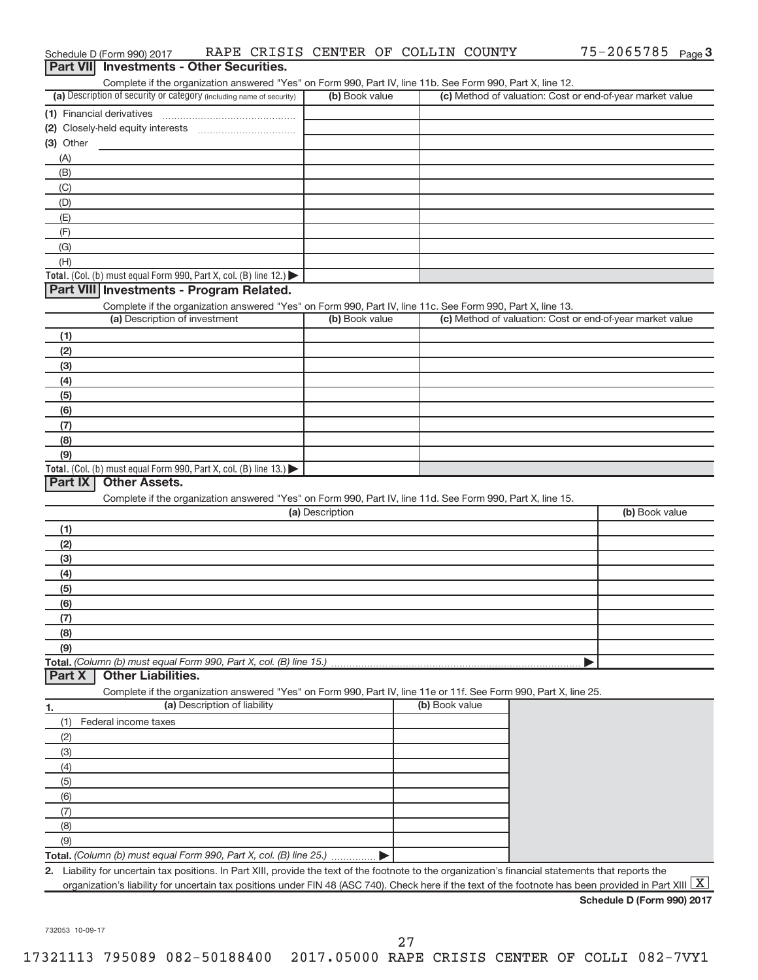|                  | Schedule D (Form 990) 2017                                                                                        |                              |                 | RAPE CRISIS CENTER OF COLLIN COUNTY | 75-2065785 Page 3                                                                                                                                    |   |
|------------------|-------------------------------------------------------------------------------------------------------------------|------------------------------|-----------------|-------------------------------------|------------------------------------------------------------------------------------------------------------------------------------------------------|---|
| <b>Part VIII</b> | <b>Investments - Other Securities.</b>                                                                            |                              |                 |                                     |                                                                                                                                                      |   |
|                  | Complete if the organization answered "Yes" on Form 990, Part IV, line 11b. See Form 990, Part X, line 12.        |                              |                 |                                     |                                                                                                                                                      |   |
|                  | (a) Description of security or category (including name of security)                                              |                              | (b) Book value  |                                     | (c) Method of valuation: Cost or end-of-year market value                                                                                            |   |
|                  | (1) Financial derivatives                                                                                         |                              |                 |                                     |                                                                                                                                                      |   |
|                  | (2) Closely-held equity interests                                                                                 |                              |                 |                                     |                                                                                                                                                      |   |
| (3) Other        |                                                                                                                   |                              |                 |                                     |                                                                                                                                                      |   |
| (A)              |                                                                                                                   |                              |                 |                                     |                                                                                                                                                      |   |
| (B)              |                                                                                                                   |                              |                 |                                     |                                                                                                                                                      |   |
| (C)              |                                                                                                                   |                              |                 |                                     |                                                                                                                                                      |   |
| (D)              |                                                                                                                   |                              |                 |                                     |                                                                                                                                                      |   |
| (E)<br>(F)       |                                                                                                                   |                              |                 |                                     |                                                                                                                                                      |   |
| (G)              |                                                                                                                   |                              |                 |                                     |                                                                                                                                                      |   |
| (H)              |                                                                                                                   |                              |                 |                                     |                                                                                                                                                      |   |
|                  | Total. (Col. (b) must equal Form 990, Part X, col. (B) line 12.)                                                  |                              |                 |                                     |                                                                                                                                                      |   |
|                  | Part VIII Investments - Program Related.                                                                          |                              |                 |                                     |                                                                                                                                                      |   |
|                  | Complete if the organization answered "Yes" on Form 990, Part IV, line 11c. See Form 990, Part X, line 13.        |                              |                 |                                     |                                                                                                                                                      |   |
|                  | (a) Description of investment                                                                                     |                              | (b) Book value  |                                     | (c) Method of valuation: Cost or end-of-year market value                                                                                            |   |
| (1)              |                                                                                                                   |                              |                 |                                     |                                                                                                                                                      |   |
| (2)              |                                                                                                                   |                              |                 |                                     |                                                                                                                                                      |   |
| (3)              |                                                                                                                   |                              |                 |                                     |                                                                                                                                                      |   |
| (4)              |                                                                                                                   |                              |                 |                                     |                                                                                                                                                      |   |
| (5)              |                                                                                                                   |                              |                 |                                     |                                                                                                                                                      |   |
| (6)              |                                                                                                                   |                              |                 |                                     |                                                                                                                                                      |   |
| (7)              |                                                                                                                   |                              |                 |                                     |                                                                                                                                                      |   |
| (8)              |                                                                                                                   |                              |                 |                                     |                                                                                                                                                      |   |
| (9)              |                                                                                                                   |                              |                 |                                     |                                                                                                                                                      |   |
|                  | Total. (Col. (b) must equal Form 990, Part X, col. (B) line $13.$ )                                               |                              |                 |                                     |                                                                                                                                                      |   |
| Part IX          | <b>Other Assets.</b>                                                                                              |                              |                 |                                     |                                                                                                                                                      |   |
|                  | Complete if the organization answered "Yes" on Form 990, Part IV, line 11d. See Form 990, Part X, line 15.        |                              | (a) Description |                                     | (b) Book value                                                                                                                                       |   |
|                  |                                                                                                                   |                              |                 |                                     |                                                                                                                                                      |   |
| (1)              |                                                                                                                   |                              |                 |                                     |                                                                                                                                                      |   |
| (2)              |                                                                                                                   |                              |                 |                                     |                                                                                                                                                      |   |
| (3)<br>(4)       |                                                                                                                   |                              |                 |                                     |                                                                                                                                                      |   |
| (5)              |                                                                                                                   |                              |                 |                                     |                                                                                                                                                      |   |
| (6)              |                                                                                                                   |                              |                 |                                     |                                                                                                                                                      |   |
| (7)              |                                                                                                                   |                              |                 |                                     |                                                                                                                                                      |   |
| (8)              |                                                                                                                   |                              |                 |                                     |                                                                                                                                                      |   |
| (9)              |                                                                                                                   |                              |                 |                                     |                                                                                                                                                      |   |
|                  | Total. (Column (b) must equal Form 990, Part X, col. (B) line 15.)                                                |                              |                 |                                     |                                                                                                                                                      |   |
| Part X           | <b>Other Liabilities.</b>                                                                                         |                              |                 |                                     |                                                                                                                                                      |   |
|                  | Complete if the organization answered "Yes" on Form 990, Part IV, line 11e or 11f. See Form 990, Part X, line 25. |                              |                 |                                     |                                                                                                                                                      |   |
| 1.               |                                                                                                                   | (a) Description of liability |                 | (b) Book value                      |                                                                                                                                                      |   |
| (1)              | Federal income taxes                                                                                              |                              |                 |                                     |                                                                                                                                                      |   |
| (2)              |                                                                                                                   |                              |                 |                                     |                                                                                                                                                      |   |
| (3)              |                                                                                                                   |                              |                 |                                     |                                                                                                                                                      |   |
| (4)              |                                                                                                                   |                              |                 |                                     |                                                                                                                                                      |   |
| (5)              |                                                                                                                   |                              |                 |                                     |                                                                                                                                                      |   |
| (6)              |                                                                                                                   |                              |                 |                                     |                                                                                                                                                      |   |
| (7)              |                                                                                                                   |                              |                 |                                     |                                                                                                                                                      |   |
| (8)              |                                                                                                                   |                              |                 |                                     |                                                                                                                                                      |   |
| (9)              |                                                                                                                   |                              |                 |                                     |                                                                                                                                                      |   |
|                  | Total. (Column (b) must equal Form 990, Part X, col. (B) line 25.)                                                |                              |                 |                                     |                                                                                                                                                      |   |
|                  |                                                                                                                   |                              |                 |                                     | 2. Liability for uncertain tax positions. In Part XIII, provide the text of the footnote to the organization's financial statements that reports the |   |
|                  |                                                                                                                   |                              |                 |                                     | organization's liability for uncertain tax positions under FIN 48 (ASC 740). Check here if the text of the footnote has been provided in Part XIII   | X |
|                  |                                                                                                                   |                              |                 |                                     | Schedule D (Form 990) 2017                                                                                                                           |   |

732053 10-09-17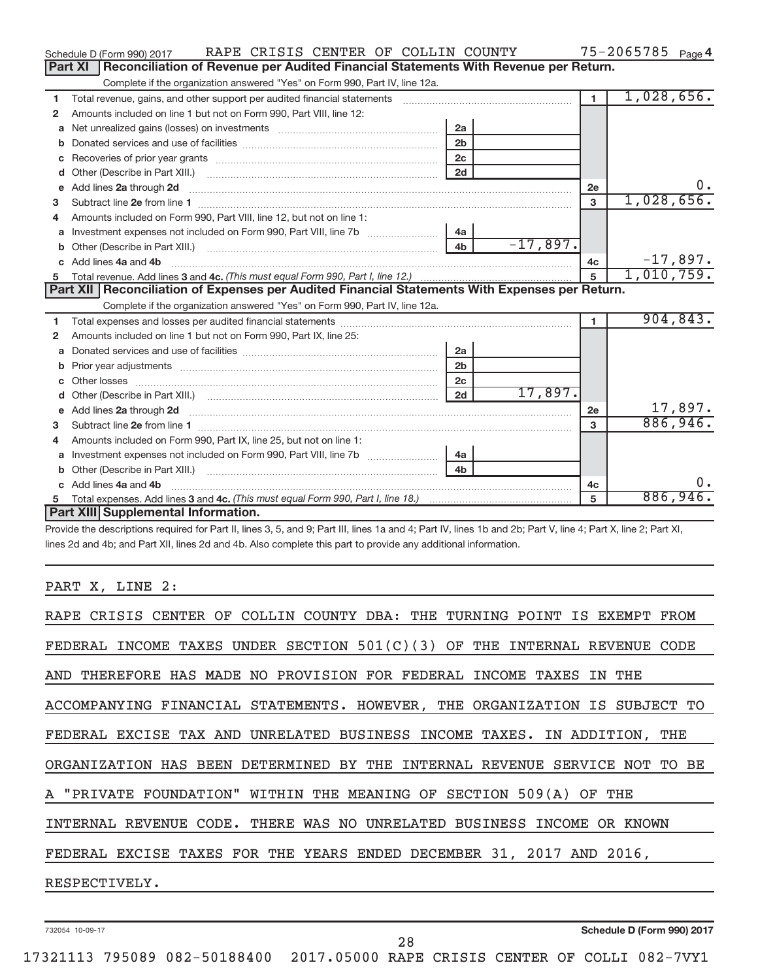|   | RAPE CRISIS CENTER OF COLLIN COUNTY<br>Schedule D (Form 990) 2017                                               |                |            |                | $75 - 2065785$ Page 4 |
|---|-----------------------------------------------------------------------------------------------------------------|----------------|------------|----------------|-----------------------|
|   | Reconciliation of Revenue per Audited Financial Statements With Revenue per Return.<br>Part XI                  |                |            |                |                       |
|   | Complete if the organization answered "Yes" on Form 990, Part IV, line 12a.                                     |                |            |                |                       |
| 1 | Total revenue, gains, and other support per audited financial statements                                        |                |            | $\mathbf{1}$   | 1,028,656.            |
| 2 | Amounts included on line 1 but not on Form 990, Part VIII, line 12:                                             |                |            |                |                       |
| a | Net unrealized gains (losses) on investments [111] [12] matter and the unrealized gains (losses) on investments | 2a             |            |                |                       |
| b |                                                                                                                 | 2 <sub>b</sub> |            |                |                       |
| с |                                                                                                                 |                |            |                |                       |
| d |                                                                                                                 | 2d             |            |                |                       |
| e |                                                                                                                 |                |            | 2e             | 0.                    |
| 3 |                                                                                                                 |                |            | 3              | 1,028,656.            |
| 4 | Amounts included on Form 990, Part VIII, line 12, but not on line 1:                                            |                |            |                |                       |
| a |                                                                                                                 | 4a             |            |                |                       |
| b |                                                                                                                 | 4 <sub>h</sub> | $-17,897.$ |                |                       |
| C | Add lines 4a and 4b                                                                                             |                |            | 4c             | $-17,897.$            |
|   |                                                                                                                 |                |            | 5              | 1,010,759.            |
|   |                                                                                                                 |                |            |                |                       |
|   | Part XII   Reconciliation of Expenses per Audited Financial Statements With Expenses per Return.                |                |            |                |                       |
|   | Complete if the organization answered "Yes" on Form 990, Part IV, line 12a.                                     |                |            |                |                       |
| 1 |                                                                                                                 |                |            | $\blacksquare$ | 904,843.              |
| 2 | Amounts included on line 1 but not on Form 990, Part IX, line 25:                                               |                |            |                |                       |
| a |                                                                                                                 | 2a             |            |                |                       |
| b | Prior year adjustments [11,111] Prior year adjustments [11,111] All material materials and the contract of the  | 2 <sub>b</sub> |            |                |                       |
| с |                                                                                                                 | 2c             |            |                |                       |
| d |                                                                                                                 | 2d             | 17,897.    |                |                       |
| е |                                                                                                                 |                |            | 2e             | 17,897.               |
| 3 |                                                                                                                 |                |            | 3              | 886,946.              |
| 4 | Amounts included on Form 990, Part IX, line 25, but not on line 1:                                              |                |            |                |                       |
| a |                                                                                                                 | 4a             |            |                |                       |
| b |                                                                                                                 | 4 <sub>h</sub> |            |                |                       |
|   | Add lines 4a and 4b                                                                                             |                |            | 4с             | 0.                    |
|   | Part XIII Supplemental Information.                                                                             |                |            | 5              | 886,946.              |

Provide the descriptions required for Part II, lines 3, 5, and 9; Part III, lines 1a and 4; Part IV, lines 1b and 2b; Part V, line 4; Part X, line 2; Part XI, lines 2d and 4b; and Part XII, lines 2d and 4b. Also complete this part to provide any additional information.

# PART X, LINE 2:

| RAPE CRISIS CENTER OF COLLIN COUNTY DBA: THE TURNING POINT IS EXEMPT FROM   |
|-----------------------------------------------------------------------------|
| FEDERAL INCOME TAXES UNDER SECTION $501(C)(3)$ OF THE INTERNAL REVENUE CODE |
| AND THEREFORE HAS MADE NO PROVISION FOR FEDERAL INCOME TAXES IN THE         |
| ACCOMPANYING FINANCIAL STATEMENTS. HOWEVER, THE ORGANIZATION IS SUBJECT TO  |
| FEDERAL EXCISE TAX AND UNRELATED BUSINESS INCOME TAXES. IN ADDITION, THE    |
| ORGANIZATION HAS BEEN DETERMINED BY THE INTERNAL REVENUE SERVICE NOT TO BE  |
| A "PRIVATE FOUNDATION" WITHIN THE MEANING OF SECTION 509(A) OF THE          |
| INTERNAL REVENUE CODE. THERE WAS NO UNRELATED BUSINESS INCOME OR KNOWN      |
| FEDERAL EXCISE TAXES FOR THE YEARS ENDED DECEMBER 31, 2017 AND 2016,        |
| RESPECTIVELY.                                                               |
|                                                                             |

732054 10-09-17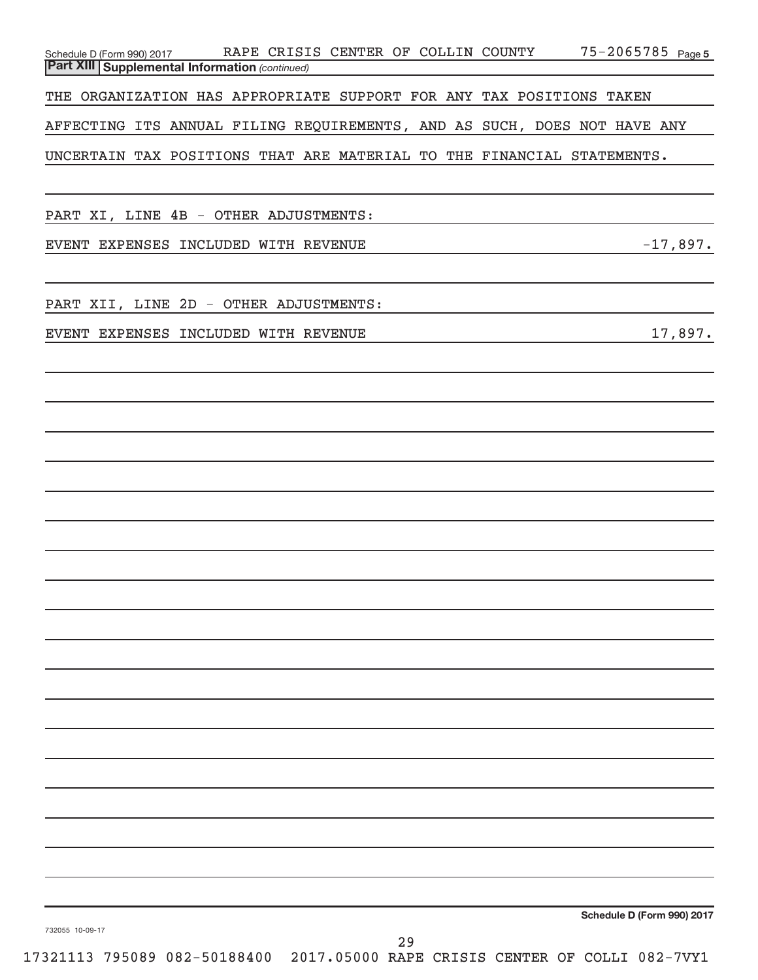| Part XIII Supplemental Information (continued)<br>THE ORGANIZATION HAS APPROPRIATE SUPPORT FOR ANY TAX POSITIONS TAKEN<br>AFFECTING ITS ANNUAL FILING REQUIREMENTS, AND AS SUCH, DOES NOT HAVE ANY |  |
|----------------------------------------------------------------------------------------------------------------------------------------------------------------------------------------------------|--|
|                                                                                                                                                                                                    |  |
|                                                                                                                                                                                                    |  |
| UNCERTAIN TAX POSITIONS THAT ARE MATERIAL TO THE FINANCIAL STATEMENTS.                                                                                                                             |  |
|                                                                                                                                                                                                    |  |
| PART XI, LINE 4B - OTHER ADJUSTMENTS:                                                                                                                                                              |  |
| $-17,897.$<br>EVENT EXPENSES INCLUDED WITH REVENUE                                                                                                                                                 |  |
| PART XII, LINE 2D - OTHER ADJUSTMENTS:                                                                                                                                                             |  |
| 17,897.<br>EVENT EXPENSES INCLUDED WITH REVENUE                                                                                                                                                    |  |
|                                                                                                                                                                                                    |  |
|                                                                                                                                                                                                    |  |
|                                                                                                                                                                                                    |  |
|                                                                                                                                                                                                    |  |
|                                                                                                                                                                                                    |  |
|                                                                                                                                                                                                    |  |
|                                                                                                                                                                                                    |  |
|                                                                                                                                                                                                    |  |
|                                                                                                                                                                                                    |  |
|                                                                                                                                                                                                    |  |
|                                                                                                                                                                                                    |  |
|                                                                                                                                                                                                    |  |
|                                                                                                                                                                                                    |  |
|                                                                                                                                                                                                    |  |
|                                                                                                                                                                                                    |  |
|                                                                                                                                                                                                    |  |
|                                                                                                                                                                                                    |  |
|                                                                                                                                                                                                    |  |
| Schedule D (Form 990) 2017<br>732055 10-09-17<br>29                                                                                                                                                |  |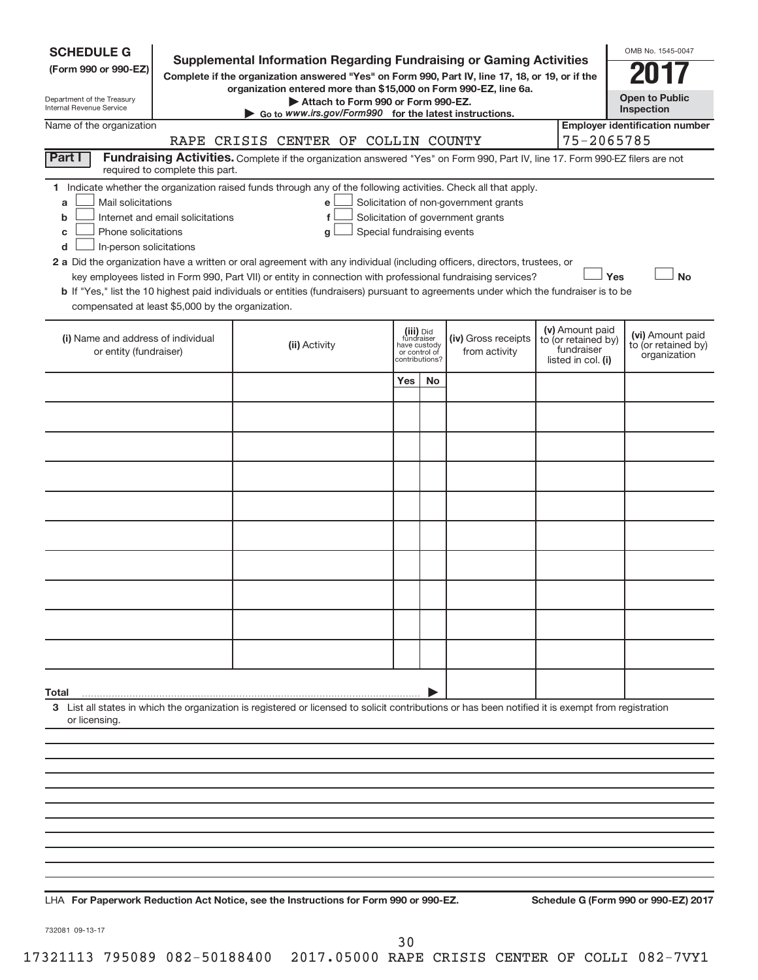| <b>Employer identification number</b><br>75-2065785<br>RAPE CRISIS CENTER OF COLLIN COUNTY<br>Part I<br>Fundraising Activities. Complete if the organization answered "Yes" on Form 990, Part IV, line 17. Form 990-EZ filers are not<br>required to complete this part.<br>1 Indicate whether the organization raised funds through any of the following activities. Check all that apply.<br>Mail solicitations<br>Solicitation of non-government grants<br>a<br>е<br>Internet and email solicitations<br>Solicitation of government grants<br>f<br>b<br>Phone solicitations<br>Special fundraising events<br>c<br>q<br>In-person solicitations<br>d<br>2 a Did the organization have a written or oral agreement with any individual (including officers, directors, trustees, or<br>Yes<br><b>No</b><br>key employees listed in Form 990, Part VII) or entity in connection with professional fundraising services?<br>b If "Yes," list the 10 highest paid individuals or entities (fundraisers) pursuant to agreements under which the fundraiser is to be<br>compensated at least \$5,000 by the organization.<br>(v) Amount paid<br>(iii) Did<br>fundraiser<br>(vi) Amount paid<br>(i) Name and address of individual<br>(iv) Gross receipts<br>to (or retained by)<br>to (or retained by)<br>(ii) Activity<br>have custody<br>fundraiser<br>or entity (fundraiser)<br>from activity<br>or control of<br>organization<br>listed in col. (i)<br>contributions?<br>Yes<br>No | <b>SCHEDULE G</b><br>(Form 990 or 990-EZ)<br>Department of the Treasury<br>Internal Revenue Service | <b>Supplemental Information Regarding Fundraising or Gaming Activities</b><br>Complete if the organization answered "Yes" on Form 990, Part IV, line 17, 18, or 19, or if the<br>organization entered more than \$15,000 on Form 990-EZ, line 6a.<br>Attach to Form 990 or Form 990-EZ.<br>$\triangleright$ Go to www.irs.gov/Form990 for the latest instructions. |  |  | OMB No. 1545-0047<br><b>Open to Public</b><br>Inspection |
|------------------------------------------------------------------------------------------------------------------------------------------------------------------------------------------------------------------------------------------------------------------------------------------------------------------------------------------------------------------------------------------------------------------------------------------------------------------------------------------------------------------------------------------------------------------------------------------------------------------------------------------------------------------------------------------------------------------------------------------------------------------------------------------------------------------------------------------------------------------------------------------------------------------------------------------------------------------------------------------------------------------------------------------------------------------------------------------------------------------------------------------------------------------------------------------------------------------------------------------------------------------------------------------------------------------------------------------------------------------------------------------------------------------------------------------------------------------------------------|-----------------------------------------------------------------------------------------------------|--------------------------------------------------------------------------------------------------------------------------------------------------------------------------------------------------------------------------------------------------------------------------------------------------------------------------------------------------------------------|--|--|----------------------------------------------------------|
|                                                                                                                                                                                                                                                                                                                                                                                                                                                                                                                                                                                                                                                                                                                                                                                                                                                                                                                                                                                                                                                                                                                                                                                                                                                                                                                                                                                                                                                                                    | Name of the organization                                                                            |                                                                                                                                                                                                                                                                                                                                                                    |  |  |                                                          |
|                                                                                                                                                                                                                                                                                                                                                                                                                                                                                                                                                                                                                                                                                                                                                                                                                                                                                                                                                                                                                                                                                                                                                                                                                                                                                                                                                                                                                                                                                    |                                                                                                     |                                                                                                                                                                                                                                                                                                                                                                    |  |  |                                                          |
|                                                                                                                                                                                                                                                                                                                                                                                                                                                                                                                                                                                                                                                                                                                                                                                                                                                                                                                                                                                                                                                                                                                                                                                                                                                                                                                                                                                                                                                                                    |                                                                                                     |                                                                                                                                                                                                                                                                                                                                                                    |  |  |                                                          |
|                                                                                                                                                                                                                                                                                                                                                                                                                                                                                                                                                                                                                                                                                                                                                                                                                                                                                                                                                                                                                                                                                                                                                                                                                                                                                                                                                                                                                                                                                    |                                                                                                     |                                                                                                                                                                                                                                                                                                                                                                    |  |  |                                                          |
|                                                                                                                                                                                                                                                                                                                                                                                                                                                                                                                                                                                                                                                                                                                                                                                                                                                                                                                                                                                                                                                                                                                                                                                                                                                                                                                                                                                                                                                                                    |                                                                                                     |                                                                                                                                                                                                                                                                                                                                                                    |  |  |                                                          |
|                                                                                                                                                                                                                                                                                                                                                                                                                                                                                                                                                                                                                                                                                                                                                                                                                                                                                                                                                                                                                                                                                                                                                                                                                                                                                                                                                                                                                                                                                    |                                                                                                     |                                                                                                                                                                                                                                                                                                                                                                    |  |  |                                                          |
|                                                                                                                                                                                                                                                                                                                                                                                                                                                                                                                                                                                                                                                                                                                                                                                                                                                                                                                                                                                                                                                                                                                                                                                                                                                                                                                                                                                                                                                                                    |                                                                                                     |                                                                                                                                                                                                                                                                                                                                                                    |  |  |                                                          |
|                                                                                                                                                                                                                                                                                                                                                                                                                                                                                                                                                                                                                                                                                                                                                                                                                                                                                                                                                                                                                                                                                                                                                                                                                                                                                                                                                                                                                                                                                    |                                                                                                     |                                                                                                                                                                                                                                                                                                                                                                    |  |  |                                                          |
|                                                                                                                                                                                                                                                                                                                                                                                                                                                                                                                                                                                                                                                                                                                                                                                                                                                                                                                                                                                                                                                                                                                                                                                                                                                                                                                                                                                                                                                                                    |                                                                                                     |                                                                                                                                                                                                                                                                                                                                                                    |  |  |                                                          |
|                                                                                                                                                                                                                                                                                                                                                                                                                                                                                                                                                                                                                                                                                                                                                                                                                                                                                                                                                                                                                                                                                                                                                                                                                                                                                                                                                                                                                                                                                    |                                                                                                     |                                                                                                                                                                                                                                                                                                                                                                    |  |  |                                                          |
|                                                                                                                                                                                                                                                                                                                                                                                                                                                                                                                                                                                                                                                                                                                                                                                                                                                                                                                                                                                                                                                                                                                                                                                                                                                                                                                                                                                                                                                                                    |                                                                                                     |                                                                                                                                                                                                                                                                                                                                                                    |  |  |                                                          |
|                                                                                                                                                                                                                                                                                                                                                                                                                                                                                                                                                                                                                                                                                                                                                                                                                                                                                                                                                                                                                                                                                                                                                                                                                                                                                                                                                                                                                                                                                    |                                                                                                     |                                                                                                                                                                                                                                                                                                                                                                    |  |  |                                                          |
|                                                                                                                                                                                                                                                                                                                                                                                                                                                                                                                                                                                                                                                                                                                                                                                                                                                                                                                                                                                                                                                                                                                                                                                                                                                                                                                                                                                                                                                                                    |                                                                                                     |                                                                                                                                                                                                                                                                                                                                                                    |  |  |                                                          |
|                                                                                                                                                                                                                                                                                                                                                                                                                                                                                                                                                                                                                                                                                                                                                                                                                                                                                                                                                                                                                                                                                                                                                                                                                                                                                                                                                                                                                                                                                    |                                                                                                     |                                                                                                                                                                                                                                                                                                                                                                    |  |  |                                                          |
|                                                                                                                                                                                                                                                                                                                                                                                                                                                                                                                                                                                                                                                                                                                                                                                                                                                                                                                                                                                                                                                                                                                                                                                                                                                                                                                                                                                                                                                                                    | Total                                                                                               |                                                                                                                                                                                                                                                                                                                                                                    |  |  |                                                          |
| 3 List all states in which the organization is registered or licensed to solicit contributions or has been notified it is exempt from registration<br>or licensing.                                                                                                                                                                                                                                                                                                                                                                                                                                                                                                                                                                                                                                                                                                                                                                                                                                                                                                                                                                                                                                                                                                                                                                                                                                                                                                                |                                                                                                     |                                                                                                                                                                                                                                                                                                                                                                    |  |  |                                                          |
|                                                                                                                                                                                                                                                                                                                                                                                                                                                                                                                                                                                                                                                                                                                                                                                                                                                                                                                                                                                                                                                                                                                                                                                                                                                                                                                                                                                                                                                                                    |                                                                                                     |                                                                                                                                                                                                                                                                                                                                                                    |  |  |                                                          |
|                                                                                                                                                                                                                                                                                                                                                                                                                                                                                                                                                                                                                                                                                                                                                                                                                                                                                                                                                                                                                                                                                                                                                                                                                                                                                                                                                                                                                                                                                    |                                                                                                     |                                                                                                                                                                                                                                                                                                                                                                    |  |  |                                                          |
|                                                                                                                                                                                                                                                                                                                                                                                                                                                                                                                                                                                                                                                                                                                                                                                                                                                                                                                                                                                                                                                                                                                                                                                                                                                                                                                                                                                                                                                                                    |                                                                                                     |                                                                                                                                                                                                                                                                                                                                                                    |  |  |                                                          |
|                                                                                                                                                                                                                                                                                                                                                                                                                                                                                                                                                                                                                                                                                                                                                                                                                                                                                                                                                                                                                                                                                                                                                                                                                                                                                                                                                                                                                                                                                    |                                                                                                     |                                                                                                                                                                                                                                                                                                                                                                    |  |  |                                                          |
|                                                                                                                                                                                                                                                                                                                                                                                                                                                                                                                                                                                                                                                                                                                                                                                                                                                                                                                                                                                                                                                                                                                                                                                                                                                                                                                                                                                                                                                                                    |                                                                                                     |                                                                                                                                                                                                                                                                                                                                                                    |  |  |                                                          |
|                                                                                                                                                                                                                                                                                                                                                                                                                                                                                                                                                                                                                                                                                                                                                                                                                                                                                                                                                                                                                                                                                                                                                                                                                                                                                                                                                                                                                                                                                    |                                                                                                     |                                                                                                                                                                                                                                                                                                                                                                    |  |  |                                                          |

**For Paperwork Reduction Act Notice, see the Instructions for Form 990 or 990-EZ. Schedule G (Form 990 or 990-EZ) 2017** LHA

732081 09-13-17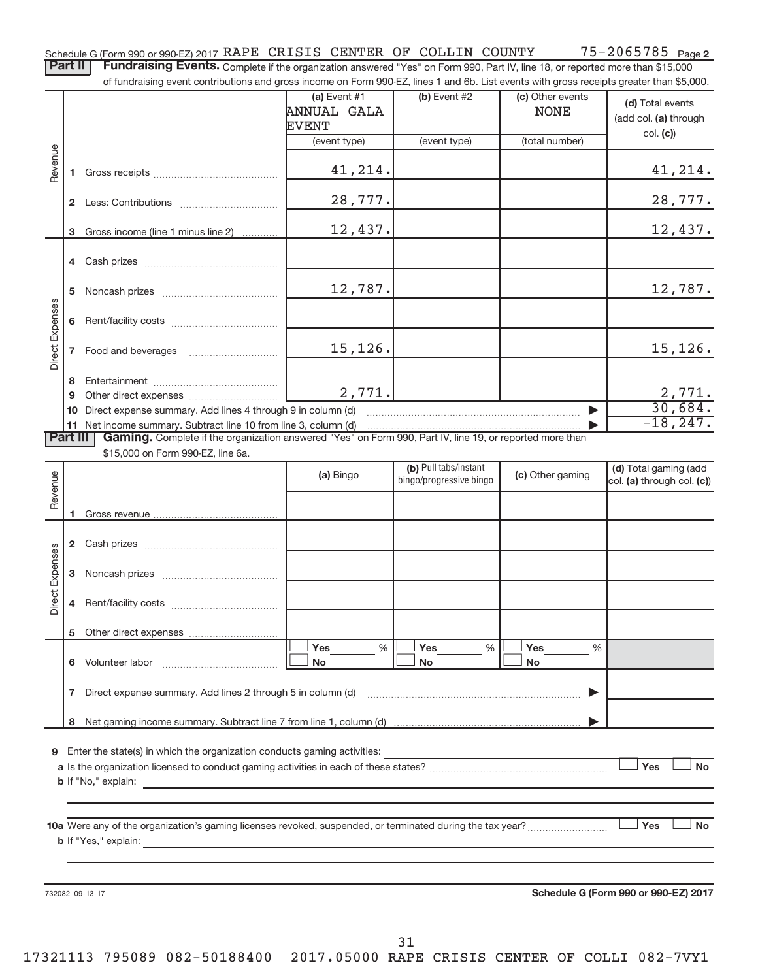75-2065785 Page 2 Schedule G (Form 990 or 990-EZ) 2017 RAPE CRISIS CENTER OF COLLIN COUNTY 75-2065785 Page

Part II | Fundraising Events. Complete if the organization answered "Yes" on Form 990, Part IV, line 18, or reported more than \$15,000 of fundraising event contributions and gross income on Form 990-EZ, lines 1 and 6b. List events with gross receipts greater than \$5,000.

|                        |              | along overtic continuations and gross integrity on Form oco EE, illited T and ob. Electroverite with gross receipts groater than $\phi$ o,ood.      |                                                      |                         |                                 |                                                       |
|------------------------|--------------|-----------------------------------------------------------------------------------------------------------------------------------------------------|------------------------------------------------------|-------------------------|---------------------------------|-------------------------------------------------------|
|                        |              |                                                                                                                                                     | (a) Event $#1$<br><b>ANNUAL GALA</b><br><b>EVENT</b> | (b) Event #2            | (c) Other events<br><b>NONE</b> | (d) Total events<br>(add col. (a) through<br>col. (c) |
|                        |              |                                                                                                                                                     | (event type)                                         | (event type)            | (total number)                  |                                                       |
| Revenue                |              |                                                                                                                                                     | 41,214.                                              |                         |                                 | 41,214.                                               |
|                        |              |                                                                                                                                                     | 28,777.                                              |                         |                                 | 28,777.                                               |
|                        |              | 3 Gross income (line 1 minus line 2)                                                                                                                | 12,437.                                              |                         |                                 | 12,437.                                               |
|                        |              |                                                                                                                                                     |                                                      |                         |                                 |                                                       |
|                        | 5            |                                                                                                                                                     | 12,787.                                              |                         |                                 | 12,787.                                               |
| Direct Expenses        |              |                                                                                                                                                     |                                                      |                         |                                 |                                                       |
|                        | $\mathbf{7}$ |                                                                                                                                                     | 15,126.                                              |                         |                                 | 15,126.                                               |
|                        | 8.           |                                                                                                                                                     |                                                      |                         |                                 |                                                       |
|                        | 9            |                                                                                                                                                     | 2,771.                                               |                         |                                 | 2,771.                                                |
|                        |              | 10 Direct expense summary. Add lines 4 through 9 in column (d)                                                                                      |                                                      |                         |                                 | 30,684.                                               |
|                        |              | 11 Net income summary. Subtract line 10 from line 3, column (d)                                                                                     |                                                      |                         |                                 | $-18, 247.$                                           |
| <b>Part III</b>        |              | Gaming. Complete if the organization answered "Yes" on Form 990, Part IV, line 19, or reported more than<br>\$15,000 on Form 990-EZ, line 6a.       |                                                      |                         |                                 |                                                       |
|                        |              |                                                                                                                                                     |                                                      | (b) Pull tabs/instant   |                                 | (d) Total gaming (add                                 |
| Revenue                |              |                                                                                                                                                     | (a) Bingo                                            | bingo/progressive bingo | (c) Other gaming                | col. (a) through col. (c))                            |
|                        |              |                                                                                                                                                     |                                                      |                         |                                 |                                                       |
|                        |              |                                                                                                                                                     |                                                      |                         |                                 |                                                       |
|                        |              |                                                                                                                                                     |                                                      |                         |                                 |                                                       |
|                        |              |                                                                                                                                                     |                                                      |                         |                                 |                                                       |
| <b>Direct Expenses</b> | 3            |                                                                                                                                                     |                                                      |                         |                                 |                                                       |
|                        | 4            |                                                                                                                                                     |                                                      |                         |                                 |                                                       |
|                        |              |                                                                                                                                                     |                                                      |                         |                                 |                                                       |
|                        |              |                                                                                                                                                     | Yes<br>%                                             | Yes<br>%                | Yes<br>%                        |                                                       |
|                        |              | 6 Volunteer labor                                                                                                                                   | No                                                   | <b>No</b>               | <b>No</b>                       |                                                       |
|                        | $\mathbf{7}$ | Direct expense summary. Add lines 2 through 5 in column (d)                                                                                         |                                                      |                         |                                 |                                                       |
|                        | 8            |                                                                                                                                                     |                                                      |                         |                                 |                                                       |
|                        |              |                                                                                                                                                     |                                                      |                         |                                 |                                                       |
|                        |              |                                                                                                                                                     |                                                      |                         |                                 |                                                       |
| 9                      |              | Enter the state(s) in which the organization conducts gaming activities:                                                                            |                                                      |                         |                                 |                                                       |
|                        |              |                                                                                                                                                     |                                                      |                         |                                 | Yes<br><b>No</b>                                      |
|                        |              | <b>b</b> If "No," explain:<br>the control of the control of the control of the control of the control of the control of                             |                                                      |                         |                                 |                                                       |
|                        |              |                                                                                                                                                     |                                                      |                         |                                 |                                                       |
|                        |              |                                                                                                                                                     |                                                      |                         |                                 | <b>」Yes</b><br><b>No</b>                              |
|                        |              | <b>b</b> If "Yes," explain:<br><u> 1989 - Johann Stein, mars an deutscher Stein und der Stein und der Stein und der Stein und der Stein und der</u> |                                                      |                         |                                 |                                                       |
|                        |              |                                                                                                                                                     |                                                      |                         |                                 |                                                       |
|                        |              |                                                                                                                                                     |                                                      |                         |                                 |                                                       |
|                        |              | 732082 09-13-17                                                                                                                                     |                                                      |                         |                                 | Schedule G (Form 990 or 990-EZ) 2017                  |
|                        |              |                                                                                                                                                     |                                                      |                         |                                 |                                                       |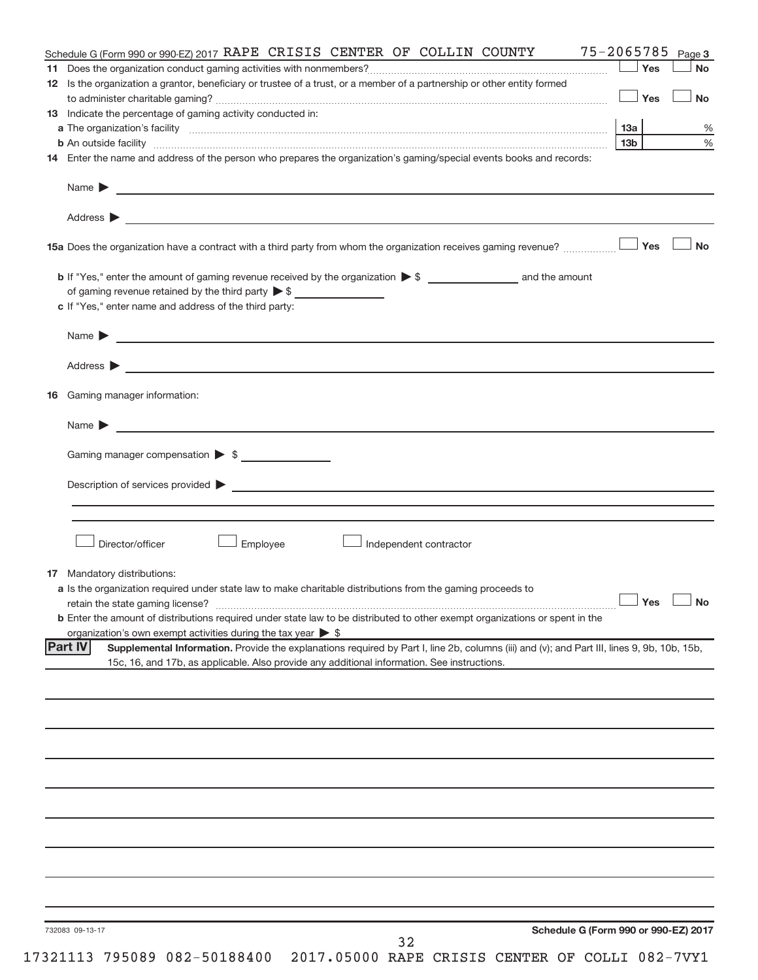| Schedule G (Form 990 or 990-EZ) 2017 RAPE CRISIS CENTER OF COLLIN COUNTY                                                                                      | 75-2065785 Page 3    |               |
|---------------------------------------------------------------------------------------------------------------------------------------------------------------|----------------------|---------------|
|                                                                                                                                                               | Yes                  | <b>No</b>     |
| 12 Is the organization a grantor, beneficiary or trustee of a trust, or a member of a partnership or other entity formed                                      |                      |               |
|                                                                                                                                                               | Yes                  | <b>No</b>     |
| <b>13</b> Indicate the percentage of gaming activity conducted in:                                                                                            |                      |               |
|                                                                                                                                                               |                      | $\%$          |
|                                                                                                                                                               | 13b l                | $\frac{9}{6}$ |
| 14 Enter the name and address of the person who prepares the organization's gaming/special events books and records:                                          |                      |               |
| Name $\blacktriangleright$ $\frac{1}{\sqrt{1-\frac{1}{2}}\left(1-\frac{1}{2}\right)}$                                                                         |                      |               |
|                                                                                                                                                               |                      |               |
|                                                                                                                                                               |                      | <b>No</b>     |
|                                                                                                                                                               |                      |               |
| of gaming revenue retained by the third party $\triangleright$ \$                                                                                             |                      |               |
| c If "Yes," enter name and address of the third party:                                                                                                        |                      |               |
|                                                                                                                                                               |                      |               |
|                                                                                                                                                               |                      |               |
| <b>16</b> Gaming manager information:                                                                                                                         |                      |               |
|                                                                                                                                                               |                      |               |
|                                                                                                                                                               |                      |               |
| Gaming manager compensation > \$                                                                                                                              |                      |               |
|                                                                                                                                                               |                      |               |
|                                                                                                                                                               |                      |               |
|                                                                                                                                                               |                      |               |
| Director/officer<br>Employee<br>Independent contractor                                                                                                        |                      |               |
|                                                                                                                                                               |                      |               |
| <b>17</b> Mandatory distributions:                                                                                                                            |                      |               |
| a Is the organization required under state law to make charitable distributions from the gaming proceeds to                                                   | $\Box$ Yes $\Box$ No |               |
| <b>b</b> Enter the amount of distributions required under state law to be distributed to other exempt organizations or spent in the                           |                      |               |
| organization's own exempt activities during the tax year $\triangleright$ \$                                                                                  |                      |               |
| <b>Part IV</b><br>Supplemental Information. Provide the explanations required by Part I, line 2b, columns (iii) and (v); and Part III, lines 9, 9b, 10b, 15b, |                      |               |
| 15c, 16, and 17b, as applicable. Also provide any additional information. See instructions.                                                                   |                      |               |
|                                                                                                                                                               |                      |               |
|                                                                                                                                                               |                      |               |
|                                                                                                                                                               |                      |               |
|                                                                                                                                                               |                      |               |
|                                                                                                                                                               |                      |               |
|                                                                                                                                                               |                      |               |
|                                                                                                                                                               |                      |               |
|                                                                                                                                                               |                      |               |
|                                                                                                                                                               |                      |               |
|                                                                                                                                                               |                      |               |
|                                                                                                                                                               |                      |               |
|                                                                                                                                                               |                      |               |
|                                                                                                                                                               |                      |               |
|                                                                                                                                                               |                      |               |
|                                                                                                                                                               |                      |               |
| Schedule G (Form 990 or 990-EZ) 2017<br>732083 09-13-17<br>32                                                                                                 |                      |               |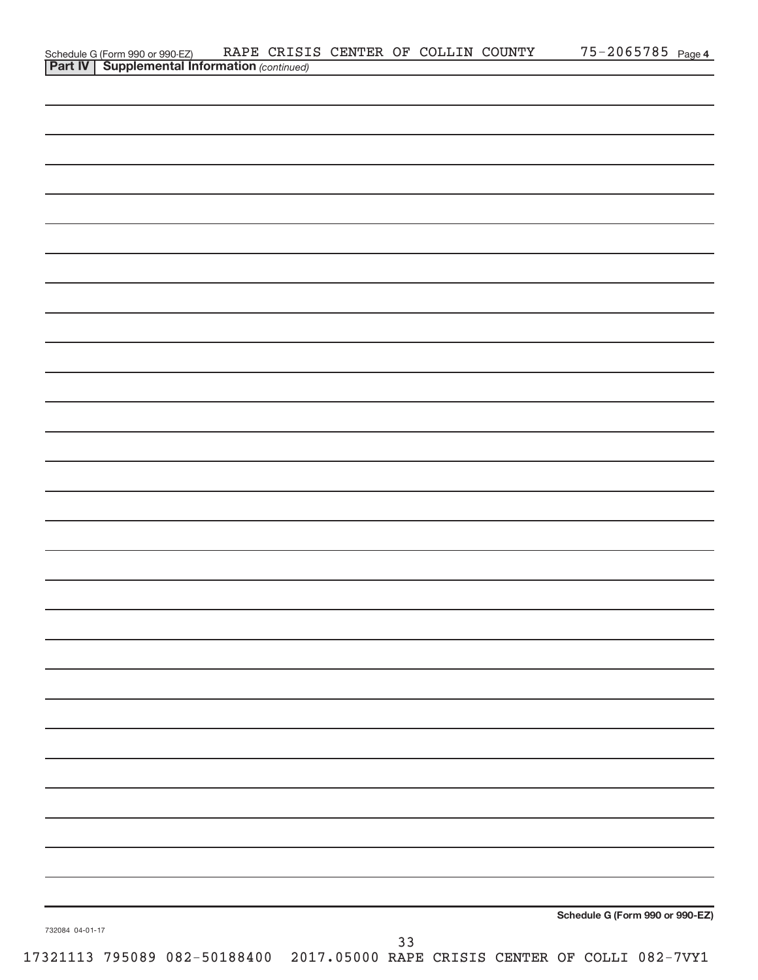|                 | Schedule G (Form 990 or 990-EZ) RAPE CRISI<br><b>Part IV   Supplemental Information</b> (continued) | RAPE CRISIS CENTER OF COLLIN COUNTY |    |  | $75 - 2065785$ Page 4           |
|-----------------|-----------------------------------------------------------------------------------------------------|-------------------------------------|----|--|---------------------------------|
|                 |                                                                                                     |                                     |    |  |                                 |
|                 |                                                                                                     |                                     |    |  |                                 |
|                 |                                                                                                     |                                     |    |  |                                 |
|                 |                                                                                                     |                                     |    |  |                                 |
|                 |                                                                                                     |                                     |    |  |                                 |
|                 |                                                                                                     |                                     |    |  |                                 |
|                 |                                                                                                     |                                     |    |  |                                 |
|                 |                                                                                                     |                                     |    |  |                                 |
|                 |                                                                                                     |                                     |    |  |                                 |
|                 |                                                                                                     |                                     |    |  |                                 |
|                 |                                                                                                     |                                     |    |  |                                 |
|                 |                                                                                                     |                                     |    |  |                                 |
|                 |                                                                                                     |                                     |    |  |                                 |
|                 |                                                                                                     |                                     |    |  |                                 |
|                 |                                                                                                     |                                     |    |  |                                 |
|                 |                                                                                                     |                                     |    |  |                                 |
|                 |                                                                                                     |                                     |    |  |                                 |
|                 |                                                                                                     |                                     |    |  |                                 |
|                 |                                                                                                     |                                     |    |  |                                 |
|                 |                                                                                                     |                                     |    |  |                                 |
|                 |                                                                                                     |                                     |    |  |                                 |
|                 |                                                                                                     |                                     |    |  |                                 |
|                 |                                                                                                     |                                     |    |  |                                 |
|                 |                                                                                                     |                                     |    |  |                                 |
|                 |                                                                                                     |                                     |    |  |                                 |
|                 |                                                                                                     |                                     |    |  |                                 |
|                 |                                                                                                     |                                     |    |  |                                 |
|                 |                                                                                                     |                                     |    |  |                                 |
|                 |                                                                                                     |                                     |    |  |                                 |
|                 |                                                                                                     |                                     |    |  |                                 |
|                 |                                                                                                     |                                     |    |  |                                 |
|                 |                                                                                                     |                                     |    |  |                                 |
|                 |                                                                                                     |                                     |    |  |                                 |
|                 |                                                                                                     |                                     |    |  |                                 |
|                 |                                                                                                     |                                     |    |  |                                 |
|                 |                                                                                                     |                                     |    |  |                                 |
|                 |                                                                                                     |                                     |    |  |                                 |
|                 |                                                                                                     |                                     |    |  |                                 |
|                 |                                                                                                     |                                     |    |  |                                 |
|                 |                                                                                                     |                                     |    |  |                                 |
|                 |                                                                                                     |                                     |    |  |                                 |
|                 |                                                                                                     |                                     |    |  |                                 |
|                 |                                                                                                     |                                     |    |  |                                 |
|                 |                                                                                                     |                                     |    |  |                                 |
|                 |                                                                                                     |                                     |    |  |                                 |
|                 |                                                                                                     |                                     |    |  |                                 |
|                 |                                                                                                     |                                     |    |  |                                 |
|                 |                                                                                                     |                                     |    |  |                                 |
|                 |                                                                                                     |                                     |    |  |                                 |
|                 |                                                                                                     |                                     |    |  |                                 |
|                 |                                                                                                     |                                     |    |  |                                 |
|                 |                                                                                                     |                                     |    |  |                                 |
|                 |                                                                                                     |                                     |    |  |                                 |
|                 |                                                                                                     |                                     |    |  | Schedule G (Form 990 or 990-EZ) |
| 732084 04-01-17 |                                                                                                     |                                     |    |  |                                 |
|                 |                                                                                                     |                                     | 33 |  |                                 |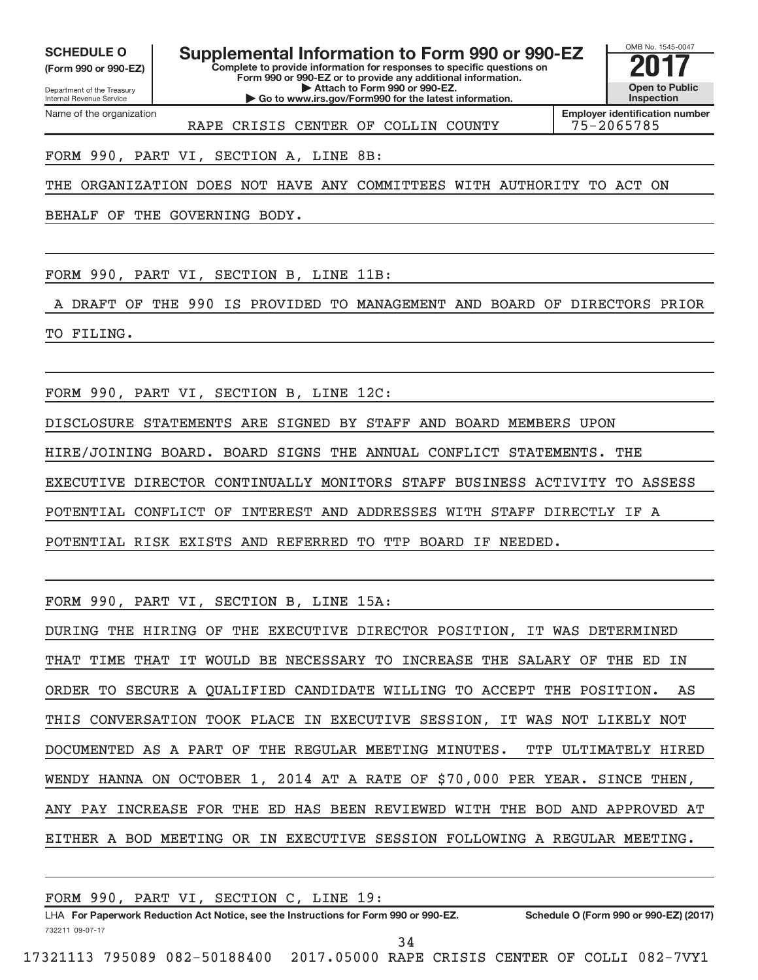Department of the Treasury **(Form 990 or 990-EZ)**

Name of the organization

Internal Revenue Service

**SCHEDULE O Supplemental Information to Form 990 or 990-EZ** <br>(Form 990 or 990-EZ) Complete to provide information for responses to specific questions on

**Complete to provide information for responses to specific questions on Form 990 or 990-EZ or to provide any additional information. | Attach to Form 990 or 990-EZ. | Go to www.irs.gov/Form990 for the latest information.**

OMB No. 1545-0047 **Open to Public Inspection**

RAPE CRISIS CENTER OF COLLIN COUNTY 75-2065785

**Employer identification number**

FORM 990, PART VI, SECTION A, LINE 8B:

THE ORGANIZATION DOES NOT HAVE ANY COMMITTEES WITH AUTHORITY TO ACT ON

BEHALF OF THE GOVERNING BODY.

FORM 990, PART VI, SECTION B, LINE 11B:

A DRAFT OF THE 990 IS PROVIDED TO MANAGEMENT AND BOARD OF DIRECTORS PRIOR TO FILING.

FORM 990, PART VI, SECTION B, LINE 12C:

DISCLOSURE STATEMENTS ARE SIGNED BY STAFF AND BOARD MEMBERS UPON HIRE/JOINING BOARD. BOARD SIGNS THE ANNUAL CONFLICT STATEMENTS. THE EXECUTIVE DIRECTOR CONTINUALLY MONITORS STAFF BUSINESS ACTIVITY TO ASSESS POTENTIAL CONFLICT OF INTEREST AND ADDRESSES WITH STAFF DIRECTLY IF A POTENTIAL RISK EXISTS AND REFERRED TO TTP BOARD IF NEEDED.

FORM 990, PART VI, SECTION B, LINE 15A:

DURING THE HIRING OF THE EXECUTIVE DIRECTOR POSITION, IT WAS DETERMINED THAT TIME THAT IT WOULD BE NECESSARY TO INCREASE THE SALARY OF THE ED IN ORDER TO SECURE A QUALIFIED CANDIDATE WILLING TO ACCEPT THE POSITION. AS THIS CONVERSATION TOOK PLACE IN EXECUTIVE SESSION, IT WAS NOT LIKELY NOT DOCUMENTED AS A PART OF THE REGULAR MEETING MINUTES. TTP ULTIMATELY HIRED WENDY HANNA ON OCTOBER 1, 2014 AT A RATE OF \$70,000 PER YEAR. SINCE THEN, ANY PAY INCREASE FOR THE ED HAS BEEN REVIEWED WITH THE BOD AND APPROVED AT EITHER A BOD MEETING OR IN EXECUTIVE SESSION FOLLOWING A REGULAR MEETING.

| FORM 990, PART VI, SECTION C, LINE 19:                                               |                                        |
|--------------------------------------------------------------------------------------|----------------------------------------|
| LHA For Paperwork Reduction Act Notice, see the Instructions for Form 990 or 990-EZ. | Schedule O (Form 990 or 990-EZ) (2017) |
| 732211 09-07-17                                                                      |                                        |
|                                                                                      |                                        |